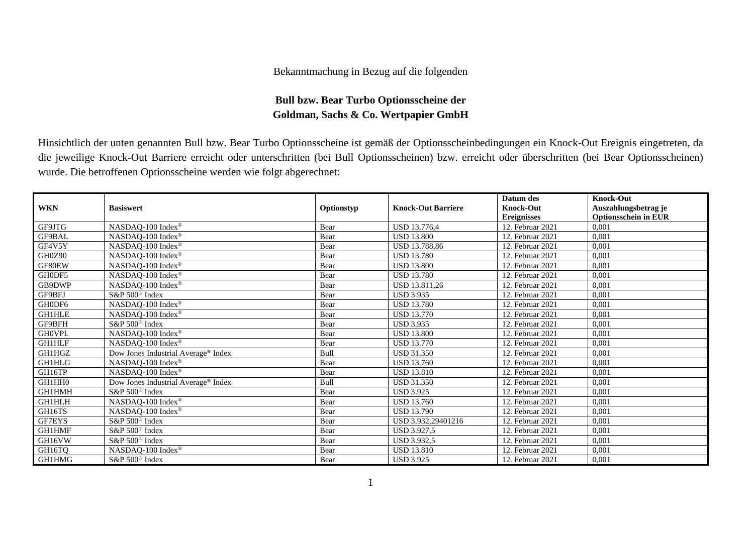## Bekanntmachung in Bezug auf die folgenden

## **Bull bzw. Bear Turbo Optionsscheine der Goldman, Sachs & Co. Wertpapier GmbH**

Hinsichtlich der unten genannten Bull bzw. Bear Turbo Optionsscheine ist gemäß der Optionsscheinbedingungen ein Knock-Out Ereignis eingetreten, da die jeweilige Knock-Out Barriere erreicht oder unterschritten (bei Bull Optionsscheinen) bzw. erreicht oder überschritten (bei Bear Optionsscheinen) wurde. Die betroffenen Optionsscheine werden wie folgt abgerechnet:

|               |                                                 |             |                           | Datum des          | <b>Knock-Out</b>            |
|---------------|-------------------------------------------------|-------------|---------------------------|--------------------|-----------------------------|
| <b>WKN</b>    | <b>Basiswert</b>                                | Optionstyp  | <b>Knock-Out Barriere</b> | <b>Knock-Out</b>   | Auszahlungsbetrag je        |
|               |                                                 |             |                           | <b>Ereignisses</b> | <b>Optionsschein in EUR</b> |
| GF9JTG        | NASDAQ-100 Index®                               | Bear        | USD 13.776,4              | 12. Februar 2021   | 0,001                       |
| <b>GF9BAL</b> | NASDAQ-100 Index®                               | Bear        | <b>USD 13.800</b>         | 12. Februar 2021   | 0,001                       |
| GF4V5Y        | NASDAQ-100 Index®                               | Bear        | <b>USD 13.788.86</b>      | 12. Februar 2021   | 0,001                       |
| GH0Z90        | NASDAQ-100 Index®                               | Bear        | <b>USD 13.780</b>         | 12. Februar 2021   | 0,001                       |
| GF80EW        | NASDAQ-100 Index®                               | Bear        | <b>USD 13.800</b>         | 12. Februar 2021   | 0,001                       |
| GH0DF5        | NASDAQ-100 Index <sup>®</sup>                   | Bear        | <b>USD 13.780</b>         | 12. Februar 2021   | 0,001                       |
| GB9DWP        | NASDAQ-100 Index <sup>®</sup>                   | Bear        | USD 13.811,26             | 12. Februar 2021   | 0,001                       |
| GF9BFJ        | S&P 500 <sup>®</sup> Index                      | Bear        | <b>USD 3.935</b>          | 12. Februar 2021   | 0,001                       |
| GH0DF6        | NASDAQ-100 Index®                               | Bear        | <b>USD 13.780</b>         | 12. Februar 2021   | 0,001                       |
| <b>GH1HLE</b> | NASDAQ-100 Index®                               | Bear        | <b>USD 13.770</b>         | 12. Februar 2021   | 0,001                       |
| GF9BFH        | $S\&P 500^{\circ}$ Index                        | Bear        | <b>USD 3.935</b>          | 12. Februar 2021   | 0,001                       |
| <b>GHOVPL</b> | NASDAQ-100 Index®                               | Bear        | <b>USD 13.800</b>         | 12. Februar 2021   | 0,001                       |
| <b>GH1HLF</b> | NASDAQ-100 Index <sup>®</sup>                   | Bear        | <b>USD 13.770</b>         | 12. Februar 2021   | 0,001                       |
| GH1HGZ        | Dow Jones Industrial Average <sup>®</sup> Index | <b>Bull</b> | <b>USD 31.350</b>         | 12. Februar 2021   | 0,001                       |
| <b>GH1HLG</b> | NASDAQ-100 Index®                               | Bear        | <b>USD 13.760</b>         | 12. Februar 2021   | 0,001                       |
| GH16TP        | NASDAQ-100 Index®                               | Bear        | <b>USD 13.810</b>         | 12. Februar 2021   | 0,001                       |
| GH1HH0        | Dow Jones Industrial Average <sup>®</sup> Index | Bull        | <b>USD 31.350</b>         | 12. Februar 2021   | 0,001                       |
| GH1HMH        | S&P 500 <sup>®</sup> Index                      | Bear        | <b>USD 3.925</b>          | 12. Februar 2021   | 0,001                       |
| GH1HLH        | NASDAQ-100 Index®                               | Bear        | <b>USD 13.760</b>         | 12. Februar 2021   | 0,001                       |
| GH16TS        | NASDAQ-100 Index <sup>®</sup>                   | Bear        | <b>USD 13.790</b>         | 12. Februar 2021   | 0,001                       |
| GF7EYS        | S&P 500 <sup>®</sup> Index                      | Bear        | USD 3.932,29401216        | 12. Februar 2021   | 0,001                       |
| <b>GH1HMF</b> | S&P 500 <sup>®</sup> Index                      | Bear        | USD 3.927,5               | 12. Februar 2021   | 0,001                       |
| GH16VW        | S&P 500 <sup>®</sup> Index                      | Bear        | <b>USD 3.932,5</b>        | 12. Februar 2021   | 0,001                       |
| GH16TQ        | NASDAQ-100 Index®                               | Bear        | <b>USD 13.810</b>         | 12. Februar 2021   | 0,001                       |
| <b>GH1HMG</b> | S&P 500 <sup>®</sup> Index                      | Bear        | <b>USD 3.925</b>          | 12. Februar 2021   | 0,001                       |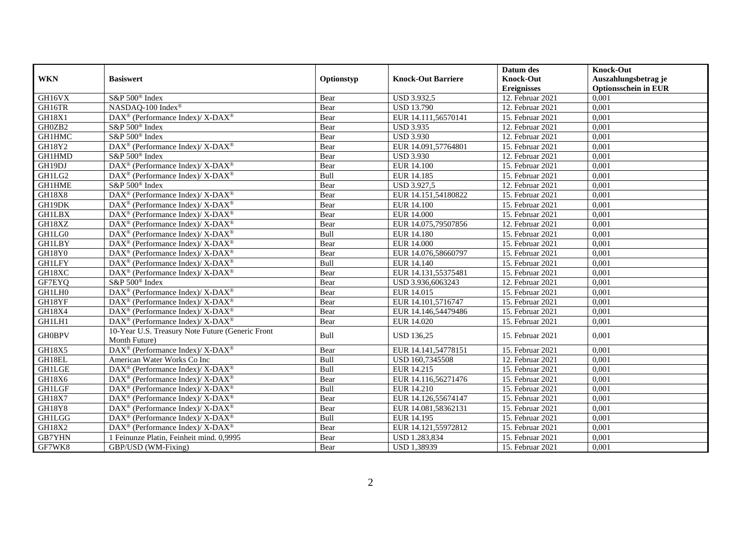|               |                                                                          |            |                           | Datum des          | <b>Knock-Out</b>            |
|---------------|--------------------------------------------------------------------------|------------|---------------------------|--------------------|-----------------------------|
| <b>WKN</b>    | <b>Basiswert</b>                                                         | Optionstyp | <b>Knock-Out Barriere</b> | <b>Knock-Out</b>   | Auszahlungsbetrag je        |
|               |                                                                          |            |                           | <b>Ereignisses</b> | <b>Optionsschein in EUR</b> |
| GH16VX        | S&P 500 <sup>®</sup> Index                                               | Bear       | <b>USD 3.932,5</b>        | 12. Februar 2021   | 0,001                       |
| GH16TR        | NASDAQ-100 Index®                                                        | Bear       | <b>USD 13.790</b>         | $12.$ Februar 2021 | 0,001                       |
| GH18X1        | $\overline{\text{DAX}^{\otimes}}$ (Performance Index)/X-DAX <sup>®</sup> | Bear       | EUR 14.111,56570141       | 15. Februar 2021   | 0,001                       |
| GH0ZB2        | S&P 500 <sup>®</sup> Index                                               | Bear       | <b>USD 3.935</b>          | 12. Februar 2021   | 0,001                       |
| <b>GH1HMC</b> | S&P 500 <sup>®</sup> Index                                               | Bear       | <b>USD 3.930</b>          | 12. Februar 2021   | 0,001                       |
| GH18Y2        | $\text{DAX}^{\circledR}$ (Performance Index)/ X-DAX <sup>®</sup>         | Bear       | EUR 14.091,57764801       | 15. Februar 2021   | 0,001                       |
| GH1HMD        | S&P 500 <sup>®</sup> Index                                               | Bear       | <b>USD 3.930</b>          | 12. Februar 2021   | 0,001                       |
| GH19DJ        | DAX <sup>®</sup> (Performance Index)/X-DAX <sup>®</sup>                  | Bear       | <b>EUR 14.100</b>         | 15. Februar 2021   | 0,001                       |
| GH1LG2        | DAX <sup>®</sup> (Performance Index)/ X-DAX <sup>®</sup>                 | Bull       | EUR 14.185                | 15. Februar 2021   | 0,001                       |
| <b>GH1HME</b> | S&P 500 <sup>®</sup> Index                                               | Bear       | <b>USD 3.927,5</b>        | 12. Februar 2021   | 0,001                       |
| <b>GH18X8</b> | $\text{DAX}^{\circledR}$ (Performance Index)/ X-DAX <sup>®</sup>         | Bear       | EUR 14.151,54180822       | 15. Februar 2021   | 0,001                       |
| GH19DK        | $\text{DAX}^{\circledast}$ (Performance Index)/ X-DAX <sup>®</sup>       | Bear       | <b>EUR 14.100</b>         | 15. Februar 2021   | 0,001                       |
| <b>GH1LBX</b> | DAX <sup>®</sup> (Performance Index)/ X-DAX <sup>®</sup>                 | Bear       | EUR 14.000                | 15. Februar 2021   | 0,001                       |
| GH18XZ        | DAX <sup>®</sup> (Performance Index)/X-DAX <sup>®</sup>                  | Bear       | EUR 14.075,79507856       | 12. Februar 2021   | 0,001                       |
| GH1LG0        | $DAX^{\circledcirc}$ (Performance Index)/X-DAX <sup>®</sup>              | Bull       | EUR 14.180                | 15. Februar 2021   | 0,001                       |
| <b>GH1LBY</b> | $\text{DAX}^{\circledast}$ (Performance Index)/ X-DAX <sup>®</sup>       | Bear       | EUR 14.000                | 15. Februar 2021   | 0,001                       |
| GH18Y0        | $\text{DAX}^{\circledR}$ (Performance Index)/ X-DAX <sup>®</sup>         | Bear       | EUR 14.076,58660797       | 15. Februar 2021   | 0,001                       |
| <b>GH1LFY</b> | DAX <sup>®</sup> (Performance Index)/ X-DAX <sup>®</sup>                 | Bull       | EUR 14.140                | 15. Februar 2021   | 0,001                       |
| GH18XC        | DAX <sup>®</sup> (Performance Index)/ X-DAX <sup>®</sup>                 | Bear       | EUR 14.131,55375481       | 15. Februar 2021   | 0,001                       |
| GF7EYQ        | S&P 500 <sup>®</sup> Index                                               | Bear       | USD 3.936,6063243         | 12. Februar 2021   | 0,001                       |
| GH1LH0        | $\text{DAX}^{\circledast}$ (Performance Index)/ X-DAX <sup>®</sup>       | Bear       | EUR 14.015                | 15. Februar 2021   | 0,001                       |
| GH18YF        | DAX <sup>®</sup> (Performance Index)/X-DAX <sup>®</sup>                  | Bear       | EUR 14.101,5716747        | 15. Februar 2021   | 0,001                       |
| GH18X4        | $\text{DAX}^{\circledast}$ (Performance Index)/ X-DAX <sup>®</sup>       | Bear       | EUR 14.146,54479486       | 15. Februar 2021   | 0,001                       |
| GH1LH1        | $DAX^{\circledcirc}$ (Performance Index)/ X-DAX <sup>®</sup>             | Bear       | EUR 14.020                | 15. Februar 2021   | 0,001                       |
| <b>GH0BPV</b> | 10-Year U.S. Treasury Note Future (Generic Front<br>Month Future)        | Bull       | <b>USD 136,25</b>         | 15. Februar 2021   | 0.001                       |
| GH18X5        | DAX <sup>®</sup> (Performance Index)/X-DAX <sup>®</sup>                  | Bear       | EUR 14.141,54778151       | 15. Februar 2021   | 0,001                       |
| GH18EL        | American Water Works Co Inc                                              | Bull       | USD 160,7345508           | 12. Februar 2021   | 0,001                       |
| <b>GH1LGE</b> | $\text{DAX}^{\circledR}$ (Performance Index)/ X-DAX <sup>®</sup>         | Bull       | EUR 14.215                | 15. Februar 2021   | 0,001                       |
| GH18X6        | DAX <sup>®</sup> (Performance Index)/ X-DAX <sup>®</sup>                 | Bear       | EUR 14.116,56271476       | 15. Februar 2021   | 0,001                       |
| <b>GH1LGF</b> | $\text{DAX}^{\circledast}$ (Performance Index)/ X-DAX <sup>®</sup>       | Bull       | EUR 14.210                | 15. Februar 2021   | 0,001                       |
| <b>GH18X7</b> | $\text{DAX}^{\circledast}$ (Performance Index)/X-DAX <sup>®</sup>        | Bear       | EUR 14.126,55674147       | 15. Februar 2021   | 0,001                       |
| GH18Y8        | $\text{DAX}^{\circledast}$ (Performance Index)/ X-DAX <sup>®</sup>       | Bear       | EUR 14.081,58362131       | 15. Februar 2021   | 0,001                       |
| <b>GH1LGG</b> | $\text{DAX}^{\circledast}$ (Performance Index)/ X-DAX <sup>®</sup>       | Bull       | EUR 14.195                | 15. Februar 2021   | 0,001                       |
| GH18X2        | DAX <sup>®</sup> (Performance Index)/X-DAX <sup>®</sup>                  | Bear       | EUR 14.121,55972812       | 15. Februar 2021   | 0,001                       |
| <b>GB7YHN</b> | 1 Feinunze Platin, Feinheit mind. 0,9995                                 | Bear       | USD 1.283,834             | 15. Februar 2021   | 0,001                       |
| GF7WK8        | GBP/USD (WM-Fixing)                                                      | Bear       | <b>USD 1,38939</b>        | 15. Februar 2021   | 0,001                       |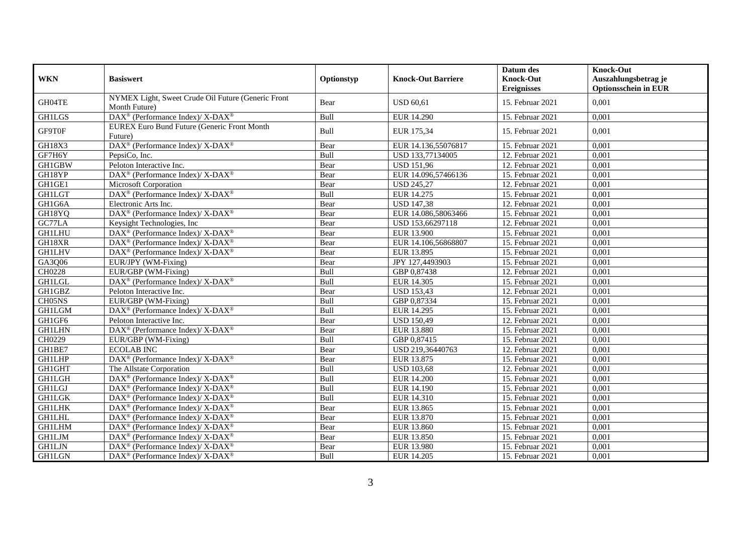| <b>WKN</b>          | <b>Basiswert</b>                                                         | Optionstyp | <b>Knock-Out Barriere</b> | Datum des<br><b>Knock-Out</b> | <b>Knock-Out</b><br>Auszahlungsbetrag je |
|---------------------|--------------------------------------------------------------------------|------------|---------------------------|-------------------------------|------------------------------------------|
|                     |                                                                          |            |                           | <b>Ereignisses</b>            | <b>Optionsschein in EUR</b>              |
| GH04TE              | NYMEX Light, Sweet Crude Oil Future (Generic Front<br>Month Future)      | Bear       | <b>USD 60,61</b>          | 15. Februar 2021              | 0,001                                    |
| <b>GH1LGS</b>       | DAX <sup>®</sup> (Performance Index)/X-DAX <sup>®</sup>                  | Bull       | <b>EUR 14.290</b>         | 15. Februar 2021              | 0,001                                    |
| GF9T0F              | <b>EUREX Euro Bund Future (Generic Front Month</b><br>Future)            | Bull       | EUR 175,34                | 15. Februar 2021              | 0,001                                    |
| GH18X3              | DAX <sup>®</sup> (Performance Index)/X-DAX <sup>®</sup>                  | Bear       | EUR 14.136,55076817       | 15. Februar 2021              | 0,001                                    |
| GF7H6Y              | PepsiCo, Inc.                                                            | Bull       | USD 133,77134005          | 12. Februar 2021              | 0,001                                    |
| <b>GH1GBW</b>       | Peloton Interactive Inc.                                                 | Bear       | <b>USD</b> 151,96         | 12. Februar 2021              | 0,001                                    |
| GH18YP              | DAX <sup>®</sup> (Performance Index)/ X-DAX <sup>®</sup>                 | Bear       | EUR 14.096,57466136       | 15. Februar 2021              | 0,001                                    |
| GH1GE1              | Microsoft Corporation                                                    | Bear       | <b>USD 245,27</b>         | 12. Februar 2021              | 0,001                                    |
| <b>GH1LGT</b>       | DAX <sup>®</sup> (Performance Index)/X-DAX <sup>®</sup>                  | Bull       | EUR 14.275                | 15. Februar 2021              | 0,001                                    |
| GH1G6A              | Electronic Arts Inc.                                                     | Bear       | <b>USD 147,38</b>         | 12. Februar 2021              | 0,001                                    |
| GH18YQ              | DAX <sup>®</sup> (Performance Index)/ X-DAX <sup>®</sup>                 | Bear       | EUR 14.086,58063466       | 15. Februar 2021              | 0,001                                    |
| GC77LA              | Keysight Technologies, Inc.                                              | Bear       | USD 153,66297118          | 12. Februar 2021              | 0,001                                    |
| <b>GH1LHU</b>       | DAX <sup>®</sup> (Performance Index)/ X-DAX <sup>®</sup>                 | Bear       | <b>EUR 13.900</b>         | 15. Februar 2021              | 0,001                                    |
| GH18XR              | $DAX^{\circledast}$ (Performance Index)/ X-DAX <sup>®</sup>              | Bear       | EUR 14.106,56868807       | 15. Februar 2021              | 0,001                                    |
| <b>GH1LHV</b>       | DAX <sup>®</sup> (Performance Index)/X-DAX <sup>®</sup>                  | Bear       | EUR 13.895                | 15. Februar 2021              | 0,001                                    |
| GA3Q06              | EUR/JPY (WM-Fixing)                                                      | Bear       | JPY 127,4493903           | 15. Februar 2021              | 0,001                                    |
| CH0228              | EUR/GBP (WM-Fixing)                                                      | Bull       | GBP 0,87438               | 12. Februar 2021              | 0,001                                    |
| <b>GH1LGL</b>       | DAX <sup>®</sup> (Performance Index)/X-DAX <sup>®</sup>                  | Bull       | EUR 14.305                | 15. Februar 2021              | 0,001                                    |
| $GH1\overline{GBZ}$ | Peloton Interactive Inc.                                                 | Bear       | <b>USD 153,43</b>         | 12. Februar 2021              | 0,001                                    |
| CH05NS              | EUR/GBP (WM-Fixing)                                                      | Bull       | GBP 0,87334               | 15. Februar 2021              | 0,001                                    |
| <b>GH1LGM</b>       | DAX <sup>®</sup> (Performance Index)/ X-DAX <sup>®</sup>                 | Bull       | <b>EUR 14.295</b>         | 15. Februar 2021              | 0,001                                    |
| GH1GF6              | Peloton Interactive Inc.                                                 | Bear       | <b>USD 150,49</b>         | 12. Februar 2021              | 0,001                                    |
| <b>GH1LHN</b>       | $DAX^{\circledcirc}$ (Performance Index)/ X-DAX <sup>®</sup>             | Bear       | <b>EUR 13.880</b>         | 15. Februar 2021              | 0,001                                    |
| CH0229              | EUR/GBP (WM-Fixing)                                                      | Bull       | GBP 0,87415               | 15. Februar 2021              | 0,001                                    |
| GH1BE7              | <b>ECOLAB INC</b>                                                        | Bear       | USD 219,36440763          | 12. Februar 2021              | 0,001                                    |
| <b>GH1LHP</b>       | DAX <sup>®</sup> (Performance Index)/ X-DAX <sup>®</sup>                 | Bear       | EUR 13.875                | 15. Februar 2021              | 0,001                                    |
| GH1GHT              | The Allstate Corporation                                                 | Bull       | <b>USD</b> 103,68         | 12. Februar 2021              | 0,001                                    |
| <b>GH1LGH</b>       | DAX <sup>®</sup> (Performance Index)/X-DAX <sup>®</sup>                  | Bull       | <b>EUR 14.200</b>         | 15. Februar 2021              | 0,001                                    |
| <b>GH1LGJ</b>       | DAX <sup>®</sup> (Performance Index)/X-DAX <sup>®</sup>                  | Bull       | EUR 14.190                | 15. Februar 2021              | 0,001                                    |
| <b>GH1LGK</b>       | $\overline{\text{DAX}^{\otimes}}$ (Performance Index)/X-DAX <sup>®</sup> | Bull       | EUR 14.310                | 15. Februar 2021              | 0,001                                    |
| <b>GH1LHK</b>       | $DAX^{\circledast}$ (Performance Index)/ X-DAX <sup>®</sup>              | Bear       | EUR 13.865                | 15. Februar 2021              | 0,001                                    |
| <b>GH1LHL</b>       | $DAX^{\circledast}$ (Performance Index)/ X-DAX <sup>®</sup>              | Bear       | EUR 13.870                | 15. Februar 2021              | 0,001                                    |
| <b>GH1LHM</b>       | DAX <sup>®</sup> (Performance Index)/X-DAX <sup>®</sup>                  | Bear       | <b>EUR 13.860</b>         | 15. Februar 2021              | 0,001                                    |
| <b>GH1LJM</b>       | DAX <sup>®</sup> (Performance Index)/X-DAX <sup>®</sup>                  | Bear       | EUR 13.850                | 15. Februar 2021              | 0,001                                    |
| <b>GH1LJN</b>       | DAX <sup>®</sup> (Performance Index)/ X-DAX <sup>®</sup>                 | Bear       | EUR 13.980                | 15. Februar 2021              | 0,001                                    |
| <b>GH1LGN</b>       | DAX <sup>®</sup> (Performance Index)/X-DAX <sup>®</sup>                  | Bull       | EUR 14.205                | 15. Februar 2021              | 0,001                                    |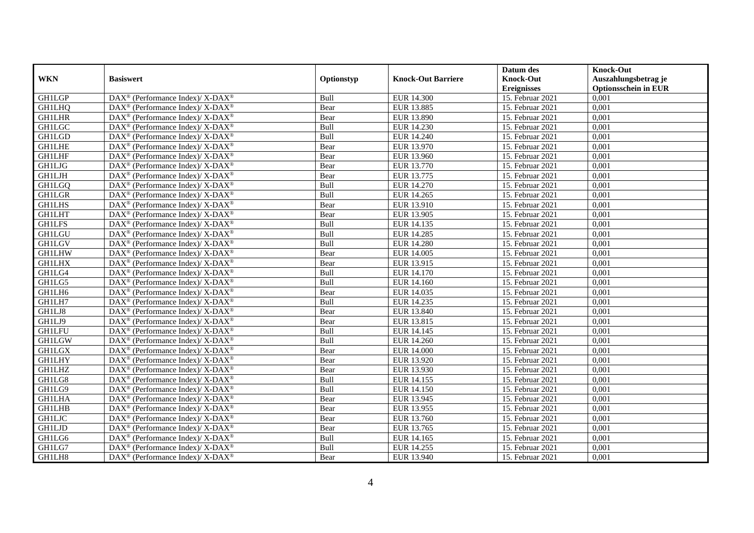|               |                                                                          |            |                           | Datum des          | <b>Knock-Out</b>            |
|---------------|--------------------------------------------------------------------------|------------|---------------------------|--------------------|-----------------------------|
| <b>WKN</b>    | <b>Basiswert</b>                                                         | Optionstyp | <b>Knock-Out Barriere</b> | <b>Knock-Out</b>   | Auszahlungsbetrag je        |
|               |                                                                          |            |                           | <b>Ereignisses</b> | <b>Optionsschein in EUR</b> |
| <b>GH1LGP</b> | DAX <sup>®</sup> (Performance Index)/X-DAX <sup>®</sup>                  | Bull       | <b>EUR 14.300</b>         | 15. Februar 2021   | 0,001                       |
| <b>GH1LHQ</b> | $\text{DAX}^{\circledast}$ (Performance Index)/ X-DAX <sup>®</sup>       | Bear       | EUR 13.885                | 15. Februar 2021   | 0,001                       |
| <b>GH1LHR</b> | DAX <sup>®</sup> (Performance Index)/ X-DAX <sup>®</sup>                 | Bear       | <b>EUR 13.890</b>         | 15. Februar 2021   | 0,001                       |
| <b>GH1LGC</b> | $DAX^{\circledast}$ (Performance Index)/ X-DAX <sup>®</sup>              | Bull       | EUR 14.230                | 15. Februar 2021   | 0,001                       |
| <b>GH1LGD</b> | DAX <sup>®</sup> (Performance Index)/X-DAX <sup>®</sup>                  | Bull       | <b>EUR 14.240</b>         | 15. Februar 2021   | 0,001                       |
| <b>GH1LHE</b> | DAX <sup>®</sup> (Performance Index)/ X-DAX <sup>®</sup>                 | Bear       | EUR 13.970                | 15. Februar 2021   | 0,001                       |
| <b>GH1LHF</b> | $DAX^{\circledast}$ (Performance Index)/ X-DAX <sup>®</sup>              | Bear       | EUR 13.960                | 15. Februar 2021   | 0,001                       |
| <b>GH1LJG</b> | DAX <sup>®</sup> (Performance Index)/X-DAX <sup>®</sup>                  | Bear       | EUR 13.770                | 15. Februar 2021   | 0,001                       |
| <b>GH1LJH</b> | $DAX^{\circledast}$ (Performance Index)/ X-DAX <sup>®</sup>              | Bear       | EUR 13.775                | 15. Februar 2021   | 0,001                       |
| <b>GH1LGQ</b> | DAX <sup>®</sup> (Performance Index)/X-DAX <sup>®</sup>                  | Bull       | EUR 14.270                | 15. Februar 2021   | 0,001                       |
| <b>GH1LGR</b> | $DAX^{\circledast}$ (Performance Index)/ X-DAX <sup>®</sup>              | Bull       | EUR 14.265                | 15. Februar 2021   | 0,001                       |
| <b>GH1LHS</b> | DAX <sup>®</sup> (Performance Index)/ X-DAX <sup>®</sup>                 | Bear       | EUR 13.910                | 15. Februar 2021   | 0,001                       |
| <b>GH1LHT</b> | $DAX^{\circledast}$ (Performance Index)/ X-DAX <sup>®</sup>              | Bear       | EUR 13.905                | 15. Februar 2021   | 0,001                       |
| <b>GH1LFS</b> | DAX <sup>®</sup> (Performance Index)/ X-DAX <sup>®</sup>                 | Bull       | EUR 14.135                | 15. Februar 2021   | 0,001                       |
| <b>GH1LGU</b> | $DAX^{\circledast}$ (Performance Index)/ X-DAX <sup>®</sup>              | Bull       | EUR 14.285                | 15. Februar 2021   | 0,001                       |
| <b>GH1LGV</b> | DAX <sup>®</sup> (Performance Index)/ X-DAX <sup>®</sup>                 | Bull       | <b>EUR 14.280</b>         | 15. Februar 2021   | 0,001                       |
| <b>GH1LHW</b> | DAX <sup>®</sup> (Performance Index)/ X-DAX <sup>®</sup>                 | Bear       | EUR 14.005                | 15. Februar 2021   | 0,001                       |
| <b>GH1LHX</b> | DAX <sup>®</sup> (Performance Index)/ X-DAX <sup>®</sup>                 | Bear       | EUR 13.915                | 15. Februar 2021   | 0,001                       |
| GH1LG4        | $\text{DAX}^{\circledast}$ (Performance Index)/ X-DAX <sup>®</sup>       | Bull       | EUR 14.170                | 15. Februar 2021   | 0,001                       |
| GH1LG5        | DAX <sup>®</sup> (Performance Index)/ X-DAX <sup>®</sup>                 | Bull       | EUR 14.160                | 15. Februar 2021   | 0,001                       |
| GH1LH6        | $\overline{\text{DAX}^{\otimes}}$ (Performance Index)/X-DAX <sup>®</sup> | Bear       | EUR 14.035                | 15. Februar 2021   | 0,001                       |
| GH1LH7        | $DAX^{\circledast}$ (Performance Index)/ X-DAX <sup>®</sup>              | Bull       | EUR 14.235                | 15. Februar 2021   | 0,001                       |
| GH1LJ8        | DAX <sup>®</sup> (Performance Index)/ X-DAX <sup>®</sup>                 | Bear       | <b>EUR 13.840</b>         | 15. Februar 2021   | 0,001                       |
| GH1LJ9        | DAX <sup>®</sup> (Performance Index)/X-DAX <sup>®</sup>                  | Bear       | EUR 13.815                | 15. Februar 2021   | 0,001                       |
| <b>GH1LFU</b> | $DAX^{\circledast}$ (Performance Index)/ X-DAX <sup>®</sup>              | Bull       | EUR 14.145                | 15. Februar 2021   | 0,001                       |
| <b>GH1LGW</b> | DAX <sup>®</sup> (Performance Index)/ X-DAX <sup>®</sup>                 | Bull       | EUR 14.260                | 15. Februar 2021   | 0,001                       |
| <b>GH1LGX</b> | $DAX^{\circledast}$ (Performance Index)/ X-DAX <sup>®</sup>              | Bear       | <b>EUR 14.000</b>         | 15. Februar 2021   | 0,001                       |
| <b>GH1LHY</b> | DAX <sup>®</sup> (Performance Index)/ X-DAX <sup>®</sup>                 | Bear       | EUR 13.920                | 15. Februar 2021   | 0,001                       |
| <b>GH1LHZ</b> | DAX <sup>®</sup> (Performance Index)/ X-DAX <sup>®</sup>                 | Bear       | EUR 13.930                | 15. Februar 2021   | 0,001                       |
| GH1LG8        | $DAX^{\circledast}$ (Performance Index)/ X-DAX <sup>®</sup>              | Bull       | EUR 14.155                | 15. Februar 2021   | 0,001                       |
| GH1LG9        | $DAX^{\circledast}$ (Performance Index)/ X-DAX <sup>®</sup>              | Bull       | EUR 14.150                | 15. Februar 2021   | 0,001                       |
| <b>GH1LHA</b> | DAX <sup>®</sup> (Performance Index)/ X-DAX <sup>®</sup>                 | Bear       | EUR 13.945                | 15. Februar 2021   | 0,001                       |
| <b>GH1LHB</b> | $DAX^{\circledast}$ (Performance Index)/ X-DAX <sup>®</sup>              | Bear       | EUR 13.955                | 15. Februar 2021   | 0,001                       |
| <b>GH1LJC</b> | DAX <sup>®</sup> (Performance Index)/ X-DAX <sup>®</sup>                 | Bear       | EUR 13.760                | 15. Februar 2021   | 0,001                       |
| <b>GH1LJD</b> | DAX <sup>®</sup> (Performance Index)/ X-DAX <sup>®</sup>                 | Bear       | EUR 13.765                | 15. Februar 2021   | 0,001                       |
| GH1LG6        | DAX <sup>®</sup> (Performance Index)/X-DAX <sup>®</sup>                  | Bull       | EUR 14.165                | 15. Februar 2021   | 0,001                       |
| GH1LG7        | DAX <sup>®</sup> (Performance Index)/ X-DAX <sup>®</sup>                 | Bull       | EUR 14.255                | 15. Februar 2021   | 0,001                       |
| GH1LH8        | DAX <sup>®</sup> (Performance Index)/ X-DAX <sup>®</sup>                 | Bear       | EUR 13.940                | 15. Februar 2021   | 0,001                       |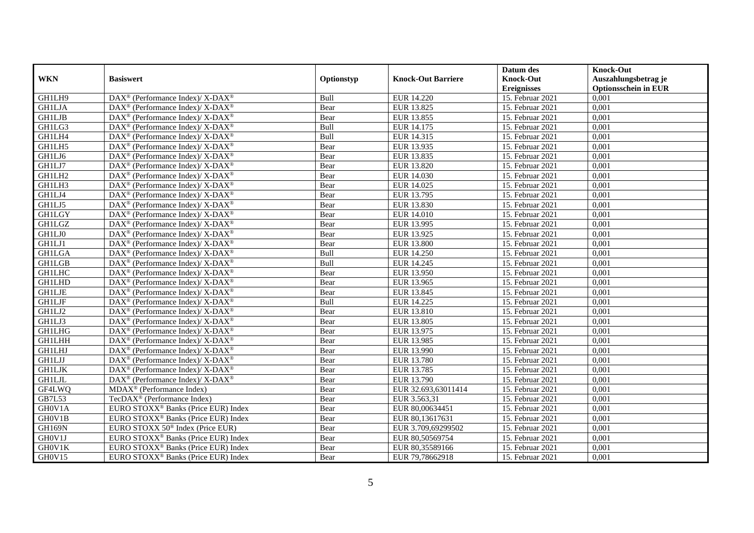|               |                                                                   |            |                           | Datum des                              | <b>Knock-Out</b>                                    |
|---------------|-------------------------------------------------------------------|------------|---------------------------|----------------------------------------|-----------------------------------------------------|
| <b>WKN</b>    | <b>Basiswert</b>                                                  | Optionstyp | <b>Knock-Out Barriere</b> | <b>Knock-Out</b><br><b>Ereignisses</b> | Auszahlungsbetrag je<br><b>Optionsschein in EUR</b> |
| GH1LH9        | DAX <sup>®</sup> (Performance Index)/ X-DAX <sup>®</sup>          | Bull       | EUR 14.220                | 15. Februar 2021                       | 0,001                                               |
| <b>GH1LJA</b> | DAX <sup>®</sup> (Performance Index)/ X-DAX <sup>®</sup>          | Bear       | EUR 13.825                | 15. Februar 2021                       | 0,001                                               |
| <b>GH1LJB</b> | $DAX^{\circledast}$ (Performance Index)/ X-DAX <sup>®</sup>       | Bear       | EUR 13.855                | 15. Februar 2021                       | 0,001                                               |
| GH1LG3        | DAX <sup>®</sup> (Performance Index)/ X-DAX <sup>®</sup>          | Bull       | EUR 14.175                | 15. Februar 2021                       | 0,001                                               |
| GH1LH4        | $DAX^{\circledast}$ (Performance Index)/ X-DAX <sup>®</sup>       | Bull       | EUR 14.315                | 15. Februar 2021                       | 0,001                                               |
| GH1LH5        | DAX <sup>®</sup> (Performance Index)/ X-DAX <sup>®</sup>          | Bear       | EUR 13.935                | 15. Februar 2021                       | 0,001                                               |
| GH1LJ6        | DAX <sup>®</sup> (Performance Index)/ X-DAX <sup>®</sup>          | Bear       | EUR 13.835                | 15. Februar 2021                       | 0,001                                               |
| GH1LJ7        | DAX <sup>®</sup> (Performance Index)/ X-DAX <sup>®</sup>          | Bear       | EUR 13.820                | 15. Februar 2021                       | 0,001                                               |
| GH1LH2        | $DAX^{\circledast}$ (Performance Index)/ X-DAX <sup>®</sup>       | Bear       | EUR 14.030                | 15. Februar 2021                       | 0,001                                               |
| GH1LH3        | $DAX^{\circledast}$ (Performance Index)/ X-DAX <sup>®</sup>       | Bear       | EUR 14.025                | 15. Februar 2021                       | 0,001                                               |
| GH1LJ4        | $DAX^{\circledast}$ (Performance Index)/ X-DAX <sup>®</sup>       | Bear       | EUR 13.795                | 15. Februar 2021                       | 0,001                                               |
| GH1LJ5        | DAX <sup>®</sup> (Performance Index)/X-DAX <sup>®</sup>           | Bear       | EUR 13.830                | 15. Februar 2021                       | 0,001                                               |
| <b>GH1LGY</b> | DAX <sup>®</sup> (Performance Index)/ X-DAX <sup>®</sup>          | Bear       | <b>EUR 14.010</b>         | 15. Februar 2021                       | 0,001                                               |
| <b>GH1LGZ</b> | DAX <sup>®</sup> (Performance Index)/ X-DAX <sup>®</sup>          | Bear       | EUR 13.995                | 15. Februar 2021                       | 0,001                                               |
| GH1LJ0        | DAX <sup>®</sup> (Performance Index)/ X-DAX <sup>®</sup>          | Bear       | EUR 13.925                | 15. Februar 2021                       | 0,001                                               |
| GH1LJ1        | $DAX^{\circledast}$ (Performance Index)/ X-DAX <sup>®</sup>       | Bear       | <b>EUR 13.800</b>         | 15. Februar 2021                       | 0,001                                               |
| <b>GH1LGA</b> | DAX <sup>®</sup> (Performance Index)/ X-DAX <sup>®</sup>          | Bull       | <b>EUR 14.250</b>         | 15. Februar 2021                       | 0,001                                               |
| <b>GH1LGB</b> | DAX <sup>®</sup> (Performance Index)/ X-DAX <sup>®</sup>          | Bull       | EUR 14.245                | 15. Februar 2021                       | 0,001                                               |
| <b>GH1LHC</b> | $DAX^{\circledast}$ (Performance Index)/ X-DAX <sup>®</sup>       | Bear       | EUR 13.950                | 15. Februar 2021                       | 0,001                                               |
| <b>GH1LHD</b> | DAX <sup>®</sup> (Performance Index)/ X-DAX <sup>®</sup>          | Bear       | EUR 13.965                | 15. Februar 2021                       | 0,001                                               |
| <b>GH1LJE</b> | DAX <sup>®</sup> (Performance Index)/ X-DAX <sup>®</sup>          | Bear       | EUR 13.845                | 15. Februar 2021                       | 0,001                                               |
| <b>GH1LJF</b> | DAX <sup>®</sup> (Performance Index)/X-DAX <sup>®</sup>           | Bull       | EUR 14.225                | 15. Februar 2021                       | 0,001                                               |
| GH1LJ2        | DAX <sup>®</sup> (Performance Index)/ X-DAX <sup>®</sup>          | Bear       | EUR 13.810                | 15. Februar 2021                       | 0,001                                               |
| GH1LJ3        | DAX <sup>®</sup> (Performance Index)/ X-DAX <sup>®</sup>          | Bear       | EUR 13.805                | 15. Februar 2021                       | 0,001                                               |
| <b>GH1LHG</b> | DAX <sup>®</sup> (Performance Index)/X-DAX <sup>®</sup>           | Bear       | EUR 13.975                | 15. Februar 2021                       | 0,001                                               |
| <b>GH1LHH</b> | DAX <sup>®</sup> (Performance Index)/ X-DAX <sup>®</sup>          | Bear       | EUR 13.985                | 15. Februar 2021                       | 0,001                                               |
| <b>GH1LHJ</b> | $\text{DAX}^{\circledast}$ (Performance Index)/X-DAX <sup>®</sup> | Bear       | EUR 13.990                | 15. Februar 2021                       | 0,001                                               |
| <b>GH1LJJ</b> | $DAX^{\circledast}$ (Performance Index)/ X-DAX <sup>®</sup>       | Bear       | <b>EUR 13.780</b>         | 15. Februar 2021                       | 0,001                                               |
| <b>GH1LJK</b> | $DAX^{\circledast}$ (Performance Index)/ X-DAX <sup>®</sup>       | Bear       | EUR 13.785                | 15. Februar 2021                       | 0,001                                               |
| <b>GH1LJL</b> | $DAX^{\circledast}$ (Performance Index)/ X-DAX <sup>®</sup>       | Bear       | EUR 13.790                | 15. Februar 2021                       | 0.001                                               |
| GF4LWQ        | $MDAX^{\circledR}$ (Performance Index)                            | Bear       | EUR 32.693,63011414       | 15. Februar 2021                       | 0,001                                               |
| GB7L53        | TecDAX <sup>®</sup> (Performance Index)                           | Bear       | EUR 3.563,31              | 15. Februar 2021                       | 0,001                                               |
| GH0V1A        | EURO STOXX <sup>®</sup> Banks (Price EUR) Index                   | Bear       | EUR 80,00634451           | 15. Februar 2021                       | 0,001                                               |
| GH0V1B        | EURO STOXX <sup>®</sup> Banks (Price EUR) Index                   | Bear       | EUR 80,13617631           | 15. Februar 2021                       | 0,001                                               |
| <b>GH169N</b> | EURO STOXX 50 <sup>®</sup> Index (Price EUR)                      | Bear       | EUR 3.709,69299502        | 15. Februar 2021                       | 0,001                                               |
| GH0V1J        | EURO STOXX <sup>®</sup> Banks (Price EUR) Index                   | Bear       | EUR 80,50569754           | 15. Februar 2021                       | 0,001                                               |
| GH0V1K        | EURO STOXX <sup>®</sup> Banks (Price EUR) Index                   | Bear       | EUR 80,35589166           | 15. Februar 2021                       | 0,001                                               |
| GH0V15        | EURO STOXX <sup>®</sup> Banks (Price EUR) Index                   | Bear       | EUR 79,78662918           | 15. Februar 2021                       | 0,001                                               |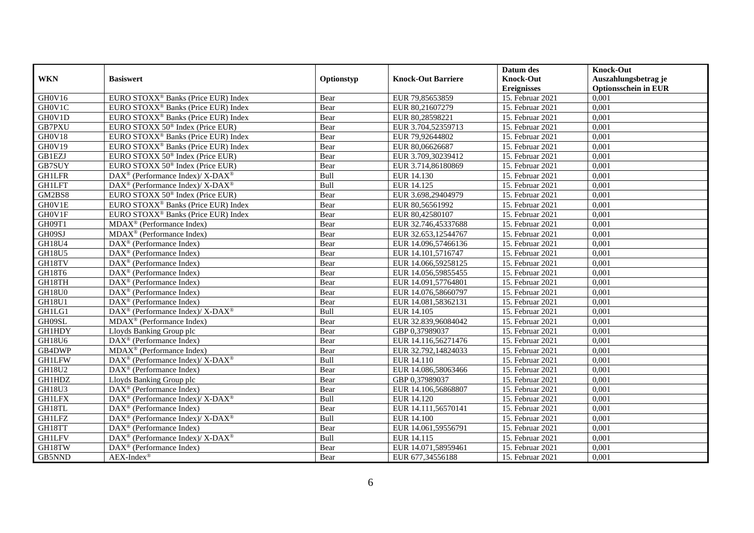|               |                                                                                         |            |                           | Datum des          | <b>Knock-Out</b>            |
|---------------|-----------------------------------------------------------------------------------------|------------|---------------------------|--------------------|-----------------------------|
| <b>WKN</b>    | <b>Basiswert</b>                                                                        | Optionstyp | <b>Knock-Out Barriere</b> | <b>Knock-Out</b>   | Auszahlungsbetrag je        |
|               |                                                                                         |            |                           | <b>Ereignisses</b> | <b>Optionsschein in EUR</b> |
| GH0V16        | EURO STOXX <sup>®</sup> Banks (Price EUR) Index                                         | Bear       | EUR 79,85653859           | 15. Februar 2021   | 0,001                       |
| GH0V1C        | EURO STOXX <sup>®</sup> Banks (Price EUR) Index                                         | Bear       | EUR 80,21607279           | 15. Februar 2021   | 0,001                       |
| GH0V1D        | EURO STOXX <sup>®</sup> Banks (Price EUR) Index                                         | Bear       | EUR 80,28598221           | 15. Februar 2021   | 0,001                       |
| GB7PXU        | EURO STOXX 50 <sup>®</sup> Index (Price EUR)                                            | Bear       | EUR 3.704,52359713        | 15. Februar 2021   | 0,001                       |
| GH0V18        | EURO STOXX <sup>®</sup> Banks (Price EUR) Index                                         | Bear       | EUR 79,92644802           | 15. Februar 2021   | 0,001                       |
| GH0V19        | EURO STOXX <sup>®</sup> Banks (Price EUR) Index                                         | Bear       | EUR 80,06626687           | 15. Februar 2021   | 0,001                       |
| <b>GB1EZJ</b> | EURO STOXX 50 <sup>®</sup> Index (Price EUR)                                            | Bear       | EUR 3.709,30239412        | 15. Februar 2021   | 0,001                       |
| GB7SUY        | EURO STOXX 50 <sup>®</sup> Index (Price EUR)                                            | Bear       | EUR 3.714,86180869        | 15. Februar 2021   | 0,001                       |
| <b>GH1LFR</b> | $\text{DAX}^{\otimes}$ (Performance Index)/X-DAX <sup>®</sup>                           | Bull       | EUR 14.130                | 15. Februar 2021   | 0,001                       |
| <b>GH1LFT</b> | DAX <sup>®</sup> (Performance Index)/ X-DAX <sup>®</sup>                                | Bull       | EUR 14.125                | 15. Februar 2021   | 0,001                       |
| GM2BS8        | EURO STOXX 50 <sup>®</sup> Index (Price EUR)                                            | Bear       | EUR 3.698,29404979        | 15. Februar 2021   | 0,001                       |
| GH0V1E        | EURO STOXX <sup>®</sup> Banks (Price EUR) Index                                         | Bear       | EUR 80,56561992           | 15. Februar 2021   | 0,001                       |
| GH0V1F        | EURO STOXX <sup>®</sup> Banks (Price EUR) Index                                         | Bear       | EUR 80,42580107           | 15. Februar 2021   | 0,001                       |
| GH09T1        | $MDAX^{\circledR}$ (Performance Index)                                                  | Bear       | EUR 32.746,45337688       | 15. Februar 2021   | 0,001                       |
| GH09SJ        | MDAX <sup>®</sup> (Performance Index)                                                   | Bear       | EUR 32.653,12544767       | 15. Februar 2021   | 0,001                       |
| GH18U4        | DAX <sup>®</sup> (Performance Index)                                                    | Bear       | EUR 14.096,57466136       | 15. Februar 2021   | 0,001                       |
| GH18U5        | DAX <sup>®</sup> (Performance Index)                                                    | Bear       | EUR 14.101,5716747        | 15. Februar 2021   | 0,001                       |
| GH18TV        | $DAX^{\circledR}$ (Performance Index)                                                   | Bear       | EUR 14.066.59258125       | 15. Februar 2021   | 0,001                       |
| GH18T6        | DAX <sup>®</sup> (Performance Index)                                                    | Bear       | EUR 14.056,59855455       | 15. Februar 2021   | 0,001                       |
| GH18TH        | DAX <sup>®</sup> (Performance Index)                                                    | Bear       | EUR 14.091,57764801       | 15. Februar 2021   | 0,001                       |
| GH18U0        | DAX <sup>®</sup> (Performance Index)                                                    | Bear       | EUR 14.076,58660797       | 15. Februar 2021   | 0,001                       |
| <b>GH18U1</b> | $\overline{\text{DAX}^{\otimes}}$ (Performance Index)                                   | Bear       | EUR 14.081,58362131       | 15. Februar 2021   | 0,001                       |
| GH1LG1        | $\text{DAX}^{\circledast}$ (Performance Index)/X-DAX <sup>®</sup>                       | Bull       | EUR 14.105                | 15. Februar 2021   | 0,001                       |
| GH09SL        | MDAX <sup>®</sup> (Performance Index)                                                   | Bear       | EUR 32.839,96084042       | 15. Februar 2021   | 0,001                       |
| <b>GH1HDY</b> | Lloyds Banking Group plc                                                                | Bear       | GBP 0,37989037            | 15. Februar 2021   | 0,001                       |
| GH18U6        | DAX <sup>®</sup> (Performance Index)                                                    | Bear       | EUR 14.116,56271476       | 15. Februar 2021   | 0,001                       |
| GB4DWP        | MDAX <sup>®</sup> (Performance Index)                                                   | Bear       | EUR 32.792,14824033       | 15. Februar 2021   | 0,001                       |
| <b>GH1LFW</b> | $\text{DAX}^{\circledast}$ (Performance Index)/ $\overline{\text{X-DAX}^{\circledast}}$ | Bull       | EUR 14.110                | 15. Februar 2021   | 0,001                       |
| <b>GH18U2</b> | $\text{DAX}^{\textcircled{D}}$ (Performance Index)                                      | Bear       | EUR 14.086,58063466       | 15. Februar 2021   | 0,001                       |
| <b>GH1HDZ</b> | Lloyds Banking Group plc                                                                | Bear       | GBP 0.37989037            | 15. Februar 2021   | 0,001                       |
| GH18U3        | DAX <sup>®</sup> (Performance Index)                                                    | Bear       | EUR 14.106,56868807       | 15. Februar 2021   | 0,001                       |
| <b>GH1LFX</b> | DAX <sup>®</sup> (Performance Index)/ X-DAX <sup>®</sup>                                | Bull       | EUR 14.120                | 15. Februar 2021   | 0,001                       |
| GH18TL        | $\overline{\text{DAX}}^{\textcircled{}}$ (Performance Index)                            | Bear       | EUR 14.111,56570141       | 15. Februar 2021   | 0,001                       |
| <b>GH1LFZ</b> | $\text{DAX}^{\circledR}$ (Performance Index)/ X-DAX <sup>®</sup>                        | Bull       | EUR 14.100                | 15. Februar 2021   | 0,001                       |
| GH18TT        | $\text{DAX}^{\circledast}$ (Performance Index)                                          | Bear       | EUR 14.061,59556791       | 15. Februar 2021   | 0,001                       |
| <b>GH1LFV</b> | DAX <sup>®</sup> (Performance Index)/X-DAX <sup>®</sup>                                 | Bull       | EUR 14.115                | 15. Februar 2021   | 0,001                       |
| GH18TW        | $\text{DAX}^{\circledast}$ (Performance Index)                                          | Bear       | EUR 14.071,58959461       | 15. Februar 2021   | 0,001                       |
| GB5NND        | $AEX-Index^{\circledR}$                                                                 | Bear       | EUR 677,34556188          | 15. Februar 2021   | 0,001                       |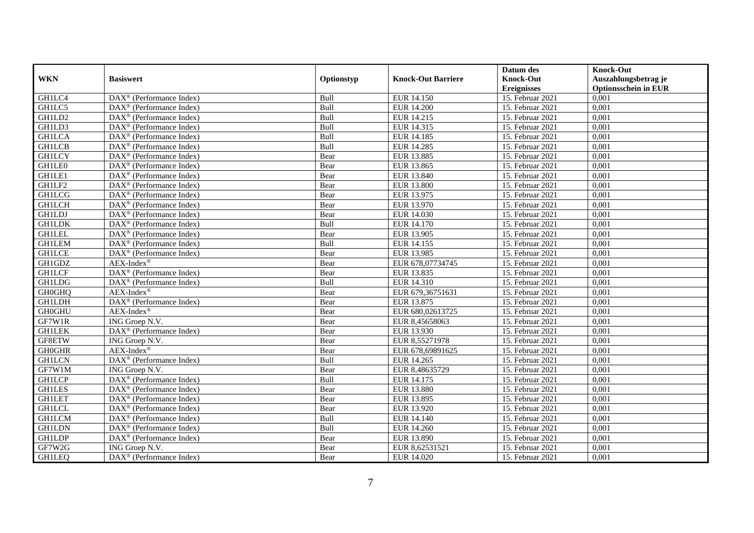|               |                                                       |            |                           | Datum des          | <b>Knock-Out</b>            |
|---------------|-------------------------------------------------------|------------|---------------------------|--------------------|-----------------------------|
| <b>WKN</b>    | <b>Basiswert</b>                                      | Optionstyp | <b>Knock-Out Barriere</b> | <b>Knock-Out</b>   | Auszahlungsbetrag je        |
|               |                                                       |            |                           | <b>Ereignisses</b> | <b>Optionsschein in EUR</b> |
| GH1LC4        | DAX <sup>®</sup> (Performance Index)                  | Bull       | EUR 14.150                | 15. Februar 2021   | 0,001                       |
| GH1LC5        | $\text{DAX}^{\textcircled{n}}$ (Performance Index)    | Bull       | <b>EUR 14.200</b>         | 15. Februar 2021   | 0,001                       |
| GH1LD2        | DAX <sup>®</sup> (Performance Index)                  | Bull       | EUR 14.215                | 15. Februar 2021   | 0,001                       |
| GH1LD3        | $DAX^{\otimes}$ (Performance Index)                   | Bull       | EUR 14.315                | 15. Februar 2021   | 0,001                       |
| <b>GH1LCA</b> | DAX <sup>®</sup> (Performance Index)                  | Bull       | <b>EUR 14.185</b>         | 15. Februar 2021   | 0,001                       |
| <b>GH1LCB</b> | $\text{DAX}^{\textcircled{p}}$ (Performance Index)    | Bull       | <b>EUR 14.285</b>         | 15. Februar 2021   | 0,001                       |
| <b>GH1LCY</b> | $DAX^{\otimes}$ (Performance Index)                   | Bear       | <b>EUR 13.885</b>         | 15. Februar 2021   | 0,001                       |
| GH1LE0        | $\overline{\text{DAX}^{\otimes}}$ (Performance Index) | Bear       | EUR 13.865                | 15. Februar 2021   | 0,001                       |
| GH1LE1        | $\text{DAX}^{\textcircled{n}}$ (Performance Index)    | Bear       | EUR 13.840                | 15. Februar 2021   | 0,001                       |
| GH1LF2        | DAX <sup>®</sup> (Performance Index)                  | Bear       | <b>EUR 13.800</b>         | 15. Februar 2021   | 0,001                       |
| <b>GH1LCG</b> | $\overline{\text{DAX}^{\otimes}}$ (Performance Index) | Bear       | EUR 13.975                | 15. Februar 2021   | 0,001                       |
| <b>GH1LCH</b> | DAX <sup>®</sup> (Performance Index)                  | Bear       | EUR 13.970                | 15. Februar 2021   | 0,001                       |
| <b>GH1LDJ</b> | DAX <sup>®</sup> (Performance Index)                  | Bear       | EUR 14.030                | 15. Februar 2021   | 0,001                       |
| <b>GH1LDK</b> | $\text{DAX}^{\textcircled{D}}$ (Performance Index)    | Bull       | <b>EUR 14.170</b>         | 15. Februar 2021   | 0,001                       |
| <b>GH1LEL</b> | $\text{DAX}^{\otimes}$ (Performance Index)            | Bear       | EUR 13.905                | 15. Februar 2021   | 0,001                       |
| <b>GH1LEM</b> | DAX <sup>®</sup> (Performance Index)                  | Bull       | EUR 14.155                | 15. Februar 2021   | 0,001                       |
| <b>GH1LCE</b> | DAX <sup>®</sup> (Performance Index)                  | Bear       | EUR 13.985                | 15. Februar 2021   | 0,001                       |
| GH1GDZ        | $AEX-Index^{\circledR}$                               | Bear       | EUR 678,07734745          | 15. Februar 2021   | 0,001                       |
| <b>GH1LCF</b> | DAX <sup>®</sup> (Performance Index)                  | Bear       | EUR 13.835                | 15. Februar 2021   | 0,001                       |
| <b>GH1LDG</b> | DAX <sup>®</sup> (Performance Index)                  | Bull       | EUR 14.310                | 15. Februar 2021   | 0,001                       |
| <b>GH0GHQ</b> | AEX-Index®                                            | Bear       | EUR 679,36751631          | 15. Februar 2021   | 0,001                       |
| <b>GH1LDH</b> | DAX <sup>®</sup> (Performance Index)                  | Bear       | EUR 13.875                | 15. Februar 2021   | 0,001                       |
| <b>GH0GHU</b> | $AEX-Index^{\circledR}$                               | Bear       | EUR 680,02613725          | 15. Februar 2021   | 0,001                       |
| GF7W1R        | ING Groep N.V.                                        | Bear       | EUR 8,45658063            | 15. Februar 2021   | 0,001                       |
| <b>GH1LEK</b> | $DAX^{\circledR}$ (Performance Index)                 | Bear       | EUR 13.930                | 15. Februar 2021   | 0.001                       |
| GF8ETW        | ING Groep N.V.                                        | Bear       | EUR 8,55271978            | 15. Februar 2021   | 0,001                       |
| <b>GH0GHR</b> | $AEX-Index^{\circledR}$                               | Bear       | EUR 678,69891625          | 15. Februar 2021   | 0,001                       |
| <b>GH1LCN</b> | DAX <sup>®</sup> (Performance Index)                  | Bull       | EUR 14.265                | 15. Februar 2021   | 0,001                       |
| GF7W1M        | ING Groep N.V.                                        | Bear       | EUR 8,48635729            | 15. Februar 2021   | 0,001                       |
| <b>GH1LCP</b> | $\text{DAX}^{\circledast}$ (Performance Index)        | Bull       | EUR 14.175                | 15. Februar 2021   | 0,001                       |
| <b>GH1LES</b> | DAX <sup>®</sup> (Performance Index)                  | Bear       | <b>EUR 13.880</b>         | 15. Februar 2021   | 0,001                       |
| <b>GH1LET</b> | $DAX^{\circledR}$ (Performance Index)                 | Bear       | EUR 13.895                | 15. Februar 2021   | 0,001                       |
| <b>GH1LCL</b> | $\text{DAX}^{\textcircled{D}}$ (Performance Index)    | Bear       | EUR 13.920                | 15. Februar 2021   | 0,001                       |
| <b>GH1LCM</b> | DAX <sup>®</sup> (Performance Index)                  | Bull       | EUR 14.140                | 15. Februar 2021   | 0,001                       |
| <b>GH1LDN</b> | DAX <sup>®</sup> (Performance Index)                  | Bull       | EUR 14.260                | 15. Februar 2021   | 0,001                       |
| <b>GH1LDP</b> | DAX <sup>®</sup> (Performance Index)                  | Bear       | EUR 13.890                | 15. Februar 2021   | 0,001                       |
| GF7W2G        | ING Groep N.V.                                        | Bear       | EUR 8,62531521            | 15. Februar 2021   | 0,001                       |
| <b>GH1LEQ</b> | DAX <sup>®</sup> (Performance Index)                  | Bear       | EUR 14.020                | 15. Februar 2021   | 0,001                       |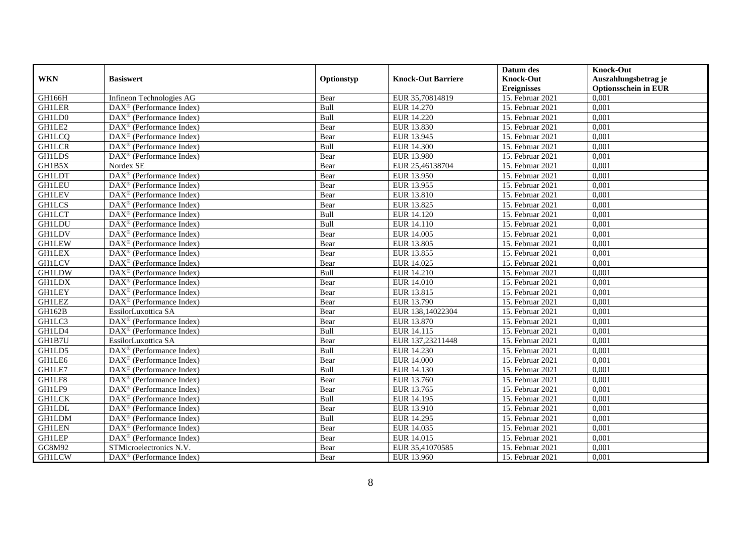|               |                                                              |            |                           | Datum des          | <b>Knock-Out</b>            |
|---------------|--------------------------------------------------------------|------------|---------------------------|--------------------|-----------------------------|
| <b>WKN</b>    | <b>Basiswert</b>                                             | Optionstyp | <b>Knock-Out Barriere</b> | <b>Knock-Out</b>   | Auszahlungsbetrag je        |
|               |                                                              |            |                           | <b>Ereignisses</b> | <b>Optionsschein in EUR</b> |
| GH166H        | Infineon Technologies AG                                     | Bear       | EUR 35,70814819           | 15. Februar 2021   | 0,001                       |
| <b>GH1LER</b> | $\overline{\text{DAX}}^{\textcircled{}}$ (Performance Index) | Bull       | EUR 14.270                | 15. Februar 2021   | 0,001                       |
| GH1LD0        | DAX <sup>®</sup> (Performance Index)                         | Bull       | EUR 14.220                | 15. Februar 2021   | 0,001                       |
| GH1LE2        | $\text{DAX}^{\circledast}$ (Performance Index)               | Bear       | EUR 13.830                | 15. Februar 2021   | 0,001                       |
| <b>GH1LCQ</b> | DAX <sup>®</sup> (Performance Index)                         | Bear       | EUR 13.945                | 15. Februar 2021   | 0,001                       |
| <b>GH1LCR</b> | $\text{DAX}^{\textcircled{n}}$ (Performance Index)           | Bull       | <b>EUR 14.300</b>         | 15. Februar 2021   | 0,001                       |
| <b>GH1LDS</b> | $\overline{\text{DAX}}^{\textcircled{}}$ (Performance Index) | Bear       | EUR 13.980                | 15. Februar 2021   | 0,001                       |
| GH1B5X        | Nordex SE                                                    | Bear       | EUR 25,46138704           | 15. Februar 2021   | 0,001                       |
| <b>GH1LDT</b> | DAX <sup>®</sup> (Performance Index)                         | Bear       | EUR 13.950                | 15. Februar 2021   | 0,001                       |
| <b>GH1LEU</b> | $DAX^{\otimes}$ (Performance Index)                          | Bear       | EUR 13.955                | 15. Februar 2021   | 0,001                       |
| <b>GHILEV</b> | $\overline{\text{DAX}}^{\textcirc}$ (Performance Index)      | Bear       | EUR 13.810                | 15. Februar 2021   | 0,001                       |
| <b>GH1LCS</b> | $\overline{\text{DAX}^{\otimes}}$ (Performance Index)        | Bear       | EUR 13.825                | 15. Februar 2021   | 0,001                       |
| <b>GH1LCT</b> | $\text{DAX}^{\textcircled{n}}$ (Performance Index)           | Bull       | <b>EUR 14.120</b>         | 15. Februar 2021   | 0,001                       |
| <b>GH1LDU</b> | DAX <sup>®</sup> (Performance Index)                         | Bull       | EUR 14.110                | 15. Februar 2021   | 0,001                       |
| <b>GH1LDV</b> | DAX <sup>®</sup> (Performance Index)                         | Bear       | EUR 14.005                | 15. Februar 2021   | 0,001                       |
| <b>GH1LEW</b> | DAX <sup>®</sup> (Performance Index)                         | Bear       | EUR 13.805                | 15. Februar 2021   | 0,001                       |
| <b>GH1LEX</b> | DAX <sup>®</sup> (Performance Index)                         | Bear       | EUR 13.855                | 15. Februar 2021   | 0,001                       |
| <b>GH1LCV</b> | $DAX^{\circledR}$ (Performance Index)                        | Bear       | EUR 14.025                | 15. Februar 2021   | 0,001                       |
| <b>GH1LDW</b> | $\overline{\text{DAX}}^{\textcircled{}}$ (Performance Index) | Bull       | <b>EUR 14.210</b>         | 15. Februar 2021   | 0,001                       |
| <b>GH1LDX</b> | $\overline{\text{DAX}^{\otimes}}$ (Performance Index)        | Bear       | <b>EUR 14.010</b>         | 15. Februar 2021   | 0,001                       |
| <b>GH1LEY</b> | DAX <sup>®</sup> (Performance Index)                         | Bear       | EUR 13.815                | 15. Februar 2021   | 0,001                       |
| <b>GH1LEZ</b> | $\overline{\text{DAX}^{\otimes}}$ (Performance Index)        | Bear       | EUR 13.790                | 15. Februar 2021   | 0,001                       |
| GH162B        | EssilorLuxottica SA                                          | Bear       | EUR 138,14022304          | 15. Februar 2021   | 0,001                       |
| GH1LC3        | DAX <sup>®</sup> (Performance Index)                         | Bear       | EUR 13.870                | 15. Februar 2021   | 0,001                       |
| GH1LD4        | $\overline{\text{DAX}^{\otimes}}$ (Performance Index)        | Bull       | EUR 14.115                | 15. Februar 2021   | 0,001                       |
| GH1B7U        | EssilorLuxottica SA                                          | Bear       | EUR 137,23211448          | 15. Februar 2021   | 0,001                       |
| GH1LD5        | DAX <sup>®</sup> (Performance Index)                         | Bull       | EUR 14.230                | 15. Februar 2021   | 0,001                       |
| GH1LE6        | $\text{DAX}^{\textcircled{D}}$ (Performance Index)           | Bear       | <b>EUR 14.000</b>         | 15. Februar 2021   | 0,001                       |
| GH1LE7        | $\text{DAX}^{\textcircled{D}}$ (Performance Index)           | Bull       | EUR 14.130                | 15. Februar 2021   | 0,001                       |
| GH1LF8        | $DAX^{\otimes}$ (Performance Index)                          | Bear       | EUR 13.760                | 15. Februar 2021   | 0,001                       |
| GH1LF9        | DAX <sup>®</sup> (Performance Index)                         | Bear       | EUR 13.765                | 15. Februar 2021   | 0,001                       |
| <b>GH1LCK</b> | DAX <sup>®</sup> (Performance Index)                         | Bull       | EUR 14.195                | 15. Februar 2021   | 0,001                       |
| <b>GH1LDL</b> | $\overline{\text{DAX}^{\otimes}}$ (Performance Index)        | Bear       | EUR 13.910                | 15. Februar 2021   | 0,001                       |
| <b>GH1LDM</b> | DAX <sup>®</sup> (Performance Index)                         | Bull       | EUR 14.295                | 15. Februar 2021   | 0,001                       |
| <b>GH1LEN</b> | $\text{DAX}^{\textcircled{n}}$ (Performance Index)           | Bear       | EUR 14.035                | 15. Februar 2021   | 0,001                       |
| <b>GH1LEP</b> | DAX <sup>®</sup> (Performance Index)                         | Bear       | EUR 14.015                | 15. Februar 2021   | 0,001                       |
| GC8M92        | STMicroelectronics N.V.                                      | Bear       | EUR 35,41070585           | 15. Februar 2021   | 0,001                       |
| <b>GH1LCW</b> | $\overline{\text{DAX}}^{\textcircled{}}$ (Performance Index) | Bear       | EUR 13.960                | 15. Februar 2021   | 0,001                       |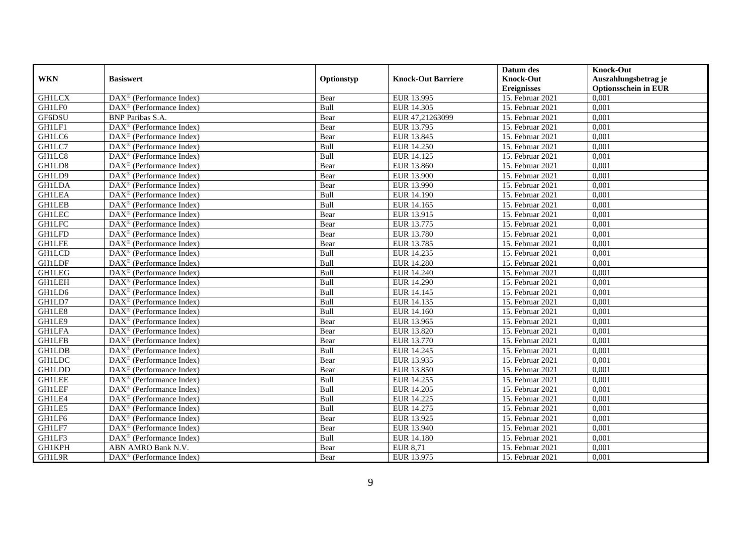|               |                                                              |            |                           | Datum des          | <b>Knock-Out</b>            |
|---------------|--------------------------------------------------------------|------------|---------------------------|--------------------|-----------------------------|
| <b>WKN</b>    | <b>Basiswert</b>                                             | Optionstyp | <b>Knock-Out Barriere</b> | <b>Knock-Out</b>   | Auszahlungsbetrag je        |
|               |                                                              |            |                           | <b>Ereignisses</b> | <b>Optionsschein in EUR</b> |
| <b>GH1LCX</b> | DAX <sup>®</sup> (Performance Index)                         | Bear       | EUR 13.995                | 15. Februar 2021   | 0,001                       |
| GH1LF0        | $\overline{\text{DAX}}^{\textcircled{}}$ (Performance Index) | Bull       | EUR 14.305                | 15. Februar 2021   | 0,001                       |
| GF6DSU        | <b>BNP</b> Paribas S.A.                                      | Bear       | EUR 47,21263099           | 15. Februar 2021   | 0,001                       |
| GH1LF1        | $\text{DAX}^{\otimes}$ (Performance Index)                   | Bear       | EUR 13.795                | 15. Februar 2021   | 0,001                       |
| GH1LC6        | DAX <sup>®</sup> (Performance Index)                         | Bear       | EUR 13.845                | 15. Februar 2021   | 0,001                       |
| GH1LC7        | $\text{DAX}^{\textcircled{n}}$ (Performance Index)           | Bull       | EUR 14.250                | 15. Februar 2021   | 0,001                       |
| GH1LC8        | $\text{DAX}^{\textcircled{n}}$ (Performance Index)           | Bull       | EUR 14.125                | 15. Februar 2021   | 0,001                       |
| GH1LD8        | $\text{DAX}^{\textcircled{}}$ (Performance Index)            | Bear       | EUR 13.860                | 15. Februar 2021   | 0,001                       |
| GH1LD9        | $\text{DAX}^{\textcircled{D}}$ (Performance Index)           | Bear       | <b>EUR 13.900</b>         | 15. Februar 2021   | 0,001                       |
| <b>GH1LDA</b> | $DAX^{\otimes}$ (Performance Index)                          | Bear       | EUR 13.990                | 15. Februar 2021   | 0,001                       |
| <b>GH1LEA</b> | $\overline{\text{DAX}}^{\textcircled{}}$ (Performance Index) | Bull       | <b>EUR 14.190</b>         | 15. Februar 2021   | 0,001                       |
| <b>GH1LEB</b> | $\overline{\text{DAX}^{\otimes}}$ (Performance Index)        | Bull       | EUR 14.165                | 15. Februar 2021   | 0,001                       |
| <b>GH1LEC</b> | $\text{DAX}^{\textcircled{n}}$ (Performance Index)           | Bear       | EUR 13.915                | 15. Februar 2021   | 0,001                       |
| <b>GH1LFC</b> | DAX <sup>®</sup> (Performance Index)                         | Bear       | EUR 13.775                | 15. Februar 2021   | 0,001                       |
| <b>GH1LFD</b> | DAX <sup>®</sup> (Performance Index)                         | Bear       | EUR 13.780                | 15. Februar 2021   | 0,001                       |
| <b>GH1LFE</b> | DAX <sup>®</sup> (Performance Index)                         | Bear       | EUR 13.785                | 15. Februar 2021   | 0,001                       |
| <b>GH1LCD</b> | DAX <sup>®</sup> (Performance Index)                         | Bull       | EUR 14.235                | 15. Februar 2021   | 0,001                       |
| <b>GH1LDF</b> | $\overline{\text{DAX}}^{\textcirc}$ (Performance Index)      | Bull       | EUR 14.280                | 15. Februar 2021   | 0,001                       |
| <b>GH1LEG</b> | DAX <sup>®</sup> (Performance Index)                         | Bull       | EUR 14.240                | 15. Februar 2021   | 0,001                       |
| <b>GH1LEH</b> | DAX <sup>®</sup> (Performance Index)                         | Bull       | <b>EUR 14.290</b>         | 15. Februar 2021   | 0,001                       |
| GH1LD6        | DAX <sup>®</sup> (Performance Index)                         | Bull       | EUR 14.145                | 15. Februar 2021   | 0,001                       |
| GH1LD7        | $\overline{\text{DAX}^{\otimes}}$ (Performance Index)        | Bull       | EUR 14.135                | 15. Februar 2021   | 0,001                       |
| GH1LE8        | $\text{DAX}^{\circledast}$ (Performance Index)               | Bull       | EUR 14.160                | 15. Februar 2021   | 0,001                       |
| GH1LE9        | DAX <sup>®</sup> (Performance Index)                         | Bear       | EUR 13.965                | 15. Februar 2021   | 0,001                       |
| <b>GH1LFA</b> | DAX <sup>®</sup> (Performance Index)                         | Bear       | EUR 13.820                | 15. Februar 2021   | 0,001                       |
| <b>GH1LFB</b> | $\text{DAX}^{\otimes}$ (Performance Index)                   | Bear       | EUR 13.770                | 15. Februar 2021   | 0,001                       |
| <b>GH1LDB</b> | $\text{DAX}^{\circledast}$ (Performance Index)               | Bull       | EUR 14.245                | 15. Februar 2021   | 0,001                       |
| <b>GH1LDC</b> | $\text{DAX}^{\textcircled{D}}$ (Performance Index)           | Bear       | EUR 13.935                | 15. Februar 2021   | 0,001                       |
| <b>GH1LDD</b> | $\text{DAX}^{\textcircled{D}}$ (Performance Index)           | Bear       | EUR 13.850                | 15. Februar 2021   | 0,001                       |
| <b>GH1LEE</b> | $DAX^{\otimes}$ (Performance Index)                          | Bull       | EUR 14.255                | 15. Februar 2021   | 0,001                       |
| <b>GH1LEF</b> | DAX <sup>®</sup> (Performance Index)                         | Bull       | EUR 14.205                | 15. Februar 2021   | 0,001                       |
| GH1LE4        | DAX <sup>®</sup> (Performance Index)                         | Bull       | EUR 14.225                | 15. Februar 2021   | 0,001                       |
| GH1LE5        | $\overline{\text{DAX}^{\otimes}}$ (Performance Index)        | Bull       | EUR 14.275                | 15. Februar 2021   | 0,001                       |
| GH1LF6        | DAX <sup>®</sup> (Performance Index)                         | Bear       | EUR 13.925                | 15. Februar 2021   | 0,001                       |
| GH1LF7        | $\text{DAX}^{\textcircled{n}}$ (Performance Index)           | Bear       | EUR 13.940                | 15. Februar 2021   | 0,001                       |
| GH1LF3        | $\text{DAX}^{\textcircled{n}}$ (Performance Index)           | Bull       | <b>EUR 14.180</b>         | 15. Februar 2021   | 0,001                       |
| GH1KPH        | ABN AMRO Bank N.V.                                           | Bear       | <b>EUR 8,71</b>           | 15. Februar 2021   | 0,001                       |
| GH1L9R        | $\overline{\text{DAX}}^{\textcircled{}}$ (Performance Index) | Bear       | EUR 13.975                | 15. Februar 2021   | 0,001                       |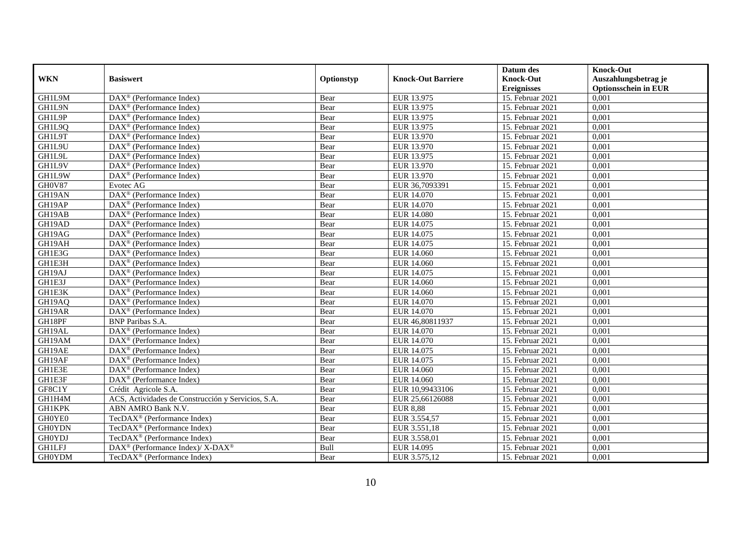|               |                                                                 |            |                           | Datum des          | <b>Knock-Out</b>            |
|---------------|-----------------------------------------------------------------|------------|---------------------------|--------------------|-----------------------------|
| <b>WKN</b>    | <b>Basiswert</b>                                                | Optionstyp | <b>Knock-Out Barriere</b> | <b>Knock-Out</b>   | Auszahlungsbetrag je        |
|               |                                                                 |            |                           | <b>Ereignisses</b> | <b>Optionsschein in EUR</b> |
| GH1L9M        | $\overline{\text{DAX}^{\otimes}}$ (Performance Index)           | Bear       | EUR 13.975                | 15. Februar 2021   | 0,001                       |
| GH1L9N        | $DAX^{\circledR}$ (Performance Index)                           | Bear       | EUR 13.975                | 15. Februar 2021   | 0,001                       |
| GH1L9P        | DAX <sup>®</sup> (Performance Index)                            | Bear       | EUR 13.975                | 15. Februar 2021   | 0,001                       |
| GH1L9Q        | $\text{DAX}^{\otimes}$ (Performance Index)                      | Bear       | EUR 13.975                | 15. Februar 2021   | 0,001                       |
| GH1L9T        | DAX <sup>®</sup> (Performance Index)                            | Bear       | EUR 13.970                | 15. Februar 2021   | 0,001                       |
| GH1L9U        | $\text{DAX}^{\textcircled{n}}$ (Performance Index)              | Bear       | EUR 13.970                | 15. Februar 2021   | 0,001                       |
| GH1L9L        | $\text{DAX}^{\textcircled{n}}$ (Performance Index)              | Bear       | EUR 13.975                | 15. Februar 2021   | 0,001                       |
| GH1L9V        | $DAX^{\otimes}$ (Performance Index)                             | Bear       | EUR 13.970                | 15. Februar 2021   | 0,001                       |
| GH1L9W        | $\text{DAX}^{\textcircled{n}}$ (Performance Index)              | Bear       | EUR 13.970                | 15. Februar 2021   | 0,001                       |
| GH0V87        | Evotec AG                                                       | Bear       | EUR 36,7093391            | 15. Februar 2021   | 0,001                       |
| GH19AN        | $\overline{\text{DAX}^{\circledast}(\text{Performance Index})}$ | Bear       | <b>EUR 14.070</b>         | 15. Februar 2021   | 0,001                       |
| GH19AP        | $\overline{\text{DAX}^{\otimes}}$ (Performance Index)           | Bear       | EUR 14.070                | 15. Februar 2021   | 0,001                       |
| GH19AB        | $\text{DAX}^{\textcircled{n}}$ (Performance Index)              | Bear       | <b>EUR 14.080</b>         | 15. Februar 2021   | 0,001                       |
| GH19AD        | DAX <sup>®</sup> (Performance Index)                            | Bear       | EUR 14.075                | 15. Februar 2021   | 0,001                       |
| GH19AG        | $\text{DAX}^{\otimes}$ (Performance Index)                      | Bear       | EUR 14.075                | 15. Februar 2021   | 0,001                       |
| GH19AH        | DAX <sup>®</sup> (Performance Index)                            | Bear       | EUR 14.075                | 15. Februar 2021   | 0,001                       |
| GH1E3G        | DAX <sup>®</sup> (Performance Index)                            | Bear       | EUR 14.060                | 15. Februar 2021   | 0,001                       |
| GH1E3H        | $DAX^{\circledR}$ (Performance Index)                           | Bear       | EUR 14.060                | 15. Februar 2021   | 0,001                       |
| GH19AJ        | DAX <sup>®</sup> (Performance Index)                            | Bear       | EUR 14.075                | 15. Februar 2021   | 0,001                       |
| GH1E3J        | DAX <sup>®</sup> (Performance Index)                            | Bear       | EUR 14.060                | 15. Februar 2021   | 0,001                       |
| GH1E3K        | $\overline{\text{DAX}^{\otimes}}$ (Performance Index)           | Bear       | EUR 14.060                | 15. Februar 2021   | 0,001                       |
| GH19AQ        | $\overline{\text{DAX}^{\otimes}}$ (Performance Index)           | Bear       | EUR 14.070                | 15. Februar 2021   | 0,001                       |
| GH19AR        | $\text{DAX}^{\circledast}$ (Performance Index)                  | Bear       | EUR 14.070                | 15. Februar 2021   | 0,001                       |
| GH18PF        | <b>BNP</b> Paribas S.A.                                         | Bear       | EUR 46,80811937           | 15. Februar 2021   | 0,001                       |
| GH19AL        | $\text{DAX}^{\textcircled{n}}$ (Performance Index)              | Bear       | EUR 14.070                | 15. Februar 2021   | 0,001                       |
| GH19AM        | $\text{DAX}^{\otimes}$ (Performance Index)                      | Bear       | EUR 14.070                | 15. Februar 2021   | 0,001                       |
| GH19AE        | $\text{DAX}^{\circledast}$ (Performance Index)                  | Bear       | EUR 14.075                | 15. Februar 2021   | 0,001                       |
| GH19AF        | $\text{DAX}^{\textcircled{p}}$ (Performance Index)              | Bear       | EUR 14.075                | 15. Februar 2021   | 0,001                       |
| GH1E3E        | $\text{DAX}^{\textcircled{p}}$ (Performance Index)              | Bear       | EUR 14.060                | 15. Februar 2021   | 0,001                       |
| GH1E3F        | $DAX^{\otimes}$ (Performance Index)                             | Bear       | EUR 14.060                | 15. Februar 2021   | 0,001                       |
| GF8C1Y        | Crédit Agricole S.A.                                            | Bear       | EUR 10,99433106           | 15. Februar 2021   | 0,001                       |
| GH1H4M        | ACS, Actividades de Construcción y Servicios, S.A.              | Bear       | EUR 25,66126088           | 15. Februar 2021   | 0,001                       |
| <b>GH1KPK</b> | ABN AMRO Bank N.V.                                              | Bear       | <b>EUR 8,88</b>           | 15. Februar 2021   | 0,001                       |
| GH0YE0        | TecDAX <sup>®</sup> (Performance Index)                         | Bear       | EUR 3.554,57              | 15. Februar 2021   | 0,001                       |
| <b>GH0YDN</b> | TecDAX <sup>®</sup> (Performance Index)                         | Bear       | EUR 3.551,18              | 15. Februar 2021   | 0,001                       |
| GH0YDJ        | TecDAX <sup>®</sup> (Performance Index)                         | Bear       | EUR 3.558,01              | 15. Februar 2021   | 0,001                       |
| <b>GH1LFJ</b> | DAX <sup>®</sup> (Performance Index)/ X-DAX <sup>®</sup>        | Bull       | EUR 14.095                | 15. Februar 2021   | 0,001                       |
| <b>GH0YDM</b> | TecDAX <sup>®</sup> (Performance Index)                         | Bear       | EUR 3.575,12              | 15. Februar 2021   | 0,001                       |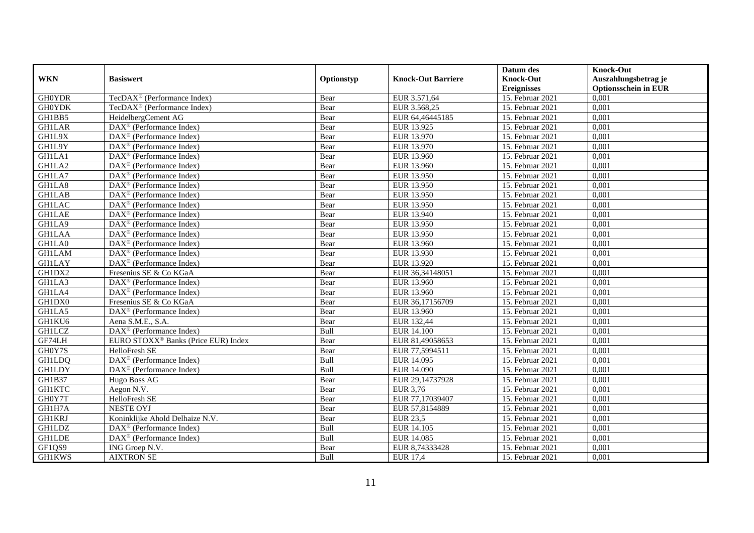|               |                                                              |            |                           | Datum des          | <b>Knock-Out</b>            |
|---------------|--------------------------------------------------------------|------------|---------------------------|--------------------|-----------------------------|
| <b>WKN</b>    | <b>Basiswert</b>                                             | Optionstyp | <b>Knock-Out Barriere</b> | <b>Knock-Out</b>   | Auszahlungsbetrag je        |
|               |                                                              |            |                           | <b>Ereignisses</b> | <b>Optionsschein in EUR</b> |
| <b>GH0YDR</b> | TecDAX <sup>®</sup> (Performance Index)                      | Bear       | EUR 3.571,64              | 15. Februar 2021   | 0,001                       |
| <b>GH0YDK</b> | TecDAX <sup>®</sup> (Performance Index)                      | Bear       | EUR 3.568,25              | 15. Februar 2021   | 0,001                       |
| GH1BB5        | HeidelbergCement AG                                          | Bear       | EUR 64,46445185           | 15. Februar 2021   | 0,001                       |
| <b>GH1LAR</b> | DAX <sup>®</sup> (Performance Index)                         | Bear       | EUR 13.925                | 15. Februar 2021   | 0,001                       |
| GH1L9X        | $\overline{\text{DAX}}^{\textcircled{}}$ (Performance Index) | Bear       | EUR 13.970                | 15. Februar 2021   | 0,001                       |
| GH1L9Y        | DAX <sup>®</sup> (Performance Index)                         | Bear       | EUR 13.970                | 15. Februar 2021   | 0,001                       |
| GH1LA1        | $DAX^{\otimes}$ (Performance Index)                          | Bear       | EUR 13.960                | 15. Februar 2021   | 0,001                       |
| GH1LA2        | DAX <sup>®</sup> (Performance Index)                         | Bear       | EUR 13.960                | 15. Februar 2021   | 0,001                       |
| GH1LA7        | $\text{DAX}^{\circledast}$ (Performance Index)               | Bear       | EUR 13.950                | 15. Februar 2021   | 0,001                       |
| GH1LA8        | $\text{DAX}^{\textcircled{}}$ (Performance Index)            | Bear       | EUR 13.950                | 15. Februar 2021   | 0,001                       |
| <b>GH1LAB</b> | $\overline{\text{DAX}^{\otimes}}$ (Performance Index)        | Bear       | EUR 13.950                | 15. Februar 2021   | 0,001                       |
| <b>GH1LAC</b> | DAX <sup>®</sup> (Performance Index)                         | Bear       | EUR 13.950                | 15. Februar 2021   | 0,001                       |
| <b>GH1LAE</b> | $\text{DAX}^{\textcircled{n}}$ (Performance Index)           | Bear       | EUR 13.940                | 15. Februar 2021   | 0,001                       |
| GH1LA9        | DAX <sup>®</sup> (Performance Index)                         | Bear       | EUR 13.950                | 15. Februar 2021   | 0.001                       |
| <b>GH1LAA</b> | $DAX^{\otimes}$ (Performance Index)                          | Bear       | EUR 13.950                | 15. Februar 2021   | 0,001                       |
| GH1LA0        | $\overline{\text{DAX}}^{\textcirc}$ (Performance Index)      | Bear       | EUR 13.960                | 15. Februar 2021   | 0,001                       |
| <b>GH1LAM</b> | $\text{DAX}^{\textcircled{p}}$ (Performance Index)           | Bear       | EUR 13.930                | 15. Februar 2021   | 0,001                       |
| <b>GH1LAY</b> | DAX <sup>®</sup> (Performance Index)                         | Bear       | EUR 13.920                | 15. Februar 2021   | 0,001                       |
| GH1DX2        | Fresenius SE & Co KGaA                                       | Bear       | EUR 36,34148051           | 15. Februar 2021   | 0,001                       |
| GH1LA3        | $\text{DAX}^{\textcircled{n}}$ (Performance Index)           | Bear       | EUR 13.960                | 15. Februar 2021   | 0,001                       |
| GH1LA4        | DAX <sup>®</sup> (Performance Index)                         | Bear       | EUR 13.960                | 15. Februar 2021   | 0,001                       |
| GH1DX0        | Fresenius SE & Co KGaA                                       | Bear       | EUR 36,17156709           | 15. Februar 2021   | 0,001                       |
| GH1LA5        | $\overline{\text{DAX}}^{\textcirc}$ (Performance Index)      | Bear       | EUR 13.960                | 15. Februar 2021   | 0,001                       |
| GH1KU6        | Aena S.M.E., S.A.                                            | Bear       | EUR 132,44                | 15. Februar 2021   | 0,001                       |
| <b>GH1LCZ</b> | $\text{DAX}^{\textcircled{D}}$ (Performance Index)           | Bull       | <b>EUR 14.100</b>         | 15. Februar 2021   | 0,001                       |
| GF74LH        | EURO STOXX <sup>®</sup> Banks (Price EUR) Index              | Bear       | EUR 81,49058653           | 15. Februar 2021   | 0,001                       |
| GH0Y7S        | HelloFresh SE                                                | Bear       | EUR 77,5994511            | 15. Februar 2021   | 0,001                       |
| <b>GH1LDQ</b> | DAX <sup>®</sup> (Performance Index)                         | Bull       | EUR 14.095                | 15. Februar 2021   | 0,001                       |
| <b>GH1LDY</b> | $\text{DAX}^{\otimes}$ (Performance Index)                   | Bull       | EUR 14.090                | 15. Februar 2021   | 0,001                       |
| GH1B37        | Hugo Boss AG                                                 | Bear       | EUR 29,14737928           | 15. Februar 2021   | 0,001                       |
| <b>GH1KTC</b> | Aegon N.V.                                                   | Bear       | <b>EUR 3,76</b>           | 15. Februar 2021   | 0,001                       |
| GH0Y7T        | HelloFresh SE                                                | Bear       | EUR 77,17039407           | 15. Februar 2021   | 0,001                       |
| GH1H7A        | <b>NESTE OYJ</b>                                             | Bear       | EUR 57,8154889            | 15. Februar 2021   | 0,001                       |
| <b>GH1KRJ</b> | Koninklijke Ahold Delhaize N.V.                              | Bear       | <b>EUR 23,5</b>           | 15. Februar 2021   | 0,001                       |
| <b>GH1LDZ</b> | $\text{DAX}^{\textcircled{n}}$ (Performance Index)           | Bull       | EUR 14.105                | 15. Februar 2021   | 0,001                       |
| <b>GH1LDE</b> | DAX <sup>®</sup> (Performance Index)                         | Bull       | EUR 14.085                | 15. Februar 2021   | 0,001                       |
| GF1QS9        | ING Groep N.V.                                               | Bear       | EUR 8,74333428            | 15. Februar 2021   | 0,001                       |
| <b>GH1KWS</b> | <b>AIXTRON SE</b>                                            | Bull       | <b>EUR 17,4</b>           | 15. Februar 2021   | 0,001                       |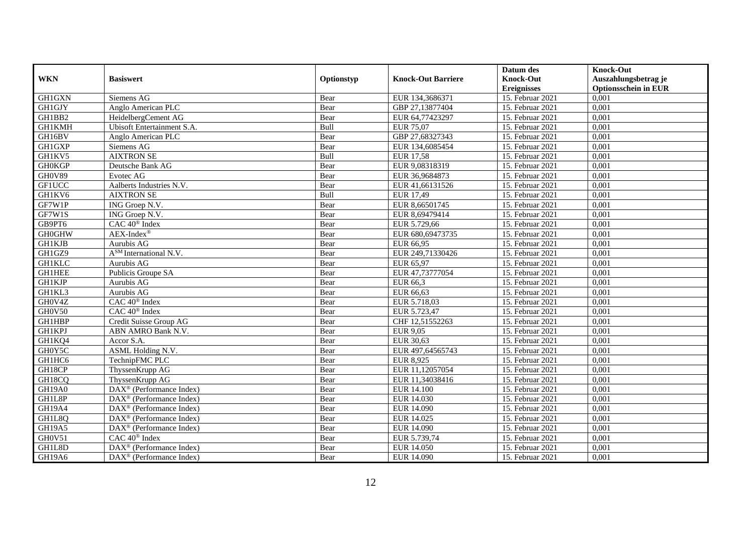|               |                                                       |            |                           | Datum des          | <b>Knock-Out</b>            |
|---------------|-------------------------------------------------------|------------|---------------------------|--------------------|-----------------------------|
| <b>WKN</b>    | <b>Basiswert</b>                                      | Optionstyp | <b>Knock-Out Barriere</b> | <b>Knock-Out</b>   | Auszahlungsbetrag je        |
|               |                                                       |            |                           | <b>Ereignisses</b> | <b>Optionsschein in EUR</b> |
| <b>GH1GXN</b> | Siemens AG                                            | Bear       | EUR 134,3686371           | 15. Februar 2021   | 0,001                       |
| <b>GH1GJY</b> | Anglo American PLC                                    | Bear       | GBP 27,13877404           | 15. Februar 2021   | 0,001                       |
| GH1BB2        | HeidelbergCement AG                                   | Bear       | EUR 64,77423297           | 15. Februar 2021   | 0,001                       |
| GH1KMH        | Ubisoft Entertainment S.A.                            | Bull       | <b>EUR 75,07</b>          | 15. Februar 2021   | 0,001                       |
| GH16BV        | Anglo American PLC                                    | Bear       | GBP 27,68327343           | 15. Februar 2021   | 0,001                       |
| GH1GXP        | Siemens AG                                            | Bear       | EUR 134,6085454           | 15. Februar 2021   | 0,001                       |
| GH1KV5        | <b>AIXTRON SE</b>                                     | Bull       | <b>EUR 17,58</b>          | 15. Februar 2021   | 0,001                       |
| <b>GH0KGP</b> | Deutsche Bank AG                                      | Bear       | EUR 9,08318319            | 15. Februar 2021   | 0,001                       |
| GH0V89        | Evotec AG                                             | Bear       | EUR 36,9684873            | 15. Februar 2021   | 0,001                       |
| <b>GF1UCC</b> | Aalberts Industries N.V.                              | Bear       | EUR 41,66131526           | 15. Februar 2021   | 0,001                       |
| GH1KV6        | <b>AIXTRON SE</b>                                     | Bull       | EUR 17,49                 | 15. Februar 2021   | 0,001                       |
| GF7W1P        | ING Groep N.V.                                        | Bear       | EUR 8,66501745            | 15. Februar 2021   | 0,001                       |
| GF7W1S        | ING Groep N.V.                                        | Bear       | EUR 8,69479414            | 15. Februar 2021   | 0,001                       |
| GB9PT6        | CAC 40 <sup>®</sup> Index                             | Bear       | EUR 5.729,66              | 15. Februar 2021   | 0,001                       |
| <b>GH0GHW</b> | $AEX-Index^{\circledR}$                               | Bear       | EUR 680,69473735          | 15. Februar 2021   | 0,001                       |
| GH1KJB        | Aurubis AG                                            | Bear       | EUR 66,95                 | 15. Februar 2021   | 0,001                       |
| GH1GZ9        | $\overline{A^{SM}}$ International N.V.                | Bear       | EUR 249,71330426          | 15. Februar 2021   | 0,001                       |
| <b>GH1KLC</b> | Aurubis AG                                            | Bear       | EUR 65.97                 | 15. Februar 2021   | 0,001                       |
| <b>GH1HEE</b> | Publicis Groupe SA                                    | Bear       | EUR 47,73777054           | 15. Februar 2021   | 0,001                       |
| <b>GH1KJP</b> | Aurubis AG                                            | Bear       | EUR 66,3                  | 15. Februar 2021   | 0,001                       |
| GH1KL3        | Aurubis AG                                            | Bear       | EUR 66,63                 | 15. Februar 2021   | 0,001                       |
| GH0V4Z        | CAC 40 <sup>®</sup> Index                             | Bear       | EUR 5.718,03              | 15. Februar 2021   | 0,001                       |
| GH0V50        | CAC 40 <sup>®</sup> Index                             | Bear       | EUR 5.723,47              | 15. Februar 2021   | 0,001                       |
| <b>GH1HBP</b> | Credit Suisse Group AG                                | Bear       | CHF 12,51552263           | 15. Februar 2021   | 0,001                       |
| <b>GH1KPJ</b> | ABN AMRO Bank N.V.                                    | Bear       | <b>EUR 9,05</b>           | 15. Februar 2021   | 0,001                       |
| GH1KQ4        | Accor S.A.                                            | Bear       | EUR 30,63                 | 15. Februar 2021   | 0,001                       |
| GH0Y5C        | ASML Holding N.V.                                     | Bear       | EUR 497,64565743          | 15. Februar 2021   | 0,001                       |
| GH1HC6        | TechnipFMC PLC                                        | Bear       | EUR 8,925                 | 15. Februar 2021   | 0,001                       |
| GH18CP        | ThyssenKrupp AG                                       | Bear       | EUR 11,12057054           | 15. Februar 2021   | 0,001                       |
| GH18CQ        | ThyssenKrupp AG                                       | Bear       | EUR 11,34038416           | 15. Februar 2021   | 0,001                       |
| <b>GH19A0</b> | DAX <sup>®</sup> (Performance Index)                  | Bear       | <b>EUR 14.100</b>         | 15. Februar 2021   | 0,001                       |
| GH1L8P        | DAX <sup>®</sup> (Performance Index)                  | Bear       | EUR 14.030                | 15. Februar 2021   | 0,001                       |
| GH19A4        | $DAX^{\circledR}$ (Performance Index)                 | Bear       | EUR 14.090                | 15. Februar 2021   | 0,001                       |
| GH1L8Q        | $\overline{\text{DAX}^{\otimes}}$ (Performance Index) | Bear       | EUR 14.025                | 15. Februar 2021   | 0,001                       |
| GH19A5        | $DAX^{\circledast}$ (Performance Index)               | Bear       | EUR 14.090                | 15. Februar 2021   | 0,001                       |
| GH0V51        | CAC 40 <sup>®</sup> Index                             | Bear       | EUR 5.739,74              | 15. Februar 2021   | 0,001                       |
| GH1L8D        | DAX <sup>®</sup> (Performance Index)                  | Bear       | EUR 14.050                | 15. Februar 2021   | 0,001                       |
| GH19A6        | $\text{DAX}^{\textcircled{}}$ (Performance Index)     | Bear       | EUR 14.090                | 15. Februar 2021   | 0,001                       |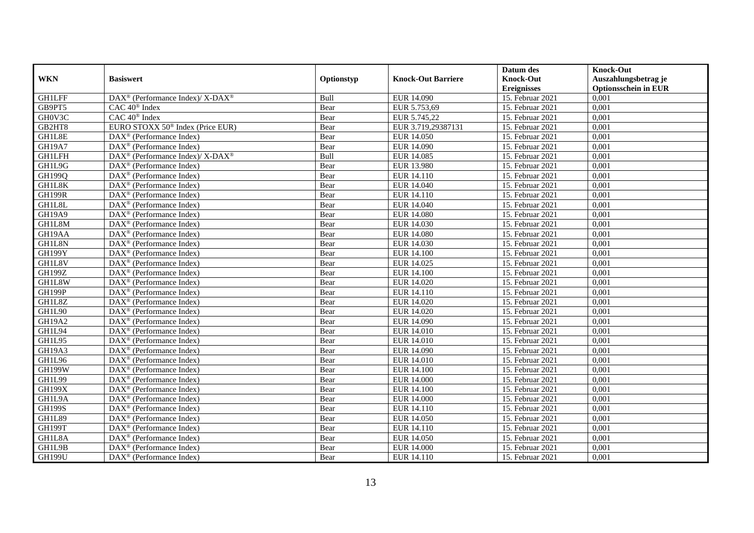|               |                                                            |            |                           | Datum des          | <b>Knock-Out</b>            |
|---------------|------------------------------------------------------------|------------|---------------------------|--------------------|-----------------------------|
| <b>WKN</b>    | <b>Basiswert</b>                                           | Optionstyp | <b>Knock-Out Barriere</b> | <b>Knock-Out</b>   | Auszahlungsbetrag je        |
|               |                                                            |            |                           | <b>Ereignisses</b> | <b>Optionsschein in EUR</b> |
| <b>GH1LFF</b> | DAX <sup>®</sup> (Performance Index)/X-DAX <sup>®</sup>    | Bull       | EUR 14.090                | 15. Februar 2021   | 0,001                       |
| GB9PT5        | $CAC 40$ <sup>®</sup> Index                                | Bear       | EUR 5.753,69              | 15. Februar 2021   | 0,001                       |
| GH0V3C        | CAC 40 <sup>®</sup> Index                                  | Bear       | EUR 5.745,22              | 15. Februar 2021   | 0,001                       |
| GB2HT8        | EURO STOXX 50 <sup>®</sup> Index (Price EUR)               | Bear       | EUR 3.719,29387131        | 15. Februar 2021   | 0,001                       |
| GH1L8E        | DAX <sup>®</sup> (Performance Index)                       | Bear       | EUR 14.050                | 15. Februar 2021   | 0,001                       |
| <b>GH19A7</b> | DAX <sup>®</sup> (Performance Index)                       | Bear       | <b>EUR 14.090</b>         | 15. Februar 2021   | 0,001                       |
| <b>GH1LFH</b> | $DAX^{\circledast}$ (Performance Index)/X-DAX <sup>®</sup> | Bull       | EUR 14.085                | 15. Februar 2021   | 0,001                       |
| GH1L9G        | $\text{DAX}^{\textcircled{n}}$ (Performance Index)         | Bear       | <b>EUR 13.980</b>         | 15. Februar 2021   | 0,001                       |
| GH199Q        | DAX <sup>®</sup> (Performance Index)                       | Bear       | EUR 14.110                | 15. Februar 2021   | 0,001                       |
| GH1L8K        | DAX <sup>®</sup> (Performance Index)                       | Bear       | EUR 14.040                | 15. Februar 2021   | 0,001                       |
| <b>GH199R</b> | $\overline{\text{DAX}^{\otimes}}$ (Performance Index)      | Bear       | EUR 14.110                | 15. Februar 2021   | 0,001                       |
| GH1L8L        | DAX <sup>®</sup> (Performance Index)                       | Bear       | EUR 14.040                | 15. Februar 2021   | 0,001                       |
| <b>GH19A9</b> | $\text{DAX}^{\textcircled{n}}$ (Performance Index)         | Bear       | <b>EUR 14.080</b>         | 15. Februar 2021   | 0,001                       |
| GH1L8M        | DAX <sup>®</sup> (Performance Index)                       | Bear       | EUR 14.030                | 15. Februar 2021   | 0.001                       |
| GH19AA        | $\overline{\text{DAX}}^{\textcirc}$ (Performance Index)    | Bear       | <b>EUR 14.080</b>         | 15. Februar 2021   | 0,001                       |
| GH1L8N        | DAX <sup>®</sup> (Performance Index)                       | Bear       | <b>EUR 14.030</b>         | 15. Februar 2021   | 0,001                       |
| <b>GH199Y</b> | DAX <sup>®</sup> (Performance Index)                       | Bear       | <b>EUR 14.100</b>         | 15. Februar 2021   | 0,001                       |
| GH1L8V        | DAX <sup>®</sup> (Performance Index)                       | Bear       | EUR 14.025                | 15. Februar 2021   | 0,001                       |
| <b>GH199Z</b> | $\text{DAX}^{\otimes}$ (Performance Index)                 | Bear       | <b>EUR 14.100</b>         | 15. Februar 2021   | 0,001                       |
| GH1L8W        | $\text{DAX}^{\otimes}$ (Performance Index)                 | Bear       | EUR 14.020                | 15. Februar 2021   | 0,001                       |
| <b>GH199P</b> | DAX <sup>®</sup> (Performance Index)                       | Bear       | EUR 14.110                | 15. Februar 2021   | 0,001                       |
| GH1L8Z        | $DAX^{\circledR}$ (Performance Index)                      | Bear       | EUR 14.020                | 15. Februar 2021   | 0,001                       |
| GH1L90        | $\text{DAX}^{\textcircled{D}}$ (Performance Index)         | Bear       | EUR 14.020                | 15. Februar 2021   | 0,001                       |
| <b>GH19A2</b> | $\text{DAX}^{\textcircled{p}}$ (Performance Index)         | Bear       | EUR 14.090                | 15. Februar 2021   | 0,001                       |
| GH1L94        | $DAX^{\circledR}$ (Performance Index)                      | Bear       | <b>EUR 14.010</b>         | 15. Februar 2021   | 0,001                       |
| GH1L95        | DAX <sup>®</sup> (Performance Index)                       | Bear       | <b>EUR 14.010</b>         | 15. Februar 2021   | 0,001                       |
| GH19A3        | DAX <sup>®</sup> (Performance Index)                       | Bear       | EUR 14.090                | 15. Februar 2021   | 0,001                       |
| GH1L96        | DAX <sup>®</sup> (Performance Index)                       | Bear       | EUR 14.010                | 15. Februar 2021   | 0,001                       |
| <b>GH199W</b> | $\text{DAX}^{\otimes}$ (Performance Index)                 | Bear       | <b>EUR 14.100</b>         | 15. Februar 2021   | 0,001                       |
| GH1L99        | $\text{DAX}^{\textcircled{n}}$ (Performance Index)         | Bear       | <b>EUR 14.000</b>         | 15. Februar 2021   | 0,001                       |
| <b>GH199X</b> | $DAX^{\otimes}$ (Performance Index)                        | Bear       | <b>EUR 14.100</b>         | 15. Februar 2021   | 0,001                       |
| GH1L9A        | DAX <sup>®</sup> (Performance Index)                       | Bear       | <b>EUR 14.000</b>         | 15. Februar 2021   | 0,001                       |
| <b>GH199S</b> | $\overline{\text{DAX}^{\otimes}}$ (Performance Index)      | Bear       | EUR 14.110                | 15. Februar 2021   | 0,001                       |
| <b>GH1L89</b> | $\overline{\text{DAX}}^{\textcirc}$ (Performance Index)    | Bear       | <b>EUR 14.050</b>         | $15.$ Februar 2021 | 0,001                       |
| <b>GH199T</b> | $\text{DAX}^{\textcircled{n}}$ (Performance Index)         | Bear       | EUR 14.110                | 15. Februar 2021   | 0,001                       |
| GH1L8A        | $\text{DAX}^{\textcircled{n}}$ (Performance Index)         | Bear       | EUR 14.050                | 15. Februar 2021   | 0,001                       |
| GH1L9B        | $\text{DAX}^{\otimes}$ (Performance Index)                 | Bear       | <b>EUR 14.000</b>         | 15. Februar 2021   | 0,001                       |
| <b>GH199U</b> | $\overline{\text{DAX}}^{\textcirc}$ (Performance Index)    | Bear       | EUR 14.110                | 15. Februar 2021   | 0,001                       |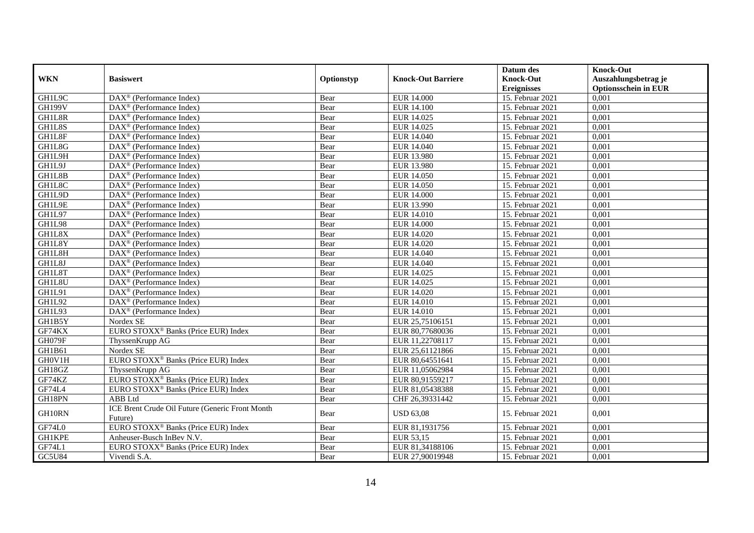|               |                                                             |            |                           | Datum des          | <b>Knock-Out</b>            |
|---------------|-------------------------------------------------------------|------------|---------------------------|--------------------|-----------------------------|
| <b>WKN</b>    | <b>Basiswert</b>                                            | Optionstyp | <b>Knock-Out Barriere</b> | <b>Knock-Out</b>   | Auszahlungsbetrag je        |
|               |                                                             |            |                           | <b>Ereignisses</b> | <b>Optionsschein in EUR</b> |
| GH1L9C        | DAX <sup>®</sup> (Performance Index)                        | Bear       | <b>EUR 14.000</b>         | 15. Februar 2021   | 0,001                       |
| <b>GH199V</b> | $\text{DAX}^{\textcircled{n}}$ (Performance Index)          | Bear       | <b>EUR 14.100</b>         | 15. Februar 2021   | 0,001                       |
| GH1L8R        | DAX <sup>®</sup> (Performance Index)                        | Bear       | EUR 14.025                | 15. Februar 2021   | 0,001                       |
| GH1L8S        | DAX <sup>®</sup> (Performance Index)                        | Bear       | EUR 14.025                | 15. Februar 2021   | 0,001                       |
| GH1L8F        | DAX <sup>®</sup> (Performance Index)                        | Bear       | <b>EUR 14.040</b>         | 15. Februar 2021   | 0,001                       |
| GH1L8G        | $\text{DAX}^{\textcircled{p}}$ (Performance Index)          | Bear       | EUR 14.040                | 15. Februar 2021   | 0,001                       |
| GH1L9H        | $\overline{\text{DAX}^{\otimes}}$ (Performance Index)       | Bear       | <b>EUR 13.980</b>         | 15. Februar 2021   | 0,001                       |
| GH1L9J        | $\text{DAX}^{\textcircled{n}}$ (Performance Index)          | Bear       | EUR 13.980                | 15. Februar 2021   | 0,001                       |
| GH1L8B        | $DAX^{\circledR}$ (Performance Index)                       | Bear       | EUR 14.050                | 15. Februar 2021   | 0,001                       |
| GH1L8C        | $DAX^{\otimes}$ (Performance Index)                         | Bear       | <b>EUR 14.050</b>         | 15. Februar 2021   | 0,001                       |
| GH1L9D        | DAX <sup>®</sup> (Performance Index)                        | Bear       | <b>EUR 14.000</b>         | 15. Februar 2021   | 0,001                       |
| GH1L9E        | DAX <sup>®</sup> (Performance Index)                        | Bear       | EUR 13.990                | 15. Februar 2021   | 0,001                       |
| GH1L97        | DAX <sup>®</sup> (Performance Index)                        | Bear       | <b>EUR 14.010</b>         | 15. Februar 2021   | 0,001                       |
| GH1L98        | $\text{DAX}^{\textcircled{n}}$ (Performance Index)          | Bear       | <b>EUR 14.000</b>         | 15. Februar 2021   | 0,001                       |
| GH1L8X        | DAX <sup>®</sup> (Performance Index)                        | Bear       | EUR 14.020                | 15. Februar 2021   | 0,001                       |
| GH1L8Y        | DAX <sup>®</sup> (Performance Index)                        | Bear       | <b>EUR 14.020</b>         | 15. Februar 2021   | 0,001                       |
| GH1L8H        | $\text{DAX}^{\textcircled{D}}$ (Performance Index)          | Bear       | EUR 14.040                | 15. Februar 2021   | 0,001                       |
| GH1L8J        | $\overline{\text{DAX}}^{\textcirc}$ (Performance Index)     | Bear       | EUR 14.040                | 15. Februar 2021   | 0,001                       |
| GH1L8T        | $DAX^{\otimes}$ (Performance Index)                         | Bear       | EUR 14.025                | 15. Februar 2021   | 0,001                       |
| GH1L8U        | DAX <sup>®</sup> (Performance Index)                        | Bear       | EUR 14.025                | 15. Februar 2021   | 0,001                       |
| GH1L91        | $DAX^{\circledR}$ (Performance Index)                       | Bear       | EUR 14.020                | 15. Februar 2021   | 0,001                       |
| GH1L92        | $\overline{\text{DAX}^{\otimes}(\text{Performance Index})}$ | Bear       | <b>EUR 14.010</b>         | 15. Februar 2021   | 0,001                       |
| GH1L93        | DAX <sup>®</sup> (Performance Index)                        | Bear       | <b>EUR 14.010</b>         | 15. Februar 2021   | 0,001                       |
| GH1B5Y        | Nordex SE                                                   | Bear       | EUR 25,75106151           | 15. Februar 2021   | 0,001                       |
| GF74KX        | EURO STOXX <sup>®</sup> Banks (Price EUR) Index             | Bear       | EUR 80,77680036           | 15. Februar 2021   | 0,001                       |
| GH079F        | ThyssenKrupp AG                                             | Bear       | EUR 11,22708117           | 15. Februar 2021   | 0,001                       |
| GH1B61        | Nordex SE                                                   | Bear       | EUR 25,61121866           | 15. Februar 2021   | 0,001                       |
| GH0V1H        | EURO STOXX <sup>®</sup> Banks (Price EUR) Index             | Bear       | EUR 80,64551641           | 15. Februar 2021   | 0,001                       |
| GH18GZ        | ThyssenKrupp AG                                             | Bear       | EUR 11,05062984           | 15. Februar 2021   | 0,001                       |
| GF74KZ        | EURO STOXX <sup>®</sup> Banks (Price EUR) Index             | Bear       | EUR 80,91559217           | 15. Februar 2021   | 0,001                       |
| GF74L4        | EURO STOXX <sup>®</sup> Banks (Price EUR) Index             | Bear       | EUR 81,05438388           | 15. Februar 2021   | 0,001                       |
| GH18PN        | ABB Ltd                                                     | Bear       | CHF 26,39331442           | 15. Februar 2021   | 0,001                       |
| GH10RN        | ICE Brent Crude Oil Future (Generic Front Month             | Bear       | <b>USD 63,08</b>          | 15. Februar 2021   | 0,001                       |
|               | Future)                                                     |            |                           |                    |                             |
| GF74L0        | EURO STOXX <sup>®</sup> Banks (Price EUR) Index             | Bear       | EUR 81,1931756            | 15. Februar 2021   | 0,001                       |
| <b>GH1KPE</b> | Anheuser-Busch InBev N.V.                                   | Bear       | EUR 53,15                 | 15. Februar 2021   | 0,001                       |
| GF74L1        | EURO STOXX <sup>®</sup> Banks (Price EUR) Index             | Bear       | EUR 81,34188106           | 15. Februar 2021   | 0,001                       |
| GC5U84        | Vivendi S.A.                                                | Bear       | EUR 27,90019948           | 15. Februar 2021   | 0,001                       |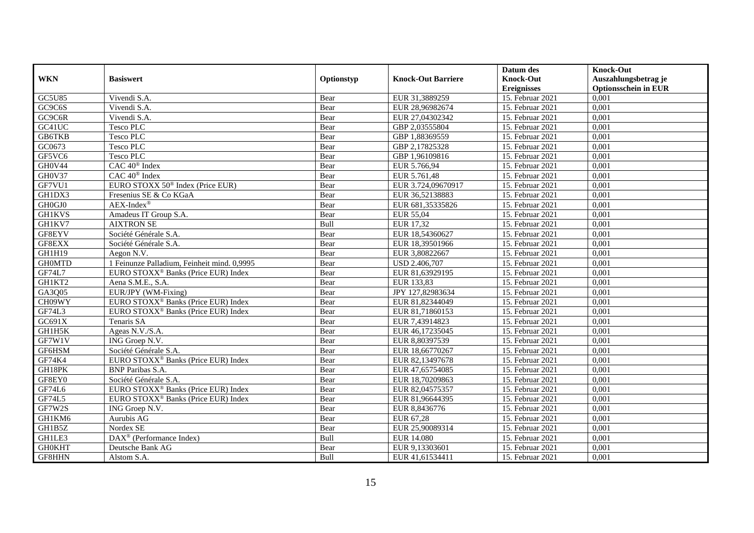|               |                                                 |            |                           | Datum des          | <b>Knock-Out</b>            |
|---------------|-------------------------------------------------|------------|---------------------------|--------------------|-----------------------------|
| <b>WKN</b>    | <b>Basiswert</b>                                | Optionstyp | <b>Knock-Out Barriere</b> | <b>Knock-Out</b>   | Auszahlungsbetrag je        |
|               |                                                 |            |                           | <b>Ereignisses</b> | <b>Optionsschein in EUR</b> |
| <b>GC5U85</b> | Vivendi S.A.                                    | Bear       | EUR 31,3889259            | 15. Februar 2021   | 0,001                       |
| GC9C6S        | Vivendi S.A.                                    | Bear       | EUR 28,96982674           | 15. Februar 2021   | 0,001                       |
| GC9C6R        | Vivendi S.A.                                    | Bear       | EUR 27,04302342           | 15. Februar 2021   | 0,001                       |
| GC41UC        | <b>Tesco PLC</b>                                | Bear       | GBP 2,03555804            | 15. Februar 2021   | 0,001                       |
| <b>GB6TKB</b> | Tesco PLC                                       | Bear       | GBP 1,88369559            | 15. Februar 2021   | 0,001                       |
| GC0673        | <b>Tesco PLC</b>                                | Bear       | GBP 2,17825328            | 15. Februar 2021   | 0,001                       |
| GF5VC6        | <b>Tesco PLC</b>                                | Bear       | GBP 1,96109816            | 15. Februar 2021   | 0,001                       |
| GH0V44        | CAC 40 <sup>®</sup> Index                       | Bear       | EUR 5.766,94              | 15. Februar 2021   | 0,001                       |
| GH0V37        | $CAC 40^{\circledast}$ Index                    | Bear       | EUR 5.761,48              | 15. Februar 2021   | 0,001                       |
| GF7VU1        | EURO STOXX 50 <sup>®</sup> Index (Price EUR)    | Bear       | EUR 3.724,09670917        | 15. Februar 2021   | 0,001                       |
| GH1DX3        | Fresenius SE & Co KGaA                          | Bear       | EUR 36,52138883           | 15. Februar 2021   | 0,001                       |
| GH0GJ0        | $AEX-Index^{\circledR}$                         | Bear       | EUR 681,35335826          | 15. Februar 2021   | 0,001                       |
| <b>GH1KVS</b> | Amadeus IT Group S.A.                           | Bear       | EUR 55,04                 | 15. Februar 2021   | 0,001                       |
| GH1KV7        | <b>AIXTRON SE</b>                               | Bull       | EUR 17.32                 | 15. Februar 2021   | 0,001                       |
| GF8EYV        | Société Générale S.A.                           | Bear       | EUR 18,54360627           | 15. Februar 2021   | 0,001                       |
| GF8EXX        | Société Générale S.A.                           | Bear       | EUR 18,39501966           | 15. Februar 2021   | 0,001                       |
| GH1H19        | Aegon N.V.                                      | Bear       | EUR 3,80822667            | 15. Februar 2021   | 0,001                       |
| <b>GH0MTD</b> | 1 Feinunze Palladium, Feinheit mind. 0,9995     | Bear       | <b>USD 2.406.707</b>      | 15. Februar 2021   | 0,001                       |
| GF74L7        | EURO STOXX <sup>®</sup> Banks (Price EUR) Index | Bear       | EUR 81,63929195           | 15. Februar 2021   | 0,001                       |
| GH1KT2        | Aena S.M.E., S.A.                               | Bear       | EUR 133,83                | 15. Februar 2021   | 0,001                       |
| GA3Q05        | EUR/JPY (WM-Fixing)                             | Bear       | JPY 127,82983634          | 15. Februar 2021   | 0,001                       |
| CH09WY        | EURO STOXX <sup>®</sup> Banks (Price EUR) Index | Bear       | EUR 81,82344049           | 15. Februar 2021   | 0,001                       |
| GF74L3        | EURO STOXX <sup>®</sup> Banks (Price EUR) Index | Bear       | EUR 81,71860153           | 15. Februar 2021   | 0,001                       |
| GC691X        | Tenaris SA                                      | Bear       | EUR 7,43914823            | 15. Februar 2021   | 0,001                       |
| GH1H5K        | Ageas N.V./S.A.                                 | Bear       | EUR 46,17235045           | 15. Februar 2021   | 0,001                       |
| GF7W1V        | ING Groep N.V.                                  | Bear       | EUR 8,80397539            | 15. Februar 2021   | 0,001                       |
| GF6HSM        | Société Générale S.A.                           | Bear       | EUR 18,66770267           | 15. Februar 2021   | 0,001                       |
| GF74K4        | EURO STOXX <sup>®</sup> Banks (Price EUR) Index | Bear       | EUR 82,13497678           | 15. Februar 2021   | 0,001                       |
| GH18PK        | <b>BNP Paribas S.A.</b>                         | Bear       | EUR 47,65754085           | 15. Februar 2021   | 0,001                       |
| GF8EY0        | Société Générale S.A.                           | Bear       | EUR 18.70209863           | 15. Februar 2021   | 0.001                       |
| GF74L6        | EURO STOXX <sup>®</sup> Banks (Price EUR) Index | Bear       | EUR 82,04575357           | 15. Februar 2021   | 0,001                       |
| GF74L5        | EURO STOXX <sup>®</sup> Banks (Price EUR) Index | Bear       | EUR 81,96644395           | 15. Februar 2021   | 0,001                       |
| GF7W2S        | ING Groep N.V.                                  | Bear       | EUR 8,8436776             | 15. Februar 2021   | 0,001                       |
| GH1KM6        | Aurubis AG                                      | Bear       | EUR 67,28                 | 15. Februar 2021   | 0,001                       |
| GH1B5Z        | Nordex SE                                       | Bear       | EUR 25,90089314           | 15. Februar 2021   | 0,001                       |
| GH1LE3        | DAX <sup>®</sup> (Performance Index)            | Bull       | <b>EUR 14.080</b>         | 15. Februar 2021   | 0,001                       |
| <b>GH0KHT</b> | Deutsche Bank AG                                | Bear       | EUR 9,13303601            | 15. Februar 2021   | 0,001                       |
| GF8HHN        | Alstom S.A.                                     | Bull       | EUR 41,61534411           | 15. Februar 2021   | 0,001                       |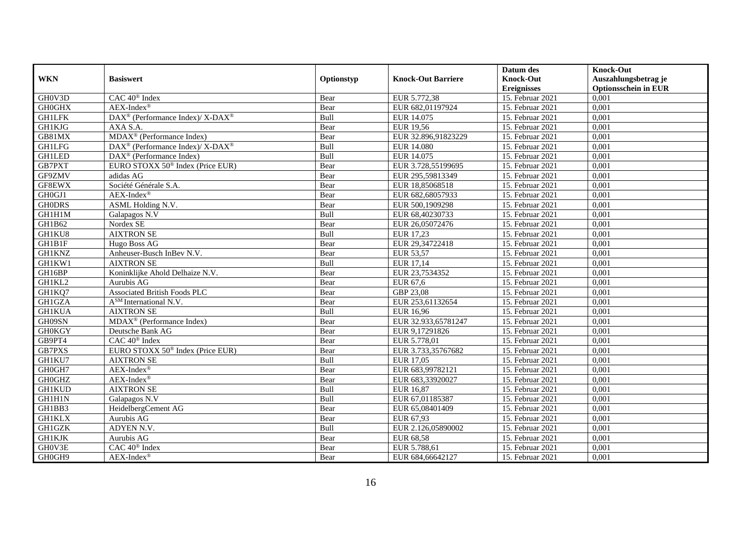|               |                                                          |            |                           | Datum des          | <b>Knock-Out</b>            |
|---------------|----------------------------------------------------------|------------|---------------------------|--------------------|-----------------------------|
| <b>WKN</b>    | <b>Basiswert</b>                                         | Optionstyp | <b>Knock-Out Barriere</b> | <b>Knock-Out</b>   | Auszahlungsbetrag je        |
|               |                                                          |            |                           | <b>Ereignisses</b> | <b>Optionsschein in EUR</b> |
| GH0V3D        | CAC 40 <sup>®</sup> Index                                | Bear       | EUR 5.772,38              | 15. Februar 2021   | 0,001                       |
| <b>GH0GHX</b> | $AEX-Index^{\circledR}$                                  | Bear       | EUR 682,01197924          | 15. Februar 2021   | 0,001                       |
| <b>GH1LFK</b> | DAX <sup>®</sup> (Performance Index)/ X-DAX <sup>®</sup> | Bull       | EUR 14.075                | 15. Februar 2021   | 0,001                       |
| GH1KJG        | AXA S.A.                                                 | Bear       | <b>EUR 19,56</b>          | 15. Februar 2021   | 0,001                       |
| $GB81$ MX     | MDAX <sup>®</sup> (Performance Index)                    | Bear       | EUR 32.896,91823229       | 15. Februar 2021   | 0,001                       |
| <b>GH1LFG</b> | DAX <sup>®</sup> (Performance Index)/X-DAX <sup>®</sup>  | Bull       | <b>EUR 14.080</b>         | 15. Februar 2021   | 0,001                       |
| <b>GH1LED</b> | $DAX^{\circledR}$ (Performance Index)                    | Bull       | EUR 14.075                | 15. Februar 2021   | 0,001                       |
| GB7PXT        | EURO STOXX 50 <sup>®</sup> Index (Price EUR)             | Bear       | EUR 3.728,55199695        | 15. Februar 2021   | 0,001                       |
| GF9ZMV        | adidas AG                                                | Bear       | EUR 295,59813349          | 15. Februar 2021   | 0,001                       |
| GF8EWX        | Société Générale S.A.                                    | Bear       | EUR 18,85068518           | 15. Februar 2021   | 0,001                       |
| GH0GJ1        | $AEX-Index^{\circledR}$                                  | Bear       | EUR 682,68057933          | 15. Februar 2021   | 0,001                       |
| <b>GHODRS</b> | ASML Holding N.V.                                        | Bear       | EUR 500,1909298           | 15. Februar 2021   | 0,001                       |
| GH1H1M        | Galapagos N.V                                            | Bull       | EUR 68,40230733           | 15. Februar 2021   | 0,001                       |
| GH1B62        | Nordex SE                                                | Bear       | EUR 26,05072476           | 15. Februar 2021   | 0.001                       |
| GH1KU8        | <b>AIXTRON SE</b>                                        | Bull       | EUR 17,23                 | 15. Februar 2021   | 0,001                       |
| GH1B1F        | Hugo Boss AG                                             | Bear       | EUR 29,34722418           | 15. Februar 2021   | 0,001                       |
| <b>GH1KNZ</b> | Anheuser-Busch InBev N.V.                                | Bear       | EUR 53,57                 | 15. Februar 2021   | 0,001                       |
| GH1KW1        | <b>AIXTRON SE</b>                                        | Bull       | EUR 17,14                 | 15. Februar 2021   | 0,001                       |
| GH16BP        | Koninklijke Ahold Delhaize N.V.                          | Bear       | EUR 23,7534352            | 15. Februar 2021   | 0,001                       |
| GH1KL2        | Aurubis AG                                               | Bear       | EUR 67,6                  | 15. Februar 2021   | 0,001                       |
| GH1KQ7        | <b>Associated British Foods PLC</b>                      | Bear       | GBP 23,08                 | 15. Februar 2021   | 0,001                       |
| GH1GZA        | A <sup>SM</sup> International N.V.                       | Bear       | EUR 253,61132654          | 15. Februar 2021   | 0,001                       |
| <b>GH1KUA</b> | <b>AIXTRON SE</b>                                        | Bull       | <b>EUR 16,96</b>          | 15. Februar 2021   | 0,001                       |
| GH09SN        | $MDAX^{\circledcirc}$ (Performance Index)                | Bear       | EUR 32.933,65781247       | 15. Februar 2021   | 0,001                       |
| <b>GH0KGY</b> | Deutsche Bank AG                                         | Bear       | EUR 9,17291826            | 15. Februar 2021   | 0,001                       |
| GB9PT4        | CAC 40 <sup>®</sup> Index                                | Bear       | EUR 5.778,01              | 15. Februar 2021   | 0,001                       |
| GB7PXS        | EURO STOXX 50 <sup>®</sup> Index (Price EUR)             | Bear       | EUR 3.733,35767682        | 15. Februar 2021   | 0,001                       |
| GH1KU7        | <b>AIXTRON SE</b>                                        | Bull       | EUR 17,05                 | 15. Februar 2021   | 0,001                       |
| GH0GH7        | $AEX-Index^{\circledR}$                                  | Bear       | EUR 683,99782121          | 15. Februar 2021   | 0,001                       |
| <b>GH0GHZ</b> | $AEX-Index^{\circledR}$                                  | Bear       | EUR 683,33920027          | 15. Februar 2021   | 0,001                       |
| <b>GH1KUD</b> | <b>AIXTRON SE</b>                                        | Bull       | EUR 16,87                 | 15. Februar 2021   | 0,001                       |
| GH1H1N        | Galapagos N.V                                            | Bull       | EUR 67,01185387           | 15. Februar 2021   | 0,001                       |
| GH1BB3        | HeidelbergCement AG                                      | Bear       | EUR 65,08401409           | 15. Februar 2021   | 0,001                       |
| <b>GH1KLX</b> | Aurubis AG                                               | Bear       | EUR 67,93                 | 15. Februar 2021   | 0,001                       |
| GH1GZK        | ADYEN N.V.                                               | Bull       | EUR 2.126,05890002        | 15. Februar 2021   | 0,001                       |
| <b>GH1KJK</b> | Aurubis AG                                               | Bear       | <b>EUR 68,58</b>          | 15. Februar 2021   | 0,001                       |
| GH0V3E        | CAC 40 <sup>®</sup> Index                                | Bear       | EUR 5.788,61              | 15. Februar 2021   | 0,001                       |
| GH0GH9        | $AEX-Index^{\circledR}$                                  | Bear       | EUR 684,66642127          | 15. Februar 2021   | 0,001                       |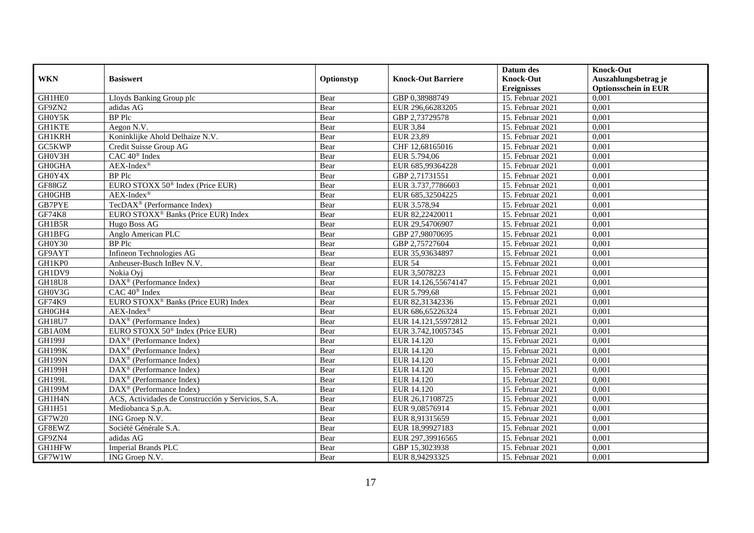|               |                                                    |            |                           | Datum des          | <b>Knock-Out</b>            |
|---------------|----------------------------------------------------|------------|---------------------------|--------------------|-----------------------------|
| <b>WKN</b>    | <b>Basiswert</b>                                   | Optionstyp | <b>Knock-Out Barriere</b> | <b>Knock-Out</b>   | Auszahlungsbetrag je        |
|               |                                                    |            |                           | <b>Ereignisses</b> | <b>Optionsschein in EUR</b> |
| GH1HE0        | Lloyds Banking Group plc                           | Bear       | GBP 0,38988749            | 15. Februar 2021   | 0,001                       |
| GF9ZN2        | adidas AG                                          | Bear       | EUR 296,66283205          | 15. Februar 2021   | 0,001                       |
| GH0Y5K        | <b>BP</b> Plc                                      | Bear       | GBP 2,73729578            | 15. Februar 2021   | 0,001                       |
| <b>GH1KTE</b> | Aegon N.V.                                         | Bear       | <b>EUR 3,84</b>           | 15. Februar 2021   | 0,001                       |
| <b>GH1KRH</b> | Koninklijke Ahold Delhaize N.V.                    | Bear       | <b>EUR 23,89</b>          | 15. Februar 2021   | 0,001                       |
| GC5KWP        | Credit Suisse Group AG                             | Bear       | CHF 12,68165016           | 15. Februar 2021   | 0,001                       |
| GH0V3H        | CAC 40 <sup>®</sup> Index                          | Bear       | EUR 5.794,06              | 15. Februar 2021   | 0,001                       |
| <b>GH0GHA</b> | $AEX-Index^{\circledR}$                            | Bear       | EUR 685,99364228          | 15. Februar 2021   | 0,001                       |
| GH0Y4X        | <b>BP</b> Plc                                      | Bear       | GBP 2,71731551            | 15. Februar 2021   | 0,001                       |
| GF88GZ        | EURO STOXX 50 <sup>®</sup> Index (Price EUR)       | Bear       | EUR 3.737,7786603         | 15. Februar 2021   | 0,001                       |
| <b>GH0GHB</b> | $AEX-Index^{\circledR}$                            | Bear       | EUR 685,32504225          | 15. Februar 2021   | 0,001                       |
| <b>GB7PYE</b> | TecDAX <sup>®</sup> (Performance Index)            | Bear       | EUR 3.578,94              | 15. Februar 2021   | 0,001                       |
| <b>GF74K8</b> | EURO STOXX <sup>®</sup> Banks (Price EUR) Index    | Bear       | EUR 82,22420011           | 15. Februar 2021   | 0,001                       |
| GH1B5R        | Hugo Boss AG                                       | Bear       | EUR 29,54706907           | 15. Februar 2021   | 0,001                       |
| GH1BFG        | Anglo American PLC                                 | Bear       | GBP 27,98070695           | 15. Februar 2021   | 0,001                       |
| GH0Y30        | <b>BP</b> Plc                                      | Bear       | GBP 2,75727604            | 15. Februar 2021   | 0,001                       |
| GF9AYT        | Infineon Technologies AG                           | Bear       | EUR 35,93634897           | 15. Februar 2021   | 0,001                       |
| GH1KP0        | Anheuser-Busch InBev N.V.                          | Bear       | <b>EUR 54</b>             | 15. Februar 2021   | 0,001                       |
| GH1DV9        | Nokia Ovi                                          | Bear       | EUR 3,5078223             | 15. Februar 2021   | 0,001                       |
| GH18U8        | DAX <sup>®</sup> (Performance Index)               | Bear       | EUR 14.126,55674147       | 15. Februar 2021   | 0,001                       |
| GH0V3G        | CAC 40 <sup>®</sup> Index                          | Bear       | EUR 5.799,68              | 15. Februar 2021   | 0,001                       |
| GF74K9        | EURO STOXX <sup>®</sup> Banks (Price EUR) Index    | Bear       | EUR 82,31342336           | 15. Februar 2021   | 0,001                       |
| GH0GH4        | $AEX-Index^{\circledR}$                            | Bear       | EUR 686,65226324          | 15. Februar 2021   | 0,001                       |
| <b>GH18U7</b> | DAX <sup>®</sup> (Performance Index)               | Bear       | EUR 14.121,55972812       | 15. Februar 2021   | 0,001                       |
| GB1A0M        | EURO STOXX 50 <sup>®</sup> Index (Price EUR)       | Bear       | EUR 3.742,10057345        | 15. Februar 2021   | 0,001                       |
| GH199J        | DAX <sup>®</sup> (Performance Index)               | Bear       | EUR 14.120                | 15. Februar 2021   | 0,001                       |
| <b>GH199K</b> | $DAX^{\circledast}$ (Performance Index)            | Bear       | EUR 14.120                | 15. Februar 2021   | 0,001                       |
| <b>GH199N</b> | $DAX^{\circledR}$ (Performance Index)              | Bear       | EUR 14.120                | 15. Februar 2021   | 0,001                       |
| <b>GH199H</b> | $DAX^{\circledR}$ (Performance Index)              | Bear       | EUR 14.120                | 15. Februar 2021   | 0,001                       |
| <b>GH199L</b> | $DAX^{\circledR}$ (Performance Index)              | Bear       | EUR 14.120                | 15. Februar 2021   | 0,001                       |
| <b>GH199M</b> | $DAX^{\circledR}$ (Performance Index)              | Bear       | EUR 14.120                | 15. Februar 2021   | 0,001                       |
| GH1H4N        | ACS, Actividades de Construcción y Servicios, S.A. | Bear       | EUR 26,17108725           | 15. Februar 2021   | 0,001                       |
| GH1H51        | Mediobanca S.p.A.                                  | Bear       | EUR 9,08576914            | 15. Februar 2021   | 0,001                       |
| GF7W20        | ING Groep N.V.                                     | Bear       | EUR 8,91315659            | 15. Februar 2021   | 0,001                       |
| GF8EWZ        | Société Générale S.A.                              | Bear       | EUR 18,99927183           | 15. Februar 2021   | 0,001                       |
| GF9ZN4        | adidas AG                                          | Bear       | EUR 297,39916565          | 15. Februar 2021   | 0,001                       |
| GH1HFW        | <b>Imperial Brands PLC</b>                         | Bear       | GBP 15,3023938            | 15. Februar 2021   | 0,001                       |
| GF7W1W        | ING Groep N.V.                                     | Bear       | EUR 8,94293325            | 15. Februar 2021   | 0,001                       |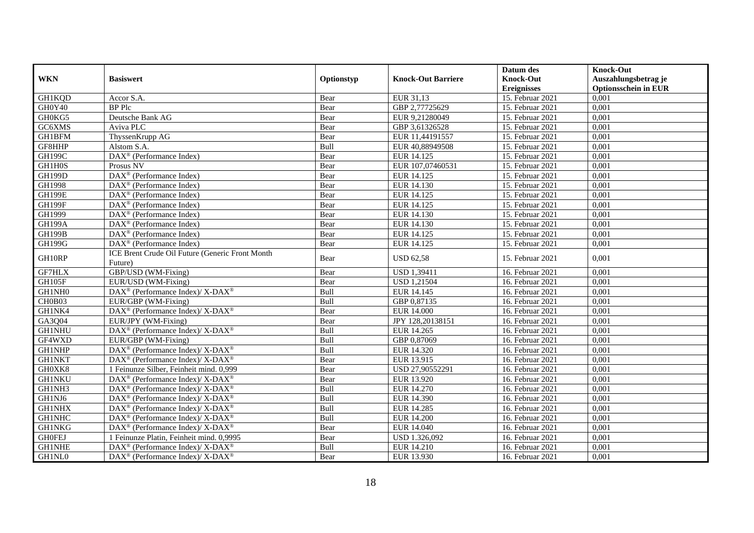|               |                                                                                         |              |                           | Datum des                              | <b>Knock-Out</b>                                    |
|---------------|-----------------------------------------------------------------------------------------|--------------|---------------------------|----------------------------------------|-----------------------------------------------------|
| <b>WKN</b>    | <b>Basiswert</b>                                                                        | Optionstyp   | <b>Knock-Out Barriere</b> | <b>Knock-Out</b><br><b>Ereignisses</b> | Auszahlungsbetrag je<br><b>Optionsschein in EUR</b> |
| GH1KQD        | Accor S.A.                                                                              | Bear         | EUR 31,13                 | 15. Februar 2021                       | 0,001                                               |
| GH0Y40        | <b>BP</b> Plc                                                                           | Bear         | GBP 2,77725629            | 15. Februar 2021                       | 0,001                                               |
| GH0KG5        | Deutsche Bank AG                                                                        | Bear         | EUR 9,21280049            | 15. Februar 2021                       | 0,001                                               |
| GC6XMS        | Aviva PLC                                                                               |              | GBP 3,61326528            | 15. Februar 2021                       | 0,001                                               |
| <b>GH1BFM</b> | ThyssenKrupp AG                                                                         | Bear<br>Bear | EUR 11,44191557           | 15. Februar 2021                       | 0,001                                               |
| GF8HHP        |                                                                                         | Bull         | EUR 40,88949508           | 15. Februar 2021                       | 0,001                                               |
|               | Alstom S.A.<br>DAX <sup>®</sup> (Performance Index)                                     |              |                           | 15. Februar 2021                       |                                                     |
| <b>GH199C</b> |                                                                                         | Bear         | EUR 14.125                |                                        | 0,001                                               |
| GH1H0S        | Prosus NV                                                                               | Bear         | EUR 107,07460531          | 15. Februar 2021                       | 0,001                                               |
| <b>GH199D</b> | $DAX^{\circledR}$ (Performance Index)                                                   | Bear         | EUR 14.125                | 15. Februar 2021                       | 0.001                                               |
| GH1998        | DAX <sup>®</sup> (Performance Index)                                                    | Bear         | EUR 14.130                | 15. Februar 2021                       | 0,001                                               |
| <b>GH199E</b> | DAX <sup>®</sup> (Performance Index)                                                    | Bear         | EUR 14.125                | 15. Februar 2021                       | 0,001                                               |
| <b>GH199F</b> | $\overline{\text{DAX}}^{\textcirc}$ (Performance Index)                                 | Bear         | EUR 14.125                | 15. Februar 2021                       | 0,001                                               |
| GH1999        | $DAX^{\circledast}$ (Performance Index)                                                 | Bear         | EUR 14.130                | 15. Februar 2021                       | 0,001                                               |
| <b>GH199A</b> | $\text{DAX}^{\textcircled{}}$ (Performance Index)                                       | Bear         | EUR 14.130                | 15. Februar 2021                       | 0,001                                               |
| <b>GH199B</b> | $DAX^{\circledR}$ (Performance Index)                                                   | Bear         | EUR 14.125                | 15. Februar 2021                       | 0,001                                               |
| <b>GH199G</b> | DAX <sup>®</sup> (Performance Index)                                                    | Bear         | EUR 14.125                | 15. Februar 2021                       | 0,001                                               |
| GH10RP        | ICE Brent Crude Oil Future (Generic Front Month<br>Future)                              | Bear         | <b>USD 62,58</b>          | 15. Februar 2021                       | 0,001                                               |
| GF7HLX        | GBP/USD (WM-Fixing)                                                                     | Bear         | <b>USD 1,39411</b>        | 16. Februar 2021                       | 0,001                                               |
| GH105F        | EUR/USD (WM-Fixing)                                                                     | Bear         | <b>USD 1,21504</b>        | 16. Februar 2021                       | 0,001                                               |
| GH1NH0        | $\text{DAX}^{\circledast}$ (Performance Index)/ $\overline{\text{X-DAX}^{\circledast}}$ | <b>Bull</b>  | EUR 14.145                | 16. Februar 2021                       | 0,001                                               |
| CH0B03        | EUR/GBP (WM-Fixing)                                                                     | Bull         | GBP 0,87135               | 16. Februar 2021                       | 0,001                                               |
| GH1NK4        | DAX <sup>®</sup> (Performance Index)/X-DAX <sup>®</sup>                                 | Bear         | <b>EUR 14.000</b>         | 16. Februar 2021                       | 0,001                                               |
| GA3Q04        | EUR/JPY (WM-Fixing)                                                                     | Bear         | JPY 128,20138151          | 16. Februar 2021                       | 0,001                                               |
| <b>GH1NHU</b> | DAX <sup>®</sup> (Performance Index)/ X-DAX <sup>®</sup>                                | Bull         | EUR 14.265                | 16. Februar 2021                       | 0,001                                               |
| GF4WXD        | EUR/GBP (WM-Fixing)                                                                     | Bull         | GBP 0,87069               | 16. Februar 2021                       | 0,001                                               |
| <b>GH1NHP</b> | $DAX^{\circledast}$ (Performance Index)/ $\overline{X-DAX^{\circledast}}$               | Bull         | EUR 14.320                | 16. Februar 2021                       | 0.001                                               |
| <b>GH1NKT</b> | DAX <sup>®</sup> (Performance Index)/X-DAX <sup>®</sup>                                 | Bear         | EUR 13.915                | 16. Februar 2021                       | 0,001                                               |
| GH0XK8        | 1 Feinunze Silber, Feinheit mind. 0,999                                                 | Bear         | USD 27,90552291           | 16. Februar 2021                       | 0,001                                               |
| <b>GH1NKU</b> | $DAX^{\circledast}$ (Performance Index)/X-DAX <sup>®</sup>                              | Bear         | EUR 13.920                | 16. Februar 2021                       | 0,001                                               |
| GH1NH3        | DAX <sup>®</sup> (Performance Index)/ X-DAX <sup>®</sup>                                | Bull         | EUR 14.270                | 16. Februar 2021                       | 0,001                                               |
| GH1NJ6        | DAX <sup>®</sup> (Performance Index)/X-DAX <sup>®</sup>                                 | Bull         | EUR 14.390                | 16. Februar 2021                       | 0,001                                               |
| <b>GH1NHX</b> | $DAX^{\circledast}$ (Performance Index)/ X-DAX <sup>®</sup>                             | Bull         | EUR 14.285                | 16. Februar 2021                       | 0,001                                               |
| <b>GH1NHC</b> | DAX <sup>®</sup> (Performance Index)/ X-DAX <sup>®</sup>                                | Bull         | <b>EUR 14.200</b>         | 16. Februar 2021                       | 0,001                                               |
| <b>GH1NKG</b> | DAX <sup>®</sup> (Performance Index)/ X-DAX <sup>®</sup>                                | Bear         | EUR 14.040                | 16. Februar 2021                       | 0,001                                               |
| <b>GHOFEJ</b> | 1 Feinunze Platin, Feinheit mind. 0,9995                                                | Bear         | USD 1.326,092             | 16. Februar 2021                       | 0,001                                               |
| <b>GH1NHE</b> | DAX <sup>®</sup> (Performance Index)/ X-DAX <sup>®</sup>                                | Bull         | EUR 14.210                | 16. Februar 2021                       | 0,001                                               |
| GH1NL0        | DAX <sup>®</sup> (Performance Index)/ X-DAX <sup>®</sup>                                | Bear         | EUR 13.930                | 16. Februar 2021                       | 0,001                                               |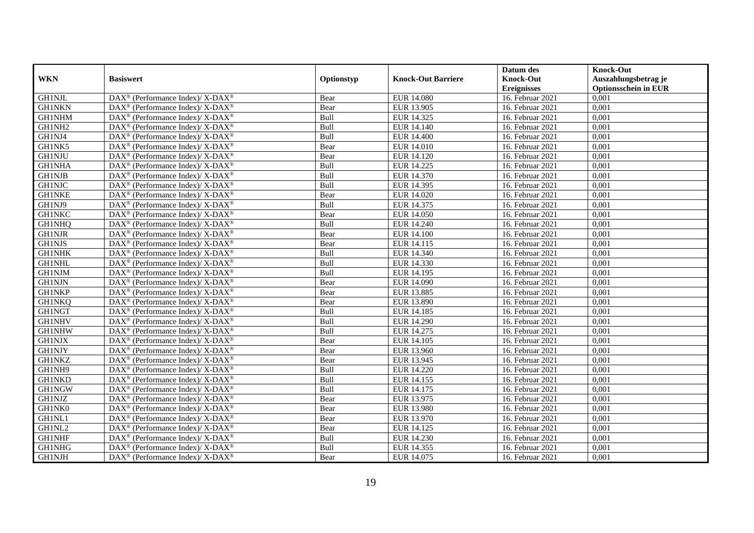|               |                                                                   |            |                           | Datum des          | <b>Knock-Out</b>            |
|---------------|-------------------------------------------------------------------|------------|---------------------------|--------------------|-----------------------------|
| <b>WKN</b>    | <b>Basiswert</b>                                                  | Optionstyp | <b>Knock-Out Barriere</b> | <b>Knock-Out</b>   | Auszahlungsbetrag je        |
|               |                                                                   |            |                           | <b>Ereignisses</b> | <b>Optionsschein in EUR</b> |
| <b>GH1NJL</b> | DAX <sup>®</sup> (Performance Index)/ X-DAX <sup>®</sup>          | Bear       | <b>EUR 14.080</b>         | 16. Februar 2021   | 0,001                       |
| <b>GH1NKN</b> | $DAX^{\circledast}$ (Performance Index)/ X-DAX <sup>®</sup>       | Bear       | EUR 13.905                | 16. Februar 2021   | 0,001                       |
| <b>GH1NHM</b> | DAX <sup>®</sup> (Performance Index)/ X-DAX <sup>®</sup>          | Bull       | EUR 14.325                | 16. Februar 2021   | 0,001                       |
| GH1NH2        | $DAX^{\circledast}$ (Performance Index)/ X-DAX <sup>®</sup>       | Bull       | EUR 14.140                | 16. Februar 2021   | 0,001                       |
| GH1NJ4        | $\text{DAX}^{\circledast}$ (Performance Index)/X-DAX <sup>®</sup> | Bull       | <b>EUR 14.400</b>         | 16. Februar 2021   | 0,001                       |
| GH1NK5        | DAX <sup>®</sup> (Performance Index)/ X-DAX <sup>®</sup>          | Bear       | <b>EUR 14.010</b>         | 16. Februar 2021   | 0,001                       |
| <b>GH1NJU</b> | DAX <sup>®</sup> (Performance Index)/ X-DAX <sup>®</sup>          | Bear       | EUR 14.120                | 16. Februar 2021   | 0,001                       |
| <b>GH1NHA</b> | $DAX^{\circledast}$ (Performance Index)/ X-DAX <sup>®</sup>       | Bull       | EUR 14.225                | 16. Februar 2021   | 0,001                       |
| <b>GH1NJB</b> | DAX <sup>®</sup> (Performance Index)/ X-DAX <sup>®</sup>          | Bull       | EUR 14.370                | 16. Februar 2021   | 0,001                       |
| <b>GH1NJC</b> | DAX <sup>®</sup> (Performance Index)/ X-DAX <sup>®</sup>          | Bull       | EUR 14.395                | 16. Februar 2021   | 0,001                       |
| <b>GH1NKE</b> | DAX <sup>®</sup> (Performance Index)/ X-DAX <sup>®</sup>          | Bear       | EUR 14.020                | 16. Februar 2021   | 0,001                       |
| GH1NJ9        | DAX <sup>®</sup> (Performance Index)/ X-DAX <sup>®</sup>          | Bull       | EUR 14.375                | 16. Februar 2021   | 0,001                       |
| <b>GH1NKC</b> | $DAX^{\circledast}$ (Performance Index)/ X-DAX <sup>®</sup>       | Bear       | EUR 14.050                | 16. Februar 2021   | 0,001                       |
| <b>GH1NHQ</b> | DAX <sup>®</sup> (Performance Index)/ X-DAX <sup>®</sup>          | Bull       | <b>EUR 14.240</b>         | 16. Februar 2021   | 0,001                       |
| <b>GH1NJR</b> | DAX <sup>®</sup> (Performance Index)/ X-DAX <sup>®</sup>          | Bear       | EUR 14.100                | 16. Februar 2021   | 0,001                       |
| <b>GH1NJS</b> | DAX <sup>®</sup> (Performance Index)/ X-DAX <sup>®</sup>          | Bear       | EUR 14.115                | 16. Februar 2021   | 0,001                       |
| <b>GH1NHK</b> | DAX <sup>®</sup> (Performance Index)/ X-DAX <sup>®</sup>          | Bull       | EUR 14.340                | 16. Februar 2021   | 0,001                       |
| <b>GH1NHL</b> | $DAX^{\circledast}$ (Performance Index)/ X-DAX <sup>®</sup>       | Bull       | EUR 14.330                | 16. Februar 2021   | 0,001                       |
| GH1NJM        | $DAX^{\circledast}$ (Performance Index)/ X-DAX <sup>®</sup>       | Bull       | EUR 14.195                | 16. Februar 2021   | 0,001                       |
| <b>GH1NJN</b> | DAX <sup>®</sup> (Performance Index)/ X-DAX <sup>®</sup>          | Bear       | EUR 14.090                | 16. Februar 2021   | 0,001                       |
| <b>GH1NKP</b> | DAX <sup>®</sup> (Performance Index)/X-DAX <sup>®</sup>           | Bear       | EUR 13.885                | 16. Februar 2021   | 0,001                       |
| <b>GH1NKQ</b> | $\text{DAX}^{\circledast}$ (Performance Index)/X-DAX <sup>®</sup> | Bear       | EUR 13.890                | 16. Februar 2021   | 0,001                       |
| <b>GH1NGT</b> | DAX <sup>®</sup> (Performance Index)/ X-DAX <sup>®</sup>          | Bull       | EUR 14.185                | 16. Februar 2021   | 0,001                       |
| <b>GH1NHV</b> | DAX <sup>®</sup> (Performance Index)/ X-DAX <sup>®</sup>          | Bull       | <b>EUR 14.290</b>         | 16. Februar 2021   | 0,001                       |
| <b>GH1NHW</b> | DAX <sup>®</sup> (Performance Index)/X-DAX <sup>®</sup>           | Bull       | EUR 14.275                | 16. Februar 2021   | 0.001                       |
| <b>GH1NJX</b> | DAX <sup>®</sup> (Performance Index)/ X-DAX <sup>®</sup>          | Bear       | EUR 14.105                | 16. Februar 2021   | 0,001                       |
| <b>GH1NJY</b> | DAX <sup>®</sup> (Performance Index)/ X-DAX <sup>®</sup>          | Bear       | <b>EUR 13.960</b>         | 16. Februar 2021   | 0,001                       |
| <b>GH1NKZ</b> | DAX <sup>®</sup> (Performance Index)/ X-DAX <sup>®</sup>          | Bear       | EUR 13.945                | 16. Februar 2021   | 0,001                       |
| GH1NH9        | DAX <sup>®</sup> (Performance Index)/ X-DAX <sup>®</sup>          | Bull       | EUR 14.220                | 16. Februar 2021   | 0,001                       |
| <b>GH1NKD</b> | $\text{DAX}^{\circledast}$ (Performance Index)/X-DAX <sup>®</sup> | Bull       | EUR 14.155                | 16. Februar 2021   | 0,001                       |
| <b>GH1NGW</b> | $DAX^{\circledast}$ (Performance Index)/ X-DAX <sup>®</sup>       | Bull       | EUR 14.175                | 16. Februar 2021   | 0,001                       |
| <b>GH1NJZ</b> | DAX <sup>®</sup> (Performance Index)/X-DAX <sup>®</sup>           | Bear       | EUR 13.975                | 16. Februar 2021   | 0,001                       |
| GH1NK0        | $DAX^{\circledast}$ (Performance Index)/ X-DAX <sup>®</sup>       | Bear       | <b>EUR 13.980</b>         | 16. Februar 2021   | 0,001                       |
| GH1NL1        | DAX <sup>®</sup> (Performance Index)/ X-DAX <sup>®</sup>          | Bear       | EUR 13.970                | 16. Februar 2021   | 0,001                       |
| GH1NL2        | DAX <sup>®</sup> (Performance Index)/ X-DAX <sup>®</sup>          | Bear       | EUR 14.125                | 16. Februar 2021   | 0,001                       |
| <b>GH1NHF</b> | $\text{DAX}^{\circledast}$ (Performance Index)/X-DAX <sup>®</sup> | Bull       | EUR 14.230                | 16. Februar 2021   | 0,001                       |
| GH1NHG        | DAX <sup>®</sup> (Performance Index)/ X-DAX <sup>®</sup>          | Bull       | EUR 14.355                | 16. Februar 2021   | 0,001                       |
| <b>GH1NJH</b> | DAX <sup>®</sup> (Performance Index)/ X-DAX <sup>®</sup>          | Bear       | EUR 14.075                | 16. Februar 2021   | 0,001                       |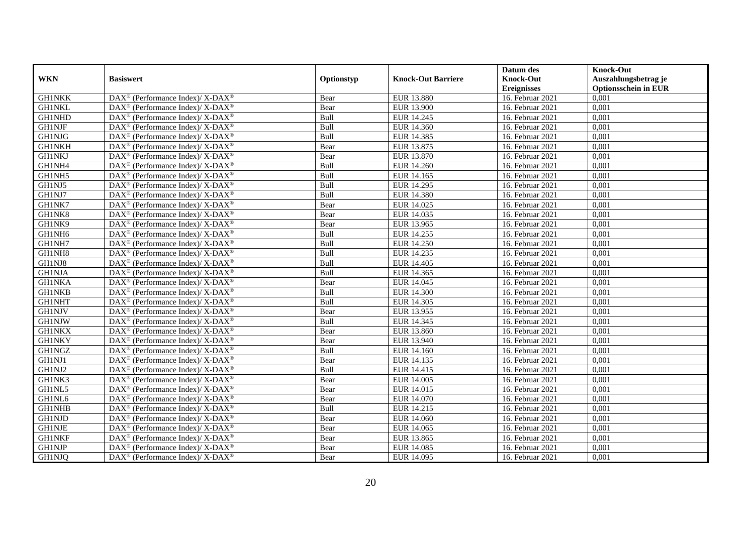|               |                                                                          |            |                           | Datum des          | <b>Knock-Out</b>            |
|---------------|--------------------------------------------------------------------------|------------|---------------------------|--------------------|-----------------------------|
| <b>WKN</b>    | <b>Basiswert</b>                                                         | Optionstyp | <b>Knock-Out Barriere</b> | <b>Knock-Out</b>   | Auszahlungsbetrag je        |
|               |                                                                          |            |                           | <b>Ereignisses</b> | <b>Optionsschein in EUR</b> |
| <b>GH1NKK</b> | DAX <sup>®</sup> (Performance Index)/X-DAX <sup>®</sup>                  | Bear       | <b>EUR 13.880</b>         | 16. Februar 2021   | 0,001                       |
| <b>GH1NKL</b> | $\text{DAX}^{\circledast}$ (Performance Index)/ X-DAX <sup>®</sup>       | Bear       | EUR 13.900                | 16. Februar 2021   | 0,001                       |
| <b>GH1NHD</b> | $\text{DAX}^{\circledast}$ (Performance Index)/ X-DAX <sup>®</sup>       | Bull       | EUR 14.245                | 16. Februar 2021   | 0,001                       |
| <b>GH1NJF</b> | DAX <sup>®</sup> (Performance Index)/X-DAX <sup>®</sup>                  | Bull       | EUR 14.360                | 16. Februar 2021   | 0,001                       |
| <b>GH1NJG</b> | DAX <sup>®</sup> (Performance Index)/ X-DAX <sup>®</sup>                 | Bull       | EUR 14.385                | 16. Februar 2021   | 0,001                       |
| <b>GH1NKH</b> | DAX <sup>®</sup> (Performance Index)/ X-DAX <sup>®</sup>                 | Bear       | EUR 13.875                | 16. Februar 2021   | 0,001                       |
| <b>GH1NKJ</b> | DAX <sup>®</sup> (Performance Index)/ X-DAX <sup>®</sup>                 | Bear       | EUR 13.870                | 16. Februar 2021   | 0,001                       |
| GH1NH4        | $\text{DAX}^{\circledast}$ (Performance Index)/ X-DAX <sup>®</sup>       | Bull       | EUR 14.260                | 16. Februar 2021   | 0,001                       |
| GH1NH5        | $\text{DAX}^{\circledast}$ (Performance Index)/ X-DAX <sup>®</sup>       | Bull       | EUR 14.165                | 16. Februar 2021   | 0,001                       |
| GH1NJ5        | DAX <sup>®</sup> (Performance Index)/ X-DAX <sup>®</sup>                 | Bull       | EUR 14.295                | 16. Februar 2021   | 0,001                       |
| GH1NJ7        | $\text{DAX}^{\circledast}$ (Performance Index)/ X-DAX <sup>®</sup>       | Bull       | <b>EUR 14.380</b>         | 16. Februar 2021   | 0,001                       |
| GH1NK7        | $\text{DAX}^{\circledR}$ (Performance Index)/ X-DAX <sup>®</sup>         | Bear       | EUR 14.025                | 16. Februar 2021   | 0,001                       |
| GH1NK8        | $\text{DAX}^{\circledast}$ (Performance Index)/ X-DAX <sup>®</sup>       | Bear       | EUR 14.035                | 16. Februar 2021   | 0,001                       |
| GH1NK9        | DAX <sup>®</sup> (Performance Index)/ X-DAX <sup>®</sup>                 | Bear       | EUR 13.965                | 16. Februar 2021   | 0,001                       |
| GH1NH6        | DAX <sup>®</sup> (Performance Index)/ X-DAX <sup>®</sup>                 | Bull       | EUR 14.255                | 16. Februar 2021   | 0,001                       |
| GH1NH7        | DAX <sup>®</sup> (Performance Index)/ X-DAX <sup>®</sup>                 | Bull       | <b>EUR 14.250</b>         | 16. Februar 2021   | 0,001                       |
| GH1NH8        | DAX <sup>®</sup> (Performance Index)/ X-DAX <sup>®</sup>                 | Bull       | EUR 14.235                | 16. Februar 2021   | 0,001                       |
| GH1NJ8        | $\text{DAX}^{\circledast}$ (Performance Index)/ X-DAX <sup>®</sup>       | Bull       | EUR 14.405                | 16. Februar 2021   | 0,001                       |
| <b>GH1NJA</b> | $\text{DAX}^{\circledast}$ (Performance Index)/ X-DAX <sup>®</sup>       | Bull       | EUR 14.365                | 16. Februar 2021   | 0,001                       |
| <b>GH1NKA</b> | DAX <sup>®</sup> (Performance Index)/X-DAX <sup>®</sup>                  | Bear       | EUR 14.045                | 16. Februar 2021   | 0,001                       |
| <b>GH1NKB</b> | DAX <sup>®</sup> (Performance Index)/ X-DAX <sup>®</sup>                 | Bull       | <b>EUR 14.300</b>         | 16. Februar 2021   | 0,001                       |
| <b>GH1NHT</b> | $\text{DAX}^{\circledast}$ (Performance Index)/ X-DAX <sup>®</sup>       | Bull       | EUR 14.305                | 16. Februar 2021   | 0,001                       |
| <b>GH1NJV</b> | DAX <sup>®</sup> (Performance Index)/ X-DAX <sup>®</sup>                 | Bear       | EUR 13.955                | 16. Februar 2021   | 0,001                       |
| <b>GH1NJW</b> | $\text{DAX}^{\circledR}$ (Performance Index)/ X-DAX <sup>®</sup>         | Bull       | EUR 14.345                | 16. Februar 2021   | 0,001                       |
| <b>GH1NKX</b> | $\text{DAX}^{\circledast}$ (Performance Index)/ X-DAX <sup>®</sup>       | Bear       | EUR 13.860                | 16. Februar 2021   | 0.001                       |
| <b>GH1NKY</b> | $\text{DAX}^{\circledast}$ (Performance Index)/ X-DAX <sup>®</sup>       | Bear       | EUR 13.940                | 16. Februar 2021   | 0,001                       |
| <b>GH1NGZ</b> | DAX <sup>®</sup> (Performance Index)/ X-DAX <sup>®</sup>                 | Bull       | EUR 14.160                | 16. Februar 2021   | 0,001                       |
| GH1NJ1        | DAX <sup>®</sup> (Performance Index)/ X-DAX <sup>®</sup>                 | Bear       | EUR 14.135                | 16. Februar 2021   | 0,001                       |
| GH1NJ2        | $\text{DAX}^{\circledR}$ (Performance Index)/ X-DAX <sup>®</sup>         | Bull       | EUR 14.415                | 16. Februar 2021   | 0,001                       |
| GH1NK3        | $DAX^{\circledast}$ (Performance Index)/ X-DAX <sup>®</sup>              | Bear       | EUR 14.005                | 16. Februar 2021   | 0,001                       |
| GH1NL5        | $\text{DAX}^{\circledast}$ (Performance Index)/ X-DAX <sup>®</sup>       | Bear       | EUR 14.015                | 16. Februar 2021   | 0,001                       |
| GH1NL6        | $\overline{\text{DAX}^{\otimes}}$ (Performance Index)/X-DAX <sup>®</sup> | Bear       | EUR 14.070                | 16. Februar 2021   | 0,001                       |
| <b>GH1NHB</b> | $\text{DAX}^{\circledast}$ (Performance Index)/ X-DAX <sup>®</sup>       | Bull       | EUR 14.215                | 16. Februar 2021   | 0,001                       |
| <b>GH1NJD</b> | $\text{DAX}^{\circledR}$ (Performance Index)/ X-DAX <sup>®</sup>         | Bear       | EUR 14.060                | 16. Februar 2021   | 0,001                       |
| <b>GH1NJE</b> | $\text{DAX}^{\circledR}$ (Performance Index)/ X-DAX <sup>®</sup>         | Bear       | EUR 14.065                | 16. Februar 2021   | 0,001                       |
| <b>GH1NKF</b> | $\text{DAX}^{\otimes}$ (Performance Index)/X-DAX <sup>®</sup>            | Bear       | EUR 13.865                | 16. Februar 2021   | 0,001                       |
| <b>GH1NJP</b> | DAX <sup>®</sup> (Performance Index)/ X-DAX <sup>®</sup>                 | Bear       | EUR 14.085                | 16. Februar 2021   | 0,001                       |
| <b>GH1NJQ</b> | DAX <sup>®</sup> (Performance Index)/ X-DAX <sup>®</sup>                 | Bear       | EUR 14.095                | 16. Februar 2021   | 0,001                       |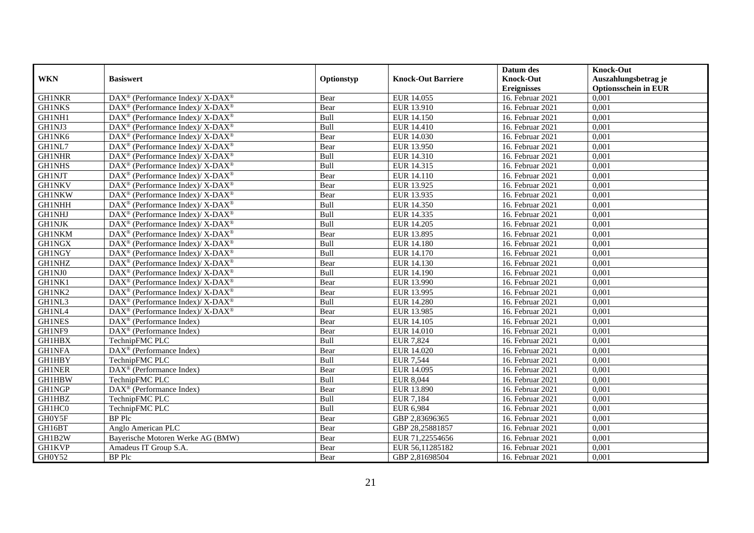|               |                                                             |             |                           | Datum des          | <b>Knock-Out</b>            |
|---------------|-------------------------------------------------------------|-------------|---------------------------|--------------------|-----------------------------|
| <b>WKN</b>    | <b>Basiswert</b>                                            | Optionstyp  | <b>Knock-Out Barriere</b> | <b>Knock-Out</b>   | Auszahlungsbetrag je        |
|               |                                                             |             |                           | <b>Ereignisses</b> | <b>Optionsschein in EUR</b> |
| <b>GH1NKR</b> | DAX <sup>®</sup> (Performance Index)/ X-DAX <sup>®</sup>    | Bear        | EUR 14.055                | 16. Februar 2021   | 0,001                       |
| <b>GH1NKS</b> | DAX <sup>®</sup> (Performance Index)/ X-DAX <sup>®</sup>    | Bear        | EUR 13.910                | 16. Februar 2021   | 0,001                       |
| GH1NH1        | DAX <sup>®</sup> (Performance Index)/ X-DAX <sup>®</sup>    | Bull        | <b>EUR 14.150</b>         | 16. Februar 2021   | 0,001                       |
| GH1NJ3        | DAX <sup>®</sup> (Performance Index)/ X-DAX <sup>®</sup>    | Bull        | EUR 14.410                | 16. Februar 2021   | 0,001                       |
| GH1NK6        | $DAX^{\circledast}$ (Performance Index)/ X-DAX <sup>®</sup> | Bear        | EUR 14.030                | 16. Februar 2021   | 0,001                       |
| GH1NL7        | $DAX^{\circledast}$ (Performance Index)/ X-DAX <sup>®</sup> | Bear        | EUR 13.950                | 16. Februar 2021   | 0,001                       |
| <b>GH1NHR</b> | DAX <sup>®</sup> (Performance Index)/ X-DAX <sup>®</sup>    | <b>Bull</b> | EUR 14.310                | 16. Februar 2021   | 0,001                       |
| <b>GH1NHS</b> | DAX <sup>®</sup> (Performance Index)/ X-DAX <sup>®</sup>    | Bull        | EUR 14.315                | 16. Februar 2021   | 0,001                       |
| <b>GH1NJT</b> | DAX <sup>®</sup> (Performance Index)/ X-DAX <sup>®</sup>    | Bear        | EUR 14.110                | 16. Februar 2021   | 0,001                       |
| <b>GH1NKV</b> | DAX <sup>®</sup> (Performance Index)/X-DAX <sup>®</sup>     | Bear        | EUR 13.925                | 16. Februar 2021   | 0,001                       |
| <b>GH1NKW</b> | DAX <sup>®</sup> (Performance Index)/ X-DAX <sup>®</sup>    | Bear        | EUR 13.935                | 16. Februar 2021   | 0,001                       |
| <b>GH1NHH</b> | DAX <sup>®</sup> (Performance Index)/ X-DAX <sup>®</sup>    | Bull        | EUR 14.350                | 16. Februar 2021   | 0,001                       |
| <b>GH1NHJ</b> | $DAX^{\circledast}$ (Performance Index)/ X-DAX <sup>®</sup> | Bull        | EUR 14.335                | 16. Februar 2021   | 0,001                       |
| <b>GH1NJK</b> | $DAX^{\circledcirc}$ (Performance Index)/X-DAX <sup>®</sup> | <b>Bull</b> | EUR 14.205                | 16. Februar 2021   | 0.001                       |
| <b>GH1NKM</b> | $DAX^{\circledast}$ (Performance Index)/ X-DAX <sup>®</sup> | Bear        | EUR 13.895                | 16. Februar 2021   | 0,001                       |
| <b>GH1NGX</b> | DAX <sup>®</sup> (Performance Index)/ X-DAX <sup>®</sup>    | Bull        | <b>EUR 14.180</b>         | 16. Februar 2021   | 0,001                       |
| <b>GH1NGY</b> | $DAX^{\circledast}$ (Performance Index)/ X-DAX <sup>®</sup> | Bull        | EUR 14.170                | 16. Februar 2021   | 0,001                       |
| <b>GH1NHZ</b> | $DAX^{\circledast}$ (Performance Index)/ X-DAX <sup>®</sup> | Bear        | EUR 14.130                | 16. Februar 2021   | 0,001                       |
| GH1NJ0        | $DAX^{\circledast}$ (Performance Index)/ X-DAX <sup>®</sup> | Bull        | EUR 14.190                | 16. Februar 2021   | 0,001                       |
| GH1NK1        | DAX <sup>®</sup> (Performance Index)/ X-DAX <sup>®</sup>    | Bear        | EUR 13.990                | 16. Februar 2021   | 0,001                       |
| GH1NK2        | $DAX^{\circledast}$ (Performance Index)/ X-DAX <sup>®</sup> | Bear        | EUR 13.995                | 16. Februar 2021   | 0,001                       |
| GH1NL3        | $DAX^{\circledcirc}$ (Performance Index)/X-DAX <sup>®</sup> | <b>Bull</b> | <b>EUR 14.280</b>         | 16. Februar 2021   | 0,001                       |
| GH1NL4        | $DAX^{\circledast}$ (Performance Index)/ X-DAX <sup>®</sup> | Bear        | EUR 13.985                | 16. Februar 2021   | 0,001                       |
| <b>GH1NES</b> | $DAX^{\circledR}$ (Performance Index)                       | Bear        | <b>EUR 14.105</b>         | 16. Februar 2021   | 0,001                       |
| GH1NF9        | $DAX^{\circledcirc}$ (Performance Index)                    | Bear        | <b>EUR 14.010</b>         | 16. Februar 2021   | 0,001                       |
| <b>GH1HBX</b> | TechnipFMC PLC                                              | Bull        | <b>EUR 7,824</b>          | 16. Februar 2021   | 0,001                       |
| <b>GH1NFA</b> | DAX <sup>®</sup> (Performance Index)                        | Bear        | EUR 14.020                | 16. Februar 2021   | 0,001                       |
| <b>GH1HBY</b> | TechnipFMC PLC                                              | Bull        | <b>EUR 7,544</b>          | 16. Februar 2021   | 0,001                       |
| <b>GH1NER</b> | $\overline{\text{DAX}}^{\textcirc}$ (Performance Index)     | Bear        | EUR 14.095                | 16. Februar 2021   | 0,001                       |
| GH1HBW        | TechnipFMC PLC                                              | Bull        | <b>EUR 8,044</b>          | 16. Februar 2021   | 0,001                       |
| <b>GH1NGP</b> | DAX <sup>®</sup> (Performance Index)                        | Bear        | EUR 13.890                | 16. Februar 2021   | 0,001                       |
| <b>GH1HBZ</b> | TechnipFMC PLC                                              | Bull        | <b>EUR 7,184</b>          | 16. Februar 2021   | 0,001                       |
| GH1HC0        | TechnipFMC PLC                                              | Bull        | EUR 6,984                 | 16. Februar 2021   | 0,001                       |
| GH0Y5F        | <b>BP</b> Plc                                               | Bear        | GBP 2,83696365            | 16. Februar 2021   | 0,001                       |
| GH16BT        | Anglo American PLC                                          | Bear        | GBP 28,25881857           | 16. Februar 2021   | 0,001                       |
| GH1B2W        | Bayerische Motoren Werke AG (BMW)                           | Bear        | EUR 71,22554656           | 16. Februar 2021   | 0,001                       |
| <b>GH1KVP</b> | Amadeus IT Group S.A.                                       | Bear        | EUR 56,11285182           | 16. Februar 2021   | 0,001                       |
| GH0Y52        | <b>BP</b> Plc                                               | Bear        | GBP 2,81698504            | 16. Februar 2021   | 0,001                       |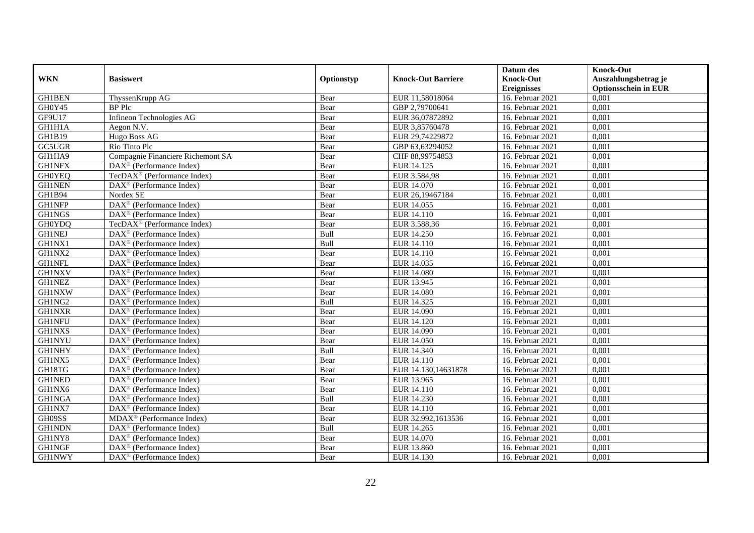|                     |                                                              |            |                           | Datum des          | <b>Knock-Out</b>            |
|---------------------|--------------------------------------------------------------|------------|---------------------------|--------------------|-----------------------------|
| <b>WKN</b>          | <b>Basiswert</b>                                             | Optionstyp | <b>Knock-Out Barriere</b> | <b>Knock-Out</b>   | Auszahlungsbetrag je        |
|                     |                                                              |            |                           | <b>Ereignisses</b> | <b>Optionsschein in EUR</b> |
| <b>GH1BEN</b>       | ThyssenKrupp AG                                              | Bear       | EUR 11,58018064           | 16. Februar 2021   | 0,001                       |
| GH0Y45              | <b>BP</b> Plc                                                | Bear       | GBP 2,79700641            | 16. Februar 2021   | 0,001                       |
| GF9U17              | Infineon Technologies AG                                     | Bear       | EUR 36,07872892           | 16. Februar 2021   | 0,001                       |
| GH1H1A              | Aegon N.V.                                                   | Bear       | EUR 3,85760478            | 16. Februar 2021   | 0,001                       |
| <b>GH1B19</b>       | Hugo Boss AG                                                 | Bear       | EUR 29,74229872           | 16. Februar 2021   | 0,001                       |
| $GC5\overline{UGR}$ | Rio Tinto Plc                                                | Bear       | GBP 63,63294052           | 16. Februar 2021   | 0,001                       |
| GH1HA9              | Compagnie Financiere Richemont SA                            | Bear       | CHF 88,99754853           | 16. Februar 2021   | 0,001                       |
| <b>GH1NFX</b>       | DAX <sup>®</sup> (Performance Index)                         | Bear       | EUR 14.125                | 16. Februar 2021   | 0,001                       |
| <b>GH0YEQ</b>       | TecDA $X^{\circledR}$ (Performance Index)                    | Bear       | EUR 3.584,98              | 16. Februar 2021   | 0,001                       |
| <b>GH1NEN</b>       | $\text{DAX}^{\circledast}$ (Performance Index)               | Bear       | EUR 14.070                | 16. Februar 2021   | 0,001                       |
| GH1B94              | Nordex SE                                                    | Bear       | EUR 26,19467184           | 16. Februar 2021   | 0,001                       |
| <b>GH1NFP</b>       | $\overline{\text{DAX}^{\circledast}}$ (Performance Index)    | Bear       | EUR 14.055                | 16. Februar 2021   | 0,001                       |
| <b>GH1NGS</b>       | DAX <sup>®</sup> (Performance Index)                         | Bear       | EUR 14.110                | 16. Februar 2021   | 0,001                       |
| <b>GH0YDQ</b>       | TecDAX <sup>®</sup> (Performance Index)                      | Bear       | EUR 3.588,36              | 16. Februar 2021   | 0,001                       |
| <b>GH1NEJ</b>       | DAX <sup>®</sup> (Performance Index)                         | Bull       | EUR 14.250                | 16. Februar 2021   | 0,001                       |
| GH1NX1              | DAX <sup>®</sup> (Performance Index)                         | Bull       | EUR 14.110                | 16. Februar 2021   | 0,001                       |
| GH1NX2              | DAX <sup>®</sup> (Performance Index)                         | Bear       | EUR 14.110                | 16. Februar 2021   | 0,001                       |
| <b>GH1NFL</b>       | $DAX^{\circledR}$ (Performance Index)                        | Bear       | EUR 14.035                | 16. Februar 2021   | 0,001                       |
| <b>GH1NXV</b>       | $\overline{\text{DAX}}^{\textcircled{}}$ (Performance Index) | Bear       | <b>EUR 14.080</b>         | 16. Februar 2021   | 0,001                       |
| <b>GH1NEZ</b>       | DAX <sup>®</sup> (Performance Index)                         | Bear       | EUR 13.945                | 16. Februar 2021   | 0,001                       |
| <b>GH1NXW</b>       | DAX <sup>®</sup> (Performance Index)                         | Bear       | <b>EUR 14.080</b>         | 16. Februar 2021   | 0,001                       |
| GH1NG2              | $\overline{\text{DAX}^{\otimes}}$ (Performance Index)        | Bull       | EUR 14.325                | 16. Februar 2021   | 0,001                       |
| <b>GH1NXR</b>       | $\overline{\text{DAX}^{\otimes}}$ (Performance Index)        | Bear       | EUR 14.090                | 16. Februar 2021   | 0,001                       |
| <b>GH1NFU</b>       | DAX <sup>®</sup> (Performance Index)                         | Bear       | EUR 14.120                | 16. Februar 2021   | 0,001                       |
| <b>GH1NXS</b>       | DAX <sup>®</sup> (Performance Index)                         | Bear       | EUR 14.090                | 16. Februar 2021   | 0,001                       |
| <b>GH1NYU</b>       | $\text{DAX}^{\otimes}$ (Performance Index)                   | Bear       | EUR 14.050                | 16. Februar 2021   | 0,001                       |
| <b>GH1NHY</b>       | DAX <sup>®</sup> (Performance Index)                         | Bull       | EUR 14.340                | 16. Februar 2021   | 0,001                       |
| GH1NX5              | $\text{DAX}^{\textcircled{D}}$ (Performance Index)           | Bear       | EUR 14.110                | 16. Februar 2021   | 0,001                       |
| GH18TG              | $\text{DAX}^{\textcircled{D}}$ (Performance Index)           | Bear       | EUR 14.130,14631878       | 16. Februar 2021   | 0,001                       |
| <b>GH1NED</b>       | $DAX^{\otimes}$ (Performance Index)                          | Bear       | EUR 13.965                | 16. Februar 2021   | 0,001                       |
| GH1NX6              | DAX <sup>®</sup> (Performance Index)                         | Bear       | EUR 14.110                | 16. Februar 2021   | 0,001                       |
| <b>GH1NGA</b>       | DAX <sup>®</sup> (Performance Index)                         | Bull       | EUR 14.230                | 16. Februar 2021   | 0,001                       |
| GH1NX7              | $\overline{\text{DAX}^{\otimes}}$ (Performance Index)        | Bear       | EUR 14.110                | 16. Februar 2021   | 0,001                       |
| GH09SS              | MDAX <sup>®</sup> (Performance Index)                        | Bear       | EUR 32.992,1613536        | 16. Februar 2021   | 0,001                       |
| <b>GH1NDN</b>       | $\text{DAX}^{\textcircled{n}}$ (Performance Index)           | Bull       | EUR 14.265                | 16. Februar 2021   | 0,001                       |
| GH1NY8              | DAX <sup>®</sup> (Performance Index)                         | Bear       | EUR 14.070                | 16. Februar 2021   | 0,001                       |
| <b>GH1NGF</b>       | $\text{DAX}^{\otimes}$ (Performance Index)                   | Bear       | EUR 13.860                | 16. Februar 2021   | 0,001                       |
| <b>GH1NWY</b>       | $\overline{\text{DAX}}^{\textcirc}$ (Performance Index)      | Bear       | EUR 14.130                | 16. Februar 2021   | 0,001                       |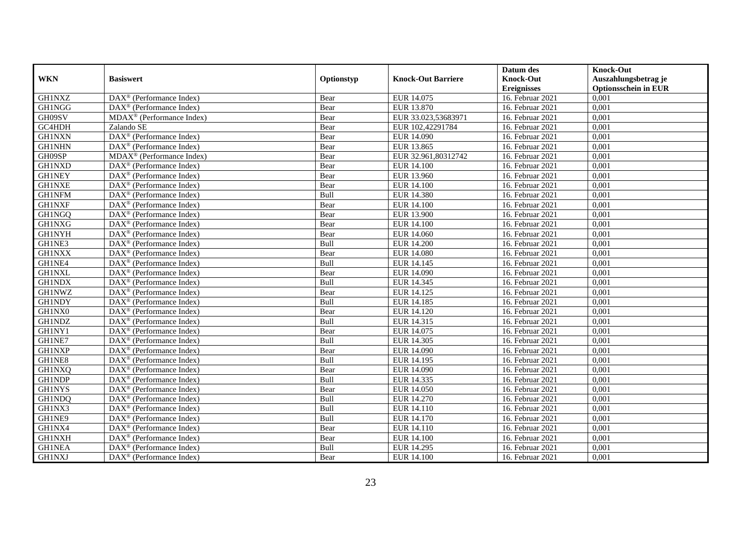|               |                                                            |             |                           | Datum des          | <b>Knock-Out</b>            |
|---------------|------------------------------------------------------------|-------------|---------------------------|--------------------|-----------------------------|
| <b>WKN</b>    | <b>Basiswert</b>                                           | Optionstyp  | <b>Knock-Out Barriere</b> | <b>Knock-Out</b>   | Auszahlungsbetrag je        |
|               |                                                            |             |                           | <b>Ereignisses</b> | <b>Optionsschein in EUR</b> |
| <b>GH1NXZ</b> | DAX <sup>®</sup> (Performance Index)                       | Bear        | EUR 14.075                | 16. Februar 2021   | 0,001                       |
| <b>GH1NGG</b> | $\text{DAX}^{\textcircled{n}}$ (Performance Index)         | Bear        | EUR 13.870                | 16. Februar 2021   | 0,001                       |
| GH09SV        | MDAX <sup>®</sup> (Performance Index)                      | Bear        | EUR 33.023,53683971       | 16. Februar 2021   | 0,001                       |
| GC4HDH        | Zalando SE                                                 | Bear        | EUR 102,42291784          | 16. Februar 2021   | 0,001                       |
| <b>GH1NXN</b> | DAX <sup>®</sup> (Performance Index)                       | Bear        | EUR 14.090                | 16. Februar 2021   | 0,001                       |
| <b>GH1NHN</b> | DAX <sup>®</sup> (Performance Index)                       | Bear        | EUR 13.865                | 16. Februar 2021   | 0,001                       |
| GH09SP        | $\overline{\text{MD}}$ AX <sup>®</sup> (Performance Index) | Bear        | EUR 32.961,80312742       | 16. Februar 2021   | 0,001                       |
| <b>GH1NXD</b> | DAX <sup>®</sup> (Performance Index)                       | Bear        | <b>EUR 14.100</b>         | 16. Februar 2021   | 0,001                       |
| <b>GH1NEY</b> | $\text{DAX}^{\textcircled{n}}$ (Performance Index)         | Bear        | EUR 13.960                | 16. Februar 2021   | 0,001                       |
| <b>GH1NXE</b> | DAX <sup>®</sup> (Performance Index)                       | Bear        | <b>EUR 14.100</b>         | 16. Februar 2021   | 0,001                       |
| <b>GH1NFM</b> | $\overline{\text{DAX}^{\otimes}}$ (Performance Index)      | Bull        | <b>EUR 14.380</b>         | 16. Februar 2021   | 0,001                       |
| <b>GH1NXF</b> | DAX <sup>®</sup> (Performance Index)                       | Bear        | <b>EUR 14.100</b>         | 16. Februar 2021   | 0,001                       |
| GH1NGQ        | $\text{DAX}^{\textcircled{n}}$ (Performance Index)         | Bear        | EUR 13.900                | 16. Februar 2021   | 0,001                       |
| <b>GH1NXG</b> | DAX <sup>®</sup> (Performance Index)                       | Bear        | <b>EUR 14.100</b>         | 16. Februar 2021   | 0.001                       |
| <b>GH1NYH</b> | $\overline{\text{DAX}^{\otimes}}$ (Performance Index)      | Bear        | EUR 14.060                | 16. Februar 2021   | 0,001                       |
| GH1NE3        | DAX <sup>®</sup> (Performance Index)                       | Bull        | <b>EUR 14.200</b>         | 16. Februar 2021   | 0,001                       |
| <b>GH1NXX</b> | DAX <sup>®</sup> (Performance Index)                       | Bear        | <b>EUR 14.080</b>         | 16. Februar 2021   | 0,001                       |
| GH1NE4        | DAX <sup>®</sup> (Performance Index)                       | Bull        | EUR 14.145                | 16. Februar 2021   | 0,001                       |
| <b>GH1NXL</b> | $\text{DAX}^{\circledast}$ (Performance Index)             | Bear        | EUR 14.090                | 16. Februar 2021   | 0,001                       |
| <b>GH1NDX</b> | $\text{DAX}^{\circledast}$ (Performance Index)             | Bull        | EUR 14.345                | 16. Februar 2021   | 0,001                       |
| <b>GH1NWZ</b> | DAX <sup>®</sup> (Performance Index)                       | Bear        | EUR 14.125                | 16. Februar 2021   | 0,001                       |
| <b>GH1NDY</b> | $DAX^{\circledR}$ (Performance Index)                      | <b>Bull</b> | EUR 14.185                | 16. Februar 2021   | 0,001                       |
| GH1NX0        | $\text{DAX}^{\textcircled{D}}$ (Performance Index)         | Bear        | EUR 14.120                | 16. Februar 2021   | 0,001                       |
| <b>GH1NDZ</b> | $\text{DAX}^{\textcircled{p}}$ (Performance Index)         | Bull        | EUR 14.315                | 16. Februar 2021   | 0,001                       |
| GH1NY1        | $DAX^{\circledR}$ (Performance Index)                      | Bear        | EUR 14.075                | 16. Februar 2021   | 0,001                       |
| GH1NE7        | DAX <sup>®</sup> (Performance Index)                       | Bull        | EUR 14.305                | 16. Februar 2021   | 0,001                       |
| <b>GH1NXP</b> | DAX <sup>®</sup> (Performance Index)                       | Bear        | EUR 14.090                | 16. Februar 2021   | 0,001                       |
| GH1NE8        | DAX <sup>®</sup> (Performance Index)                       | Bull        | EUR 14.195                | 16. Februar 2021   | 0,001                       |
| <b>GH1NXQ</b> | $\text{DAX}^{\textcircled{n}}$ (Performance Index)         | Bear        | EUR 14.090                | 16. Februar 2021   | 0,001                       |
| <b>GH1NDP</b> | $\text{DAX}^{\textcircled{n}}$ (Performance Index)         | Bull        | EUR 14.335                | 16. Februar 2021   | 0,001                       |
| <b>GH1NYS</b> | $DAX^{\otimes}$ (Performance Index)                        | Bear        | <b>EUR 14.050</b>         | 16. Februar 2021   | 0,001                       |
| <b>GH1NDQ</b> | DAX <sup>®</sup> (Performance Index)                       | Bull        | EUR 14.270                | 16. Februar 2021   | 0,001                       |
| GH1NX3        | $\overline{\text{DAX}^{\otimes}}$ (Performance Index)      | Bull        | EUR 14.110                | 16. Februar 2021   | 0,001                       |
| GH1NE9        | $\overline{\text{DAX}^{\otimes}}$ (Performance Index)      | Bull        | EUR 14.170                | $16.$ Februar 2021 | 0,001                       |
| GH1NX4        | $\text{DAX}^{\textcircled{n}}$ (Performance Index)         | Bear        | EUR 14.110                | 16. Februar 2021   | 0,001                       |
| <b>GH1NXH</b> | $\text{DAX}^{\circledast}$ (Performance Index)             | Bear        | <b>EUR 14.100</b>         | 16. Februar 2021   | 0,001                       |
| <b>GH1NEA</b> | $\text{DAX}^{\otimes}$ (Performance Index)                 | Bull        | EUR 14.295                | 16. Februar 2021   | 0,001                       |
| <b>GH1NXJ</b> | $\overline{\text{DAX}}^{\textcirc}$ (Performance Index)    | Bear        | <b>EUR 14.100</b>         | 16. Februar 2021   | 0,001                       |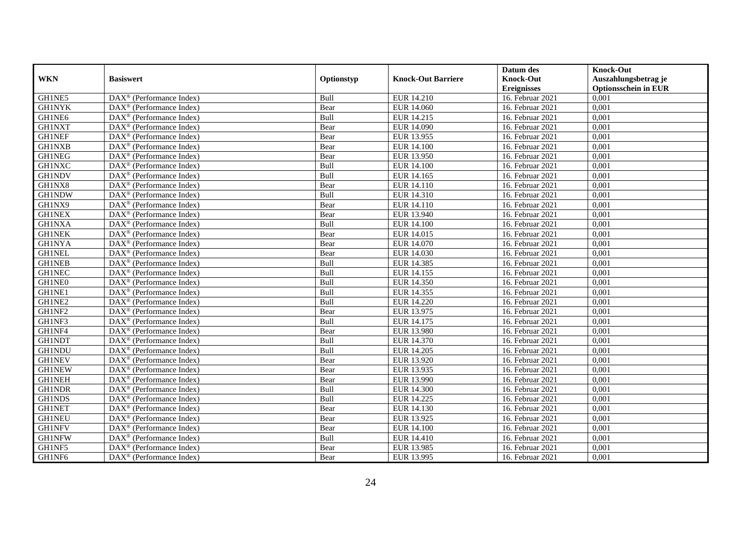|               |                                                         |             |                           | Datum des          | <b>Knock-Out</b>            |
|---------------|---------------------------------------------------------|-------------|---------------------------|--------------------|-----------------------------|
| <b>WKN</b>    | <b>Basiswert</b>                                        | Optionstyp  | <b>Knock-Out Barriere</b> | <b>Knock-Out</b>   | Auszahlungsbetrag je        |
|               |                                                         |             |                           | <b>Ereignisses</b> | <b>Optionsschein in EUR</b> |
| GH1NE5        | DAX <sup>®</sup> (Performance Index)                    | Bull        | EUR 14.210                | 16. Februar 2021   | 0,001                       |
| <b>GH1NYK</b> | $DAX^{\circledR}$ (Performance Index)                   | Bear        | EUR 14.060                | 16. Februar 2021   | 0,001                       |
| GH1NE6        | DAX <sup>®</sup> (Performance Index)                    | Bull        | EUR 14.215                | 16. Februar 2021   | 0,001                       |
| <b>GH1NXT</b> | $\text{DAX}^{\circledast}$ (Performance Index)          | Bear        | EUR 14.090                | 16. Februar 2021   | 0,001                       |
| <b>GH1NEF</b> | DAX <sup>®</sup> (Performance Index)                    | Bear        | EUR 13.955                | 16. Februar 2021   | 0,001                       |
| <b>GH1NXB</b> | $\text{DAX}^{\circledast}$ (Performance Index)          | Bear        | <b>EUR 14.100</b>         | 16. Februar 2021   | 0,001                       |
| <b>GH1NEG</b> | $\text{DAX}^{\textcircled{n}}$ (Performance Index)      | Bear        | EUR 13.950                | 16. Februar 2021   | 0,001                       |
| <b>GH1NXC</b> | $\text{DAX}^{\textcircled{}}$ (Performance Index)       | Bull        | <b>EUR 14.100</b>         | 16. Februar 2021   | 0,001                       |
| <b>GH1NDV</b> | $\text{DAX}^{\textcircled{p}}$ (Performance Index)      | Bull        | EUR 14.165                | 16. Februar 2021   | 0,001                       |
| GH1NX8        | $DAX^{\otimes}$ (Performance Index)                     | Bear        | EUR 14.110                | 16. Februar 2021   | 0,001                       |
| <b>GH1NDW</b> | DAX <sup>®</sup> (Performance Index)                    | Bull        | EUR 14.310                | 16. Februar 2021   | 0,001                       |
| GH1NX9        | $\overline{\text{DAX}^{\otimes}}$ (Performance Index)   | Bear        | <b>EUR 14.110</b>         | 16. Februar 2021   | 0,001                       |
| <b>GH1NEX</b> | $\text{DAX}^{\circledast}$ (Performance Index)          | Bear        | EUR 13.940                | 16. Februar 2021   | 0,001                       |
| <b>GH1NXA</b> | DAX <sup>®</sup> (Performance Index)                    | Bull        | <b>EUR 14.100</b>         | 16. Februar 2021   | 0,001                       |
| <b>GH1NEK</b> | DAX <sup>®</sup> (Performance Index)                    | Bear        | EUR 14.015                | 16. Februar 2021   | 0,001                       |
| <b>GH1NYA</b> | DAX <sup>®</sup> (Performance Index)                    | Bear        | EUR 14.070                | 16. Februar 2021   | 0,001                       |
| <b>GH1NEL</b> | DAX <sup>®</sup> (Performance Index)                    | Bear        | EUR 14.030                | 16. Februar 2021   | 0,001                       |
| <b>GH1NEB</b> | $\overline{\text{DAX}}^{\textcirc}$ (Performance Index) | <b>Bull</b> | EUR 14.385                | 16. Februar 2021   | 0,001                       |
| <b>GH1NEC</b> | DAX <sup>®</sup> (Performance Index)                    | Bull        | EUR 14.155                | 16. Februar 2021   | 0,001                       |
| GH1NE0        | DAX <sup>®</sup> (Performance Index)                    | Bull        | EUR 14.350                | 16. Februar 2021   | 0,001                       |
| GH1NE1        | DAX <sup>®</sup> (Performance Index)                    | Bull        | EUR 14.355                | 16. Februar 2021   | 0,001                       |
| GH1NE2        | $\overline{\text{DAX}^{\otimes}}$ (Performance Index)   | Bull        | <b>EUR 14.220</b>         | 16. Februar 2021   | 0,001                       |
| GH1NF2        | $\text{DAX}^{\circledast}$ (Performance Index)          | Bear        | EUR 13.975                | 16. Februar 2021   | 0,001                       |
| GH1NF3        | DAX <sup>®</sup> (Performance Index)                    | Bull        | EUR 14.175                | 16. Februar 2021   | 0,001                       |
| GH1NF4        | DAX <sup>®</sup> (Performance Index)                    | Bear        | EUR 13.980                | 16. Februar 2021   | 0,001                       |
| <b>GH1NDT</b> | $\text{DAX}^{\otimes}$ (Performance Index)              | Bull        | EUR 14.370                | 16. Februar 2021   | 0,001                       |
| <b>GH1NDU</b> | $\text{DAX}^{\circledast}$ (Performance Index)          | Bull        | EUR 14.205                | 16. Februar 2021   | 0,001                       |
| <b>GH1NEV</b> | $\text{DAX}^{\textcircled{p}}$ (Performance Index)      | Bear        | EUR 13.920                | 16. Februar 2021   | 0,001                       |
| <b>GH1NEW</b> | $\text{DAX}^{\textcircled{p}}$ (Performance Index)      | Bear        | EUR 13.935                | 16. Februar 2021   | 0,001                       |
| <b>GH1NEH</b> | $DAX^{\otimes}$ (Performance Index)                     | Bear        | EUR 13.990                | 16. Februar 2021   | 0,001                       |
| <b>GH1NDR</b> | DAX <sup>®</sup> (Performance Index)                    | Bull        | <b>EUR 14.300</b>         | 16. Februar 2021   | 0,001                       |
| <b>GH1NDS</b> | DAX <sup>®</sup> (Performance Index)                    | Bull        | EUR 14.225                | 16. Februar 2021   | 0,001                       |
| <b>GH1NET</b> | $\overline{\text{DAX}^{\otimes}}$ (Performance Index)   | Bear        | EUR 14.130                | 16. Februar 2021   | 0,001                       |
| <b>GH1NEU</b> | DAX <sup>®</sup> (Performance Index)                    | Bear        | EUR 13.925                | 16. Februar 2021   | 0,001                       |
| <b>GH1NFV</b> | $\text{DAX}^{\textcircled{n}}$ (Performance Index)      | Bear        | <b>EUR 14.100</b>         | 16. Februar 2021   | 0,001                       |
| <b>GH1NFW</b> | $\text{DAX}^{\circledast}$ (Performance Index)          | Bull        | EUR 14.410                | 16. Februar 2021   | 0,001                       |
| GH1NF5        | $\text{DAX}^{\otimes}$ (Performance Index)              | Bear        | EUR 13.985                | 16. Februar 2021   | 0,001                       |
| GH1NF6        | $\overline{\text{DAX}}^{\textcirc}$ (Performance Index) | Bear        | EUR 13.995                | 16. Februar 2021   | 0,001                       |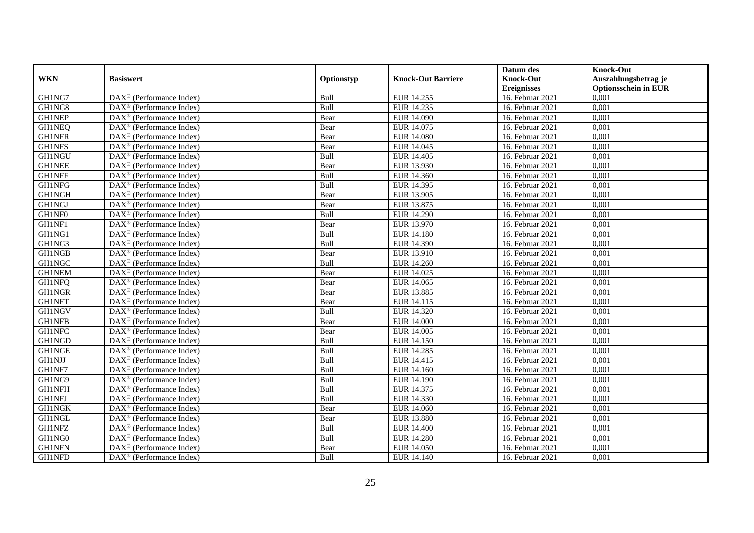|               |                                                         |             |                           | Datum des          | <b>Knock-Out</b>            |
|---------------|---------------------------------------------------------|-------------|---------------------------|--------------------|-----------------------------|
| <b>WKN</b>    | <b>Basiswert</b>                                        | Optionstyp  | <b>Knock-Out Barriere</b> | <b>Knock-Out</b>   | Auszahlungsbetrag je        |
|               |                                                         |             |                           | <b>Ereignisses</b> | <b>Optionsschein in EUR</b> |
| GH1NG7        | DAX <sup>®</sup> (Performance Index)                    | Bull        | EUR 14.255                | 16. Februar 2021   | 0,001                       |
| GH1NG8        | $DAX^{\circledR}$ (Performance Index)                   | Bull        | EUR 14.235                | 16. Februar 2021   | 0,001                       |
| <b>GH1NEP</b> | DAX <sup>®</sup> (Performance Index)                    | Bear        | EUR 14.090                | 16. Februar 2021   | 0,001                       |
| <b>GH1NEQ</b> | $\text{DAX}^{\otimes}$ (Performance Index)              | Bear        | EUR 14.075                | 16. Februar 2021   | 0,001                       |
| <b>GH1NFR</b> | DAX <sup>®</sup> (Performance Index)                    | Bear        | <b>EUR 14.080</b>         | 16. Februar 2021   | 0,001                       |
| <b>GH1NFS</b> | $\text{DAX}^{\circledast}$ (Performance Index)          | Bear        | EUR 14.045                | 16. Februar 2021   | 0,001                       |
| <b>GH1NGU</b> | $\text{DAX}^{\textcircled{n}}$ (Performance Index)      | Bull        | EUR 14.405                | 16. Februar 2021   | 0,001                       |
| <b>GH1NEE</b> | $\text{DAX}^{\textcircled{}}$ (Performance Index)       | Bear        | EUR 13.930                | 16. Februar 2021   | 0,001                       |
| <b>GH1NFF</b> | $\text{DAX}^{\textcircled{p}}$ (Performance Index)      | Bull        | EUR 14.360                | 16. Februar 2021   | 0,001                       |
| <b>GH1NFG</b> | $DAX^{\otimes}$ (Performance Index)                     | Bull        | EUR 14.395                | 16. Februar 2021   | 0,001                       |
| <b>GH1NGH</b> | DAX <sup>®</sup> (Performance Index)                    | Bear        | EUR 13.905                | 16. Februar 2021   | 0,001                       |
| <b>GH1NGJ</b> | $\overline{\text{DAX}^{\otimes}}$ (Performance Index)   | Bear        | EUR 13.875                | 16. Februar 2021   | 0,001                       |
| GH1NF0        | $\text{DAX}^{\circledast}$ (Performance Index)          | Bull        | <b>EUR 14.290</b>         | 16. Februar 2021   | 0,001                       |
| GH1NF1        | DAX <sup>®</sup> (Performance Index)                    | Bear        | EUR 13.970                | 16. Februar 2021   | 0,001                       |
| GH1NG1        | DAX <sup>®</sup> (Performance Index)                    | Bull        | <b>EUR 14.180</b>         | 16. Februar 2021   | 0,001                       |
| GH1NG3        | DAX <sup>®</sup> (Performance Index)                    | Bull        | EUR 14.390                | 16. Februar 2021   | 0,001                       |
| <b>GH1NGB</b> | DAX <sup>®</sup> (Performance Index)                    | Bear        | EUR 13.910                | 16. Februar 2021   | 0,001                       |
| <b>GH1NGC</b> | $\overline{\text{DAX}}^{\textcirc}$ (Performance Index) | <b>Bull</b> | EUR 14.260                | 16. Februar 2021   | 0,001                       |
| <b>GH1NEM</b> | DAX <sup>®</sup> (Performance Index)                    | Bear        | EUR 14.025                | 16. Februar 2021   | 0,001                       |
| <b>GH1NFQ</b> | DAX <sup>®</sup> (Performance Index)                    | Bear        | EUR 14.065                | 16. Februar 2021   | 0,001                       |
| <b>GH1NGR</b> | DAX <sup>®</sup> (Performance Index)                    | Bear        | EUR 13.885                | 16. Februar 2021   | 0,001                       |
| <b>GH1NFT</b> | $\overline{\text{DAX}^{\otimes}}$ (Performance Index)   | Bear        | EUR 14.115                | 16. Februar 2021   | 0,001                       |
| <b>GH1NGV</b> | $\text{DAX}^{\circledast}$ (Performance Index)          | Bull        | EUR 14.320                | 16. Februar 2021   | 0,001                       |
| <b>GH1NFB</b> | DAX <sup>®</sup> (Performance Index)                    | Bear        | <b>EUR 14.000</b>         | 16. Februar 2021   | 0,001                       |
| <b>GH1NFC</b> | DAX <sup>®</sup> (Performance Index)                    | Bear        | EUR 14.005                | 16. Februar 2021   | 0,001                       |
| GH1NGD        | $\text{DAX}^{\otimes}$ (Performance Index)              | Bull        | EUR 14.150                | 16. Februar 2021   | 0,001                       |
| <b>GH1NGE</b> | $\text{DAX}^{\circledast}$ (Performance Index)          | Bull        | <b>EUR 14.285</b>         | 16. Februar 2021   | 0,001                       |
| <b>GH1NJJ</b> | $\text{DAX}^{\textcircled{p}}$ (Performance Index)      | Bull        | EUR 14.415                | 16. Februar 2021   | 0,001                       |
| GH1NF7        | $\text{DAX}^{\textcircled{D}}$ (Performance Index)      | Bull        | EUR 14.160                | 16. Februar 2021   | 0,001                       |
| GH1NG9        | $DAX^{\otimes}$ (Performance Index)                     | Bull        | EUR 14.190                | 16. Februar 2021   | 0,001                       |
| <b>GH1NFH</b> | DAX <sup>®</sup> (Performance Index)                    | Bull        | EUR 14.375                | 16. Februar 2021   | 0,001                       |
| <b>GH1NFJ</b> | DAX <sup>®</sup> (Performance Index)                    | Bull        | EUR 14.330                | 16. Februar 2021   | 0,001                       |
| <b>GH1NGK</b> | $\overline{\text{DAX}^{\otimes}}$ (Performance Index)   | Bear        | EUR 14.060                | 16. Februar 2021   | 0,001                       |
| <b>GH1NGL</b> | DAX <sup>®</sup> (Performance Index)                    | Bear        | <b>EUR 13.880</b>         | 16. Februar 2021   | 0,001                       |
| <b>GH1NFZ</b> | $\text{DAX}^{\textcircled{n}}$ (Performance Index)      | Bull        | <b>EUR 14.400</b>         | 16. Februar 2021   | 0,001                       |
| GH1NG0        | $\text{DAX}^{\circledast}$ (Performance Index)          | Bull        | <b>EUR 14.280</b>         | 16. Februar 2021   | 0,001                       |
| <b>GH1NFN</b> | $\text{DAX}^{\otimes}$ (Performance Index)              | Bear        | <b>EUR 14.050</b>         | 16. Februar 2021   | 0,001                       |
| GH1NFD        | $\overline{\text{DAX}}^{\textcirc}$ (Performance Index) | Bull        | EUR 14.140                | 16. Februar 2021   | 0,001                       |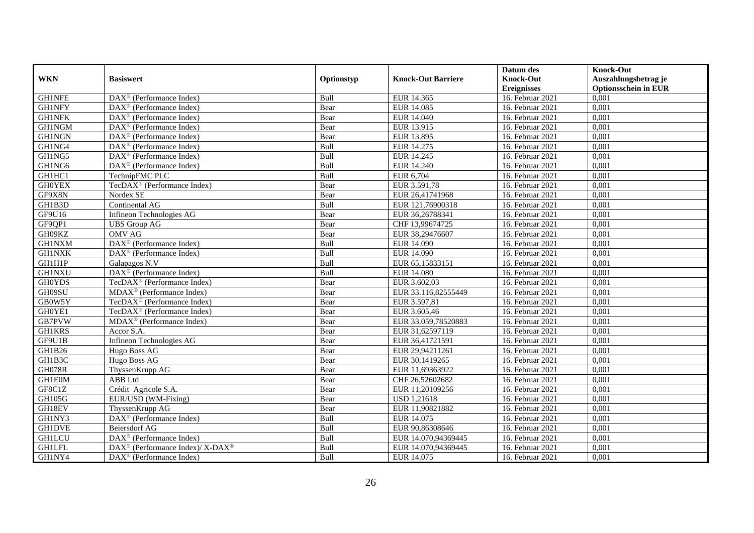|               |                                                             |            |                           | Datum des          | <b>Knock-Out</b>            |
|---------------|-------------------------------------------------------------|------------|---------------------------|--------------------|-----------------------------|
| <b>WKN</b>    | <b>Basiswert</b>                                            | Optionstyp | <b>Knock-Out Barriere</b> | <b>Knock-Out</b>   | Auszahlungsbetrag je        |
|               |                                                             |            |                           | <b>Ereignisses</b> | <b>Optionsschein in EUR</b> |
| <b>GH1NFE</b> | $\overline{\text{DAX}^{\otimes}}$ (Performance Index)       | Bull       | EUR 14.365                | 16. Februar 2021   | 0,001                       |
| <b>GH1NFY</b> | $\text{DAX}^{\textcircled{D}}$ (Performance Index)          | Bear       | EUR 14.085                | 16. Februar 2021   | 0,001                       |
| <b>GH1NFK</b> | $DAX^{\circledR}$ (Performance Index)                       | Bear       | EUR 14.040                | 16. Februar 2021   | 0,001                       |
| GH1NGM        | $\text{DAX}^{\circledast}$ (Performance Index)              | Bear       | EUR 13.915                | 16. Februar 2021   | 0,001                       |
| <b>GH1NGN</b> | DAX <sup>®</sup> (Performance Index)                        | Bear       | EUR 13.895                | 16. Februar 2021   | 0,001                       |
| GH1NG4        | $\overline{\text{DAX}^{\otimes}}$ (Performance Index)       | Bull       | EUR 14.275                | 16. Februar 2021   | 0,001                       |
| GH1NG5        | $\overline{\text{DAX}^{\otimes}(\text{Performance Index})}$ | Bull       | EUR 14.245                | 16. Februar 2021   | 0,001                       |
| GH1NG6        | $\text{DAX}^{\circledast}$ (Performance Index)              | Bull       | EUR 14.240                | 16. Februar 2021   | 0,001                       |
| GH1HC1        | TechnipFMC PLC                                              | Bull       | EUR 6,704                 | 16. Februar 2021   | 0,001                       |
| <b>GH0YEX</b> | TecDAX <sup>®</sup> (Performance Index)                     | Bear       | EUR 3.591,78              | 16. Februar 2021   | 0,001                       |
| GF9X8N        | Nordex SE                                                   | Bear       | EUR 26,41741968           | 16. Februar 2021   | 0,001                       |
| GH1B3D        | Continental AG                                              | Bull       | EUR 121,76900318          | 16. Februar 2021   | 0,001                       |
| GF9U16        | Infineon Technologies AG                                    | Bear       | EUR 36,26788341           | 16. Februar 2021   | 0,001                       |
| GF9QP1        | <b>UBS</b> Group AG                                         | Bear       | CHF 13,99674725           | 16. Februar 2021   | 0,001                       |
| GH09KZ        | OMV AG                                                      | Bear       | EUR 38,29476607           | 16. Februar 2021   | 0,001                       |
| GH1NXM        | $\overline{\text{DAX}^{\otimes}(\text{Performance Index})}$ | Bull       | EUR 14.090                | 16. Februar 2021   | 0,001                       |
| <b>GH1NXK</b> | DAX <sup>®</sup> (Performance Index)                        | Bull       | EUR 14.090                | 16. Februar 2021   | 0,001                       |
| GH1H1P        | Galapagos N.V                                               | Bull       | EUR 65,15833151           | 16. Februar 2021   | 0,001                       |
| <b>GH1NXU</b> | DAX <sup>®</sup> (Performance Index)                        | Bull       | <b>EUR 14.080</b>         | 16. Februar 2021   | 0,001                       |
| <b>GH0YDS</b> | TecDAX <sup>®</sup> (Performance Index)                     | Bear       | EUR 3.602,03              | 16. Februar 2021   | 0,001                       |
| GH09SU        | MDAX <sup>®</sup> (Performance Index)                       | Bear       | EUR 33.116,82555449       | 16. Februar 2021   | 0,001                       |
| GB0W5Y        | TecDAX <sup>®</sup> (Performance Index)                     | Bear       | EUR 3.597,81              | 16. Februar 2021   | 0,001                       |
| GH0YE1        | TecDAX <sup>®</sup> (Performance Index)                     | Bear       | EUR 3.605,46              | 16. Februar 2021   | 0,001                       |
| GB7PVW        | $\overline{\text{MD}}$ AX <sup>®</sup> (Performance Index)  | Bear       | EUR 33.059,78520883       | 16. Februar 2021   | 0,001                       |
| <b>GH1KRS</b> | Accor S.A.                                                  | Bear       | EUR 31,62597119           | 16. Februar 2021   | 0,001                       |
| GF9U1B        | Infineon Technologies AG                                    | Bear       | EUR 36,41721591           | 16. Februar 2021   | 0,001                       |
| GH1B26        | Hugo Boss AG                                                | Bear       | EUR 29,94211261           | 16. Februar 2021   | 0,001                       |
| GH1B3C        | Hugo Boss AG                                                | Bear       | EUR 30,1419265            | 16. Februar 2021   | 0,001                       |
| <b>GH078R</b> | ThyssenKrupp AG                                             | Bear       | EUR 11,69363922           | 16. Februar 2021   | 0,001                       |
| GH1E0M        | ABB Ltd                                                     | Bear       | CHF 26,52602682           | 16. Februar 2021   | 0,001                       |
| GF8C1Z        | Crédit Agricole S.A.                                        | Bear       | EUR 11,20109256           | 16. Februar 2021   | 0,001                       |
| <b>GH105G</b> | EUR/USD (WM-Fixing)                                         | Bear       | <b>USD 1,21618</b>        | 16. Februar 2021   | 0,001                       |
| GH18EV        | ThyssenKrupp AG                                             | Bear       | EUR 11,90821882           | 16. Februar 2021   | 0,001                       |
| GH1NY3        | DAX <sup>®</sup> (Performance Index)                        | Bull       | EUR 14.075                | 16. Februar 2021   | 0,001                       |
| <b>GH1DVE</b> | <b>Beiersdorf AG</b>                                        | Bull       | EUR 90,86308646           | 16. Februar 2021   | 0,001                       |
| <b>GH1LCU</b> | $\text{DAX}^{\textcircled{n}}$ (Performance Index)          | Bull       | EUR 14.070,94369445       | 16. Februar 2021   | 0,001                       |
| <b>GH1LFL</b> | DAX <sup>®</sup> (Performance Index)/ X-DAX <sup>®</sup>    | Bull       | EUR 14.070,94369445       | 16. Februar 2021   | 0,001                       |
| GH1NY4        | $\text{DAX}^{\circledast}$ (Performance Index)              | Bull       | EUR 14.075                | 16. Februar 2021   | 0,001                       |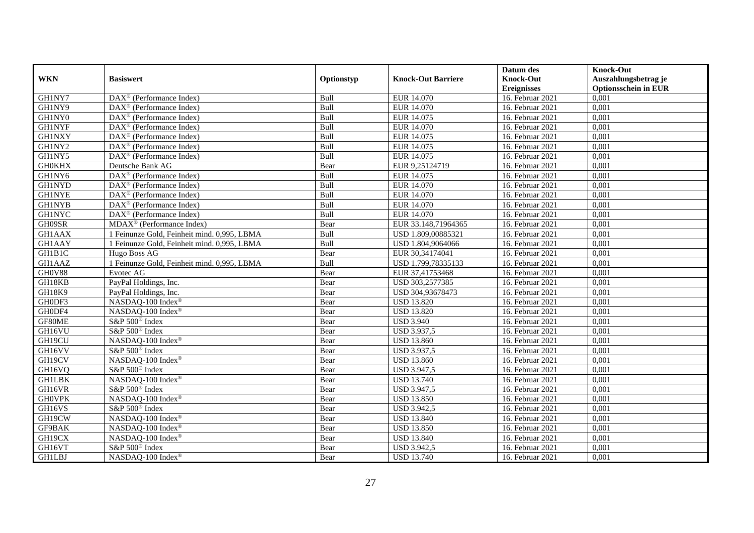|               |                                                         |             |                           | Datum des          | <b>Knock-Out</b>            |
|---------------|---------------------------------------------------------|-------------|---------------------------|--------------------|-----------------------------|
| <b>WKN</b>    | <b>Basiswert</b>                                        | Optionstyp  | <b>Knock-Out Barriere</b> | <b>Knock-Out</b>   | Auszahlungsbetrag je        |
|               |                                                         |             |                           | <b>Ereignisses</b> | <b>Optionsschein in EUR</b> |
| GH1NY7        | $\overline{\text{DAX}^{\otimes}}$ (Performance Index)   | Bull        | EUR 14.070                | 16. Februar 2021   | 0,001                       |
| GH1NY9        | $\text{DAX}^{\textcircled{D}}$ (Performance Index)      | Bull        | EUR 14.070                | 16. Februar 2021   | 0,001                       |
| GH1NY0        | DAX <sup>®</sup> (Performance Index)                    | Bull        | EUR 14.075                | 16. Februar 2021   | 0,001                       |
| <b>GH1NYF</b> | $\text{DAX}^{\circledast}$ (Performance Index)          | Bull        | EUR 14.070                | 16. Februar 2021   | 0,001                       |
| <b>GH1NXY</b> | DAX <sup>®</sup> (Performance Index)                    | Bull        | EUR 14.075                | 16. Februar 2021   | 0,001                       |
| GH1NY2        | $\text{DAX}^{\textcircled{n}}$ (Performance Index)      | Bull        | EUR 14.075                | 16. Februar 2021   | 0,001                       |
| GH1NY5        | $\overline{\text{DAX}}^{\textcirc}$ (Performance Index) | Bull        | EUR 14.075                | 16. Februar 2021   | 0,001                       |
| <b>GH0KHX</b> | Deutsche Bank AG                                        | Bear        | EUR 9,25124719            | 16. Februar 2021   | 0,001                       |
| GH1NY6        | $\text{DAX}^{\textcircled{D}}$ (Performance Index)      | Bull        | EUR 14.075                | 16. Februar 2021   | 0,001                       |
| <b>GH1NYD</b> | $DAX^{\otimes}$ (Performance Index)                     | Bull        | EUR 14.070                | 16. Februar 2021   | 0,001                       |
| <b>GH1NYE</b> | $\overline{\text{DAX}}^{\textcirc}$ (Performance Index) | Bull        | <b>EUR 14.070</b>         | 16. Februar 2021   | 0,001                       |
| <b>GH1NYB</b> | $\overline{\text{DAX}^{\otimes}}$ (Performance Index)   | Bull        | EUR 14.070                | 16. Februar 2021   | 0,001                       |
| <b>GH1NYC</b> | DAX <sup>®</sup> (Performance Index)                    | Bull        | <b>EUR 14.070</b>         | 16. Februar 2021   | 0,001                       |
| GH09SR        | $MDAX^{\circledR}$ (Performance Index)                  | Bear        | EUR 33.148,71964365       | 16. Februar 2021   | 0,001                       |
| GH1AAX        | 1 Feinunze Gold, Feinheit mind. 0,995, LBMA             | Bull        | USD 1.809,00885321        | 16. Februar 2021   | 0,001                       |
| GH1AAY        | 1 Feinunze Gold, Feinheit mind. 0,995, LBMA             | Bull        | USD 1.804,9064066         | 16. Februar 2021   | 0,001                       |
| GH1B1C        | Hugo Boss AG                                            | Bear        | EUR 30,34174041           | 16. Februar 2021   | 0,001                       |
| GH1AAZ        | 1 Feinunze Gold, Feinheit mind. 0.995, LBMA             | <b>Bull</b> | USD 1.799.78335133        | 16. Februar 2021   | 0,001                       |
| GH0V88        | Evotec AG                                               | Bear        | EUR 37,41753468           | 16. Februar 2021   | 0,001                       |
| GH18KB        | PayPal Holdings, Inc.                                   | Bear        | USD 303,2577385           | 16. Februar 2021   | 0,001                       |
| GH18K9        | PayPal Holdings, Inc.                                   | Bear        | USD 304,93678473          | 16. Februar 2021   | 0,001                       |
| GH0DF3        | NASDAQ-100 Index®                                       | Bear        | <b>USD 13.820</b>         | 16. Februar 2021   | 0,001                       |
| GH0DF4        | NASDAQ-100 Index®                                       | Bear        | <b>USD 13.820</b>         | 16. Februar 2021   | 0,001                       |
| GF80ME        | S&P 500 <sup>®</sup> Index                              | Bear        | <b>USD 3.940</b>          | 16. Februar 2021   | 0,001                       |
| GH16VU        | S&P 500 <sup>®</sup> Index                              | Bear        | <b>USD 3.937,5</b>        | 16. Februar 2021   | 0,001                       |
| GH19CU        | NASDAQ-100 Index®                                       | Bear        | <b>USD 13.860</b>         | 16. Februar 2021   | 0,001                       |
| GH16VV        | S&P 500 <sup>®</sup> Index                              | Bear        | USD 3.937,5               | 16. Februar 2021   | 0,001                       |
| GH19CV        | NASDAQ-100 Index®                                       | Bear        | <b>USD 13.860</b>         | 16. Februar 2021   | 0,001                       |
| GH16VQ        | S&P 500 <sup>®</sup> Index                              | Bear        | <b>USD 3.947,5</b>        | 16. Februar 2021   | 0,001                       |
| <b>GH1LBK</b> | NASDAQ-100 Index®                                       | Bear        | <b>USD 13.740</b>         | 16. Februar 2021   | 0,001                       |
| GH16VR        | S&P 500 <sup>®</sup> Index                              | Bear        | USD 3.947,5               | 16. Februar 2021   | 0,001                       |
| <b>GHOVPK</b> | NASDAQ-100 Index®                                       | Bear        | <b>USD 13.850</b>         | 16. Februar 2021   | 0,001                       |
| GH16VS        | S&P 500 <sup>®</sup> Index                              | Bear        | <b>USD 3.942,5</b>        | 16. Februar 2021   | 0,001                       |
| GH19CW        | NASDAQ-100 Index®                                       | Bear        | <b>USD 13.840</b>         | 16. Februar 2021   | 0,001                       |
| GF9BAK        | NASDAQ-100 Index®                                       | Bear        | <b>USD 13.850</b>         | 16. Februar 2021   | 0,001                       |
| GH19CX        | NASDAQ-100 Index®                                       | Bear        | <b>USD 13.840</b>         | 16. Februar 2021   | 0,001                       |
| GH16VT        | S&P 500 <sup>®</sup> Index                              | Bear        | <b>USD 3.942,5</b>        | 16. Februar 2021   | 0,001                       |
| <b>GH1LBJ</b> | NASDAQ-100 Index®                                       | Bear        | <b>USD 13.740</b>         | 16. Februar 2021   | 0,001                       |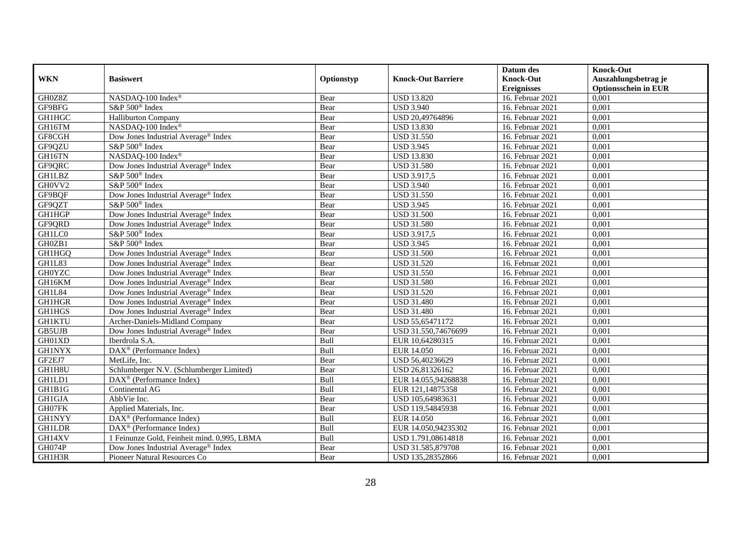|               |                                                                 |            |                           | Datum des          | <b>Knock-Out</b>            |
|---------------|-----------------------------------------------------------------|------------|---------------------------|--------------------|-----------------------------|
| <b>WKN</b>    | <b>Basiswert</b>                                                | Optionstyp | <b>Knock-Out Barriere</b> | <b>Knock-Out</b>   | Auszahlungsbetrag je        |
|               |                                                                 |            |                           | <b>Ereignisses</b> | <b>Optionsschein in EUR</b> |
| GH0Z8Z        | NASDAQ-100 Index®                                               | Bear       | <b>USD 13.820</b>         | 16. Februar 2021   | 0,001                       |
| GF9BFG        | S&P 500 <sup>®</sup> Index                                      | Bear       | <b>USD 3.940</b>          | 16. Februar 2021   | 0,001                       |
| GH1HGC        | <b>Halliburton Company</b>                                      | Bear       | USD 20,49764896           | 16. Februar 2021   | 0,001                       |
| GH16TM        | NASDAQ-100 Index®                                               | Bear       | <b>USD 13.830</b>         | 16. Februar 2021   | 0,001                       |
| GF8CGH        | Dow Jones Industrial Average <sup>®</sup> Index                 | Bear       | <b>USD 31.550</b>         | 16. Februar 2021   | 0,001                       |
| GF9QZU        | S&P 500 <sup>®</sup> Index                                      | Bear       | <b>USD 3.945</b>          | 16. Februar 2021   | 0,001                       |
| GH16TN        | NASDAQ-100 Index®                                               | Bear       | <b>USD 13.830</b>         | 16. Februar 2021   | 0,001                       |
| GF9QRC        | Dow Jones Industrial Average <sup>®</sup> Index                 | Bear       | <b>USD 31.580</b>         | 16. Februar 2021   | 0,001                       |
| <b>GH1LBZ</b> | S&P 500 <sup>®</sup> Index                                      | Bear       | <b>USD 3.917,5</b>        | 16. Februar 2021   | 0,001                       |
| GH0VV2        | S&P 500 <sup>®</sup> Index                                      | Bear       | <b>USD 3.940</b>          | 16. Februar 2021   | 0,001                       |
| GF9BQF        | Dow Jones Industrial Average® Index                             | Bear       | <b>USD 31.550</b>         | 16. Februar 2021   | 0,001                       |
| GF9QZT        | S&P 500 <sup>®</sup> Index                                      | Bear       | <b>USD 3.945</b>          | 16. Februar 2021   | 0,001                       |
| GH1HGP        | Dow Jones Industrial Average® Index                             | Bear       | <b>USD 31.500</b>         | 16. Februar 2021   | 0,001                       |
| GF9QRD        | Dow Jones Industrial Average <sup>®</sup> Index                 | Bear       | <b>USD 31.580</b>         | 16. Februar 2021   | 0,001                       |
| GH1LC0        | S&P 500 <sup>®</sup> Index                                      | Bear       | <b>USD 3.917,5</b>        | 16. Februar 2021   | 0,001                       |
| GH0ZB1        | S&P 500 <sup>®</sup> Index                                      | Bear       | <b>USD 3.945</b>          | 16. Februar 2021   | 0,001                       |
| GH1HGQ        | Dow Jones Industrial Average® Index                             | Bear       | <b>USD 31.500</b>         | 16. Februar 2021   | 0,001                       |
| GH1L83        | Dow Jones Industrial Average® Index                             | Bear       | <b>USD 31.520</b>         | 16. Februar 2021   | 0,001                       |
| <b>GH0YZC</b> | Dow Jones Industrial Average® Index                             | Bear       | <b>USD 31.550</b>         | 16. Februar 2021   | 0,001                       |
| GH16KM        | Dow Jones Industrial Average <sup>®</sup> Index                 | Bear       | <b>USD 31.580</b>         | 16. Februar 2021   | 0,001                       |
| GH1L84        | Dow Jones Industrial Average® Index                             | Bear       | <b>USD 31.520</b>         | 16. Februar 2021   | 0,001                       |
| <b>GH1HGR</b> | Dow Jones Industrial Average <sup>®</sup> Index                 | Bear       | <b>USD 31.480</b>         | 16. Februar 2021   | 0,001                       |
| <b>GH1HGS</b> | Dow Jones Industrial Average® Index                             | Bear       | <b>USD 31.480</b>         | 16. Februar 2021   | 0,001                       |
| <b>GH1KTU</b> | Archer-Daniels-Midland Company                                  | Bear       | USD 55,65471172           | 16. Februar 2021   | 0,001                       |
| <b>GB5UJB</b> | Dow Jones Industrial Average® Index                             | Bear       | USD 31.550,74676699       | 16. Februar 2021   | 0,001                       |
| GH01XD        | Iberdrola S.A.                                                  | Bull       | EUR 10,64280315           | 16. Februar 2021   | 0,001                       |
| <b>GH1NYX</b> | DAX <sup>®</sup> (Performance Index)                            | Bull       | <b>EUR 14.050</b>         | 16. Februar 2021   | 0,001                       |
| GF2EJ7        | MetLife, Inc.                                                   | Bear       | USD 56,40236629           | 16. Februar 2021   | 0,001                       |
| GH1H8U        | Schlumberger N.V. (Schlumberger Limited)                        | Bear       | USD 26,81326162           | 16. Februar 2021   | 0,001                       |
| GH1LD1        | $\overline{\text{DAX}}^{\textcirc}$ (Performance Index)         | Bull       | EUR 14.055.94268838       | 16. Februar 2021   | 0,001                       |
| GH1B1G        | Continental AG                                                  | Bull       | EUR 121,14875358          | 16. Februar 2021   | 0,001                       |
| GH1GJA        | AbbVie Inc.                                                     | Bear       | USD 105,64983631          | 16. Februar 2021   | 0,001                       |
| GH07FK        | Applied Materials, Inc.                                         | Bear       | USD 119,54845938          | 16. Februar 2021   | 0,001                       |
| <b>GH1NYY</b> | $\overline{\text{DAX}^{\circledast}(\text{Performance Index})}$ | Bull       | <b>EUR 14.050</b>         | 16. Februar 2021   | 0,001                       |
| <b>GH1LDR</b> | DAX <sup>®</sup> (Performance Index)                            | Bull       | EUR 14.050,94235302       | 16. Februar 2021   | 0,001                       |
| GH14XV        | 1 Feinunze Gold, Feinheit mind. 0,995, LBMA                     | Bull       | USD 1.791,08614818        | 16. Februar 2021   | 0,001                       |
| GH074P        | Dow Jones Industrial Average® Index                             | Bear       | USD 31.585,879708         | 16. Februar 2021   | 0,001                       |
| GH1H3R        | Pioneer Natural Resources Co                                    | Bear       | USD 135,28352866          | 16. Februar 2021   | 0,001                       |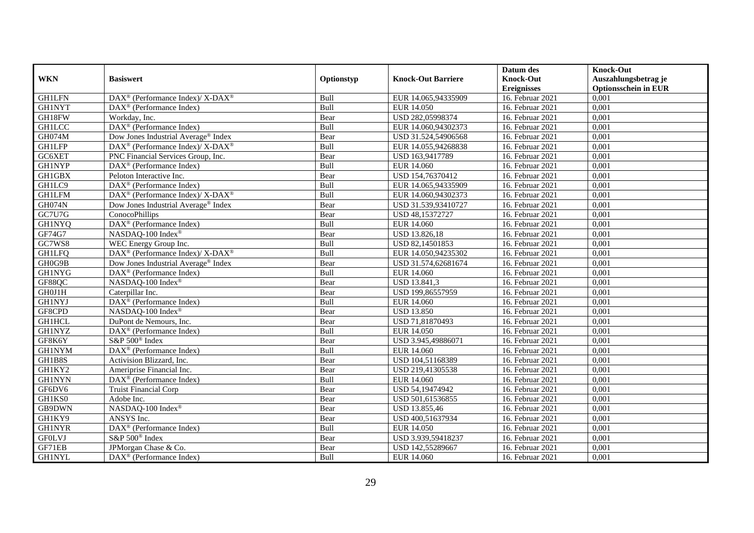|               |                                                                                         |             |                           | Datum des          | <b>Knock-Out</b>            |
|---------------|-----------------------------------------------------------------------------------------|-------------|---------------------------|--------------------|-----------------------------|
| <b>WKN</b>    | <b>Basiswert</b>                                                                        | Optionstyp  | <b>Knock-Out Barriere</b> | <b>Knock-Out</b>   | Auszahlungsbetrag je        |
|               |                                                                                         |             |                           | <b>Ereignisses</b> | <b>Optionsschein in EUR</b> |
| <b>GH1LFN</b> | $\text{DAX}^{\circledR}$ (Performance Index)/ X-DAX <sup>®</sup>                        | Bull        | EUR 14.065,94335909       | 16. Februar 2021   | 0,001                       |
| <b>GH1NYT</b> | $\overline{\text{DAX}^{\otimes}}$ (Performance Index)                                   | Bull        | <b>EUR 14.050</b>         | 16. Februar 2021   | 0,001                       |
| GH18FW        | Workday, Inc.                                                                           | Bear        | USD 282,05998374          | 16. Februar 2021   | 0,001                       |
| <b>GH1LCC</b> | DAX <sup>®</sup> (Performance Index)                                                    | Bull        | EUR 14.060,94302373       | 16. Februar 2021   | 0,001                       |
| GH074M        | Dow Jones Industrial Average <sup>®</sup> Index                                         | Bear        | USD 31.524,54906568       | 16. Februar 2021   | 0,001                       |
| <b>GH1LFP</b> | $\text{DAX}^{\textcircled{\tiny{\textcircled{\tiny \dag}}}}$ (Performance Index)/X-DAX® | Bull        | EUR 14.055,94268838       | 16. Februar 2021   | 0,001                       |
| GC6XET        | PNC Financial Services Group, Inc.                                                      | Bear        | USD 163,9417789           | 16. Februar 2021   | 0,001                       |
| <b>GH1NYP</b> | $\overline{\text{DAX}}^{\textcircled{}}$ (Performance Index)                            | Bull        | EUR 14.060                | 16. Februar 2021   | 0,001                       |
| GH1GBX        | Peloton Interactive Inc.                                                                | Bear        | USD 154,76370412          | 16. Februar 2021   | 0,001                       |
| GH1LC9        | $DAX^{\otimes}$ (Performance Index)                                                     | Bull        | EUR 14.065,94335909       | 16. Februar 2021   | 0,001                       |
| <b>GH1LFM</b> | DAX <sup>®</sup> (Performance Index)/ X-DAX <sup>®</sup>                                | Bull        | EUR 14.060,94302373       | 16. Februar 2021   | 0,001                       |
| <b>GH074N</b> | Dow Jones Industrial Average® Index                                                     | Bear        | USD 31.539,93410727       | 16. Februar 2021   | 0,001                       |
| GC7U7G        | ConocoPhillips                                                                          | Bear        | USD 48,15372727           | 16. Februar 2021   | 0,001                       |
| <b>GH1NYQ</b> | $\text{DAX}^{\textcircled{}}$ (Performance Index)                                       | <b>Bull</b> | EUR 14.060                | 16. Februar 2021   | 0.001                       |
| GF74G7        | NASDAQ-100 Index®                                                                       | Bear        | USD 13.826,18             | 16. Februar 2021   | 0,001                       |
| GC7WS8        | WEC Energy Group Inc.                                                                   | Bull        | USD 82,14501853           | 16. Februar 2021   | 0,001                       |
| <b>GH1LFQ</b> | DAX <sup>®</sup> (Performance Index)/ X-DAX <sup>®</sup>                                | Bull        | EUR 14.050,94235302       | 16. Februar 2021   | 0,001                       |
| GH0G9B        | Dow Jones Industrial Average <sup>®</sup> Index                                         | Bear        | USD 31.574,62681674       | 16. Februar 2021   | 0,001                       |
| <b>GH1NYG</b> | $\overline{\text{DAX}}^{\textcirc}$ (Performance Index)                                 | Bull        | EUR 14.060                | 16. Februar 2021   | 0,001                       |
| GF88QC        | NASDAQ-100 Index®                                                                       | Bear        | USD 13.841,3              | 16. Februar 2021   | 0,001                       |
| GH0J1H        | Caterpillar Inc.                                                                        | Bear        | USD 199,86557959          | 16. Februar 2021   | 0,001                       |
| <b>GH1NYJ</b> | $\overline{\text{DAX}^{\otimes}}$ (Performance Index)                                   | <b>Bull</b> | EUR 14.060                | 16. Februar 2021   | 0,001                       |
| GF8CPD        | NASDAQ-100 Index®                                                                       | Bear        | <b>USD 13.850</b>         | 16. Februar 2021   | 0,001                       |
| <b>GH1HCL</b> | DuPont de Nemours, Inc.                                                                 | Bear        | USD 71,81870493           | 16. Februar 2021   | 0,001                       |
| <b>GH1NYZ</b> | $\text{DAX}^{\textcircled{p}}$ (Performance Index)                                      | Bull        | <b>EUR 14.050</b>         | 16. Februar 2021   | 0,001                       |
| GF8K6Y        | S&P 500 <sup>®</sup> Index                                                              | Bear        | USD 3.945,49886071        | 16. Februar 2021   | 0,001                       |
| <b>GH1NYM</b> | $\overline{\text{DAX}^{\otimes}}$ (Performance Index)                                   | Bull        | EUR 14.060                | 16. Februar 2021   | 0,001                       |
| GH1B8S        | Activision Blizzard, Inc.                                                               | Bear        | USD 104,51168389          | 16. Februar 2021   | 0,001                       |
| GH1KY2        | Ameriprise Financial Inc.                                                               | Bear        | USD 219,41305538          | 16. Februar 2021   | 0,001                       |
| <b>GH1NYN</b> | DAX <sup>®</sup> (Performance Index)                                                    | Bull        | EUR 14.060                | 16. Februar 2021   | 0,001                       |
| GF6DV6        | <b>Truist Financial Corp</b>                                                            | Bear        | USD 54,19474942           | 16. Februar 2021   | 0,001                       |
| GH1KS0        | Adobe Inc.                                                                              | Bear        | USD 501,61536855          | 16. Februar 2021   | 0,001                       |
| GB9DWN        | NASDAQ-100 Index®                                                                       | Bear        | USD 13.855,46             | 16. Februar 2021   | 0,001                       |
| GH1KY9        | ANSYS Inc.                                                                              | Bear        | USD 400,51637934          | 16. Februar 2021   | 0,001                       |
| <b>GH1NYR</b> | DAX <sup>®</sup> (Performance Index)                                                    | Bull        | <b>EUR 14.050</b>         | 16. Februar 2021   | 0,001                       |
| <b>GFOLVJ</b> | S&P 500 <sup>®</sup> Index                                                              | Bear        | USD 3.939,59418237        | 16. Februar 2021   | 0,001                       |
| GF71EB        | JPMorgan Chase & Co.                                                                    | Bear        | USD 142,55289667          | 16. Februar 2021   | 0,001                       |
| <b>GH1NYL</b> | DAX <sup>®</sup> (Performance Index)                                                    | Bull        | EUR 14.060                | 16. Februar 2021   | 0,001                       |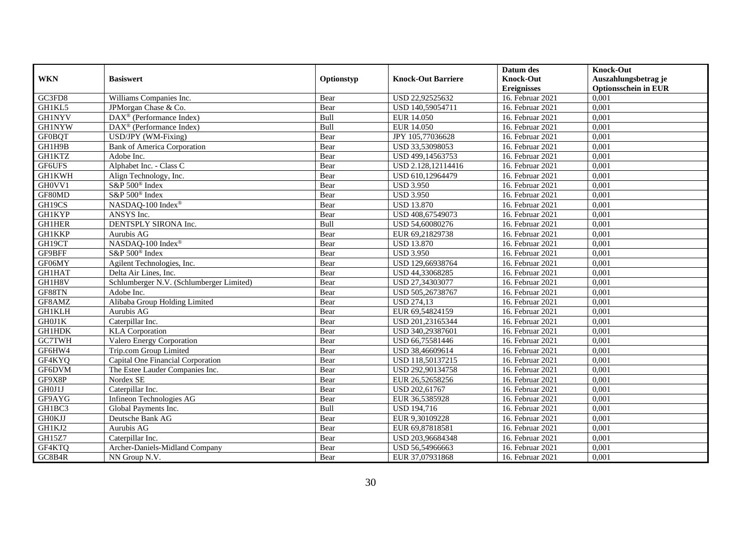|               |                                                             |            |                           | Datum des          | <b>Knock-Out</b>            |
|---------------|-------------------------------------------------------------|------------|---------------------------|--------------------|-----------------------------|
| <b>WKN</b>    | <b>Basiswert</b>                                            | Optionstyp | <b>Knock-Out Barriere</b> | <b>Knock-Out</b>   | Auszahlungsbetrag je        |
|               |                                                             |            |                           | <b>Ereignisses</b> | <b>Optionsschein in EUR</b> |
| GC3FD8        | Williams Companies Inc.                                     | Bear       | USD 22,92525632           | 16. Februar 2021   | 0,001                       |
| GH1KL5        | JPMorgan Chase & Co.                                        | Bear       | USD 140,59054711          | 16. Februar 2021   | 0,001                       |
| <b>GH1NYV</b> | $\overline{\text{DAX}^{\otimes}(\text{Performance Index})}$ | Bull       | EUR 14.050                | 16. Februar 2021   | 0,001                       |
| <b>GH1NYW</b> | $\text{DAX}^{\otimes}$ (Performance Index)                  | Bull       | EUR 14.050                | 16. Februar 2021   | 0,001                       |
| <b>GF0BQT</b> | USD/JPY (WM-Fixing)                                         | Bear       | JPY 105,77036628          | 16. Februar 2021   | 0,001                       |
| GH1H9B        | <b>Bank of America Corporation</b>                          | Bear       | USD 33,53098053           | 16. Februar 2021   | 0,001                       |
| <b>GH1KTZ</b> | Adobe Inc.                                                  | Bear       | USD 499,14563753          | 16. Februar 2021   | 0,001                       |
| GF6UFS        | Alphabet Inc. - Class C                                     | Bear       | USD 2.128,12114416        | 16. Februar 2021   | 0,001                       |
| <b>GH1KWH</b> | Align Technology, Inc.                                      | Bear       | USD 610,12964479          | 16. Februar 2021   | 0,001                       |
| GH0VV1        | S&P 500 <sup>®</sup> Index                                  | Bear       | <b>USD 3.950</b>          | 16. Februar 2021   | 0,001                       |
| GF80MD        | S&P 500 <sup>®</sup> Index                                  | Bear       | <b>USD 3.950</b>          | 16. Februar 2021   | 0,001                       |
| GH19CS        | NASDAQ-100 Index®                                           | Bear       | <b>USD 13.870</b>         | 16. Februar 2021   | 0,001                       |
| <b>GH1KYP</b> | ANSYS Inc.                                                  | Bear       | USD 408,67549073          | 16. Februar 2021   | 0,001                       |
| <b>GH1HER</b> | DENTSPLY SIRONA Inc.                                        | Bull       | USD 54,60080276           | 16. Februar 2021   | 0,001                       |
| <b>GH1KKP</b> | Aurubis AG                                                  | Bear       | EUR 69,21829738           | 16. Februar 2021   | 0,001                       |
| GH19CT        | NASDAQ-100 Index®                                           | Bear       | <b>USD 13.870</b>         | 16. Februar 2021   | 0,001                       |
| GF9BFF        | S&P 500® Index                                              | Bear       | <b>USD 3.950</b>          | 16. Februar 2021   | 0,001                       |
| GF06MY        | Agilent Technologies, Inc.                                  | Bear       | USD 129,66938764          | 16. Februar 2021   | 0,001                       |
| <b>GH1HAT</b> | Delta Air Lines, Inc.                                       | Bear       | USD 44,33068285           | 16. Februar 2021   | 0,001                       |
| GH1H8V        | Schlumberger N.V. (Schlumberger Limited)                    | Bear       | USD 27,34303077           | 16. Februar 2021   | 0,001                       |
| GF88TN        | Adobe Inc.                                                  | Bear       | USD 505,26738767          | 16. Februar 2021   | 0,001                       |
| GF8AMZ        | Alibaba Group Holding Limited                               | Bear       | <b>USD 274,13</b>         | 16. Februar 2021   | 0,001                       |
| <b>GH1KLH</b> | Aurubis AG                                                  | Bear       | EUR 69,54824159           | 16. Februar 2021   | 0,001                       |
| GH0J1K        | Caterpillar Inc.                                            | Bear       | USD 201,23165344          | 16. Februar 2021   | 0,001                       |
| <b>GH1HDK</b> | <b>KLA</b> Corporation                                      | Bear       | USD 340,29387601          | 16. Februar 2021   | 0,001                       |
| GC7TWH        | Valero Energy Corporation                                   | Bear       | USD 66,75581446           | 16. Februar 2021   | 0,001                       |
| GF6HW4        | Trip.com Group Limited                                      | Bear       | USD 38,46609614           | 16. Februar 2021   | 0,001                       |
| GF4KYQ        | Capital One Financial Corporation                           | Bear       | USD 118,50137215          | 16. Februar 2021   | 0,001                       |
| GF6DVM        | The Estee Lauder Companies Inc.                             | Bear       | USD 292,90134758          | 16. Februar 2021   | 0,001                       |
| GF9X8P        | Nordex SE                                                   | Bear       | EUR 26,52658256           | 16. Februar 2021   | 0,001                       |
| GH0J1J        | Caterpillar Inc.                                            | Bear       | USD 202,61767             | 16. Februar 2021   | 0,001                       |
| GF9AYG        | <b>Infineon Technologies AG</b>                             | Bear       | EUR 36,5385928            | 16. Februar 2021   | 0,001                       |
| GH1BC3        | Global Payments Inc.                                        | Bull       | <b>USD 194,716</b>        | 16. Februar 2021   | 0,001                       |
| <b>GH0KJJ</b> | Deutsche Bank AG                                            | Bear       | EUR 9,30109228            | 16. Februar 2021   | 0,001                       |
| GH1KJ2        | Aurubis AG                                                  | Bear       | EUR 69,87818581           | 16. Februar 2021   | 0,001                       |
| GH15Z7        | Caterpillar Inc.                                            | Bear       | USD 203,96684348          | 16. Februar 2021   | 0,001                       |
| GF4KTQ        | Archer-Daniels-Midland Company                              | Bear       | USD 56,54966663           | 16. Februar 2021   | 0,001                       |
| GC8B4R        | NN Group N.V.                                               | Bear       | EUR 37,07931868           | 16. Februar 2021   | 0,001                       |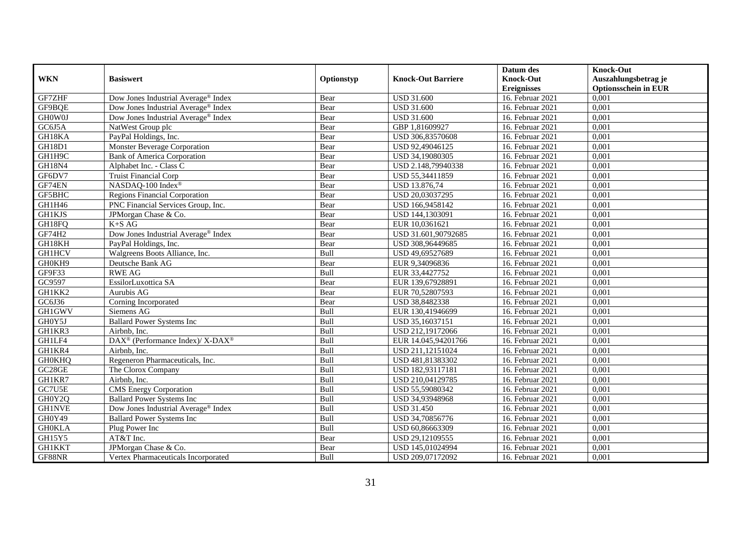|               |                                                          |            |                           | Datum des          | <b>Knock-Out</b>            |
|---------------|----------------------------------------------------------|------------|---------------------------|--------------------|-----------------------------|
| <b>WKN</b>    | <b>Basiswert</b>                                         | Optionstyp | <b>Knock-Out Barriere</b> | <b>Knock-Out</b>   | Auszahlungsbetrag je        |
|               |                                                          |            |                           | <b>Ereignisses</b> | <b>Optionsschein in EUR</b> |
| GF7ZHF        | Dow Jones Industrial Average® Index                      | Bear       | <b>USD 31.600</b>         | 16. Februar 2021   | 0,001                       |
| GF9BQE        | Dow Jones Industrial Average® Index                      | Bear       | <b>USD 31.600</b>         | 16. Februar 2021   | 0,001                       |
| <b>GHOW0J</b> | Dow Jones Industrial Average <sup>®</sup> Index          | Bear       | <b>USD 31.600</b>         | 16. Februar 2021   | 0,001                       |
| GC6J5A        | NatWest Group plc                                        | Bear       | GBP 1,81609927            | 16. Februar 2021   | 0,001                       |
| GH18KA        | PayPal Holdings, Inc.                                    | Bear       | USD 306,83570608          | 16. Februar 2021   | 0,001                       |
| GH18D1        | <b>Monster Beverage Corporation</b>                      | Bear       | USD 92,49046125           | 16. Februar 2021   | 0,001                       |
| GH1H9C        | <b>Bank of America Corporation</b>                       | Bear       | USD 34,19080305           | 16. Februar 2021   | 0,001                       |
| <b>GH18N4</b> | Alphabet Inc. - Class C                                  | Bear       | USD 2.148,79940338        | 16. Februar 2021   | 0,001                       |
| GF6DV7        | <b>Truist Financial Corp</b>                             | Bear       | USD 55,34411859           | 16. Februar 2021   | 0,001                       |
| GF74EN        | NASDAQ-100 Index®                                        | Bear       | USD 13.876,74             | 16. Februar 2021   | 0,001                       |
| GF5BHC        | <b>Regions Financial Corporation</b>                     | Bear       | USD 20.03037295           | 16. Februar 2021   | 0,001                       |
| GH1H46        | PNC Financial Services Group, Inc.                       | Bear       | USD 166,9458142           | 16. Februar 2021   | 0,001                       |
| <b>GH1KJS</b> | JPMorgan Chase & Co.                                     | Bear       | USD 144,1303091           | 16. Februar 2021   | 0,001                       |
| GH18FQ        | $K+SAG$                                                  | Bear       | EUR 10,0361621            | 16. Februar 2021   | 0,001                       |
| GF74H2        | Dow Jones Industrial Average® Index                      | Bear       | USD 31.601,90792685       | 16. Februar 2021   | 0,001                       |
| GH18KH        | PayPal Holdings, Inc.                                    | Bear       | USD 308,96449685          | 16. Februar 2021   | 0,001                       |
| GH1HCV        | Walgreens Boots Alliance, Inc.                           | Bull       | USD 49,69527689           | 16. Februar 2021   | 0,001                       |
| GH0KH9        | Deutsche Bank AG                                         | Bear       | EUR 9,34096836            | 16. Februar 2021   | 0,001                       |
| GF9F33        | <b>RWE AG</b>                                            | Bull       | EUR 33,4427752            | 16. Februar 2021   | 0,001                       |
| GC9597        | EssilorLuxottica SA                                      | Bear       | EUR 139,67928891          | 16. Februar 2021   | 0,001                       |
| GH1KK2        | Aurubis AG                                               | Bear       | EUR 70,52807593           | 16. Februar 2021   | 0,001                       |
| GC6J36        | Corning Incorporated                                     | Bear       | USD 38,8482338            | 16. Februar 2021   | 0,001                       |
| GH1GWV        | Siemens AG                                               | Bull       | EUR 130,41946699          | 16. Februar 2021   | 0,001                       |
| GH0Y5J        | <b>Ballard Power Systems Inc</b>                         | Bull       | USD 35,16037151           | 16. Februar 2021   | 0,001                       |
| GH1KR3        | Airbnb. Inc.                                             | Bull       | USD 212,19172066          | 16. Februar 2021   | 0.001                       |
| GH1LF4        | DAX <sup>®</sup> (Performance Index)/ X-DAX <sup>®</sup> | Bull       | EUR 14.045,94201766       | 16. Februar 2021   | 0,001                       |
| GH1KR4        | Airbnb, Inc.                                             | Bull       | USD 211,12151024          | 16. Februar 2021   | 0,001                       |
| <b>GH0KHO</b> | Regeneron Pharmaceuticals, Inc.                          | Bull       | USD 481,81383302          | 16. Februar 2021   | 0,001                       |
| GC28GE        | The Clorox Company                                       | Bull       | USD 182,93117181          | 16. Februar 2021   | 0,001                       |
| GH1KR7        | Airbnb, Inc.                                             | Bull       | USD 210,04129785          | 16. Februar 2021   | 0,001                       |
| GC7U5E        | <b>CMS</b> Energy Corporation                            | Bull       | USD 55,59080342           | 16. Februar 2021   | 0,001                       |
| GH0Y2Q        | <b>Ballard Power Systems Inc</b>                         | Bull       | USD 34,93948968           | 16. Februar 2021   | 0,001                       |
| <b>GH1NVE</b> | Dow Jones Industrial Average® Index                      | Bull       | <b>USD 31.450</b>         | 16. Februar 2021   | 0,001                       |
| GH0Y49        | <b>Ballard Power Systems Inc</b>                         | Bull       | USD 34,70856776           | 16. Februar 2021   | 0,001                       |
| <b>GH0KLA</b> | Plug Power Inc                                           | Bull       | USD 60,86663309           | 16. Februar 2021   | 0,001                       |
| GH15Y5        | AT&T Inc.                                                | Bear       | USD 29,12109555           | 16. Februar 2021   | 0,001                       |
| <b>GH1KKT</b> | JPMorgan Chase & Co.                                     | Bear       | USD 145,01024994          | 16. Februar 2021   | 0,001                       |
| GF88NR        | Vertex Pharmaceuticals Incorporated                      | Bull       | USD 209,07172092          | 16. Februar 2021   | 0,001                       |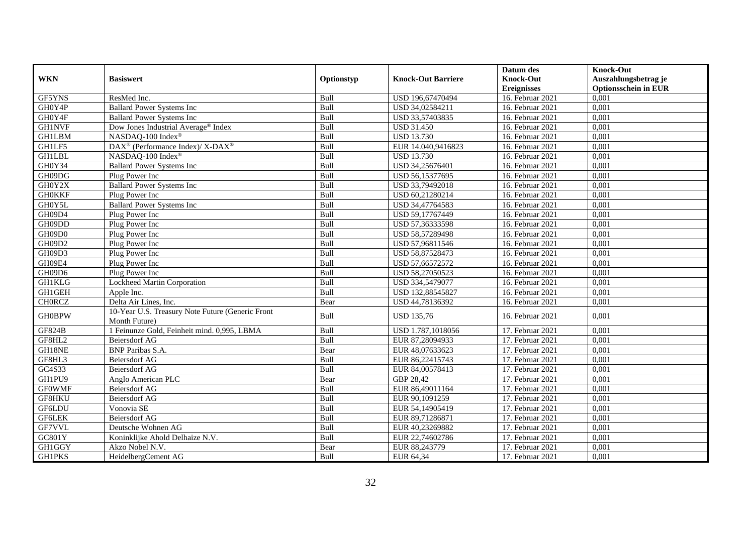|               |                                                          |            |                           | Datum des          | <b>Knock-Out</b>            |
|---------------|----------------------------------------------------------|------------|---------------------------|--------------------|-----------------------------|
| <b>WKN</b>    | <b>Basiswert</b>                                         | Optionstyp | <b>Knock-Out Barriere</b> | <b>Knock-Out</b>   | Auszahlungsbetrag je        |
|               |                                                          |            |                           | <b>Ereignisses</b> | <b>Optionsschein in EUR</b> |
| GF5YNS        | ResMed Inc.                                              | Bull       | USD 196,67470494          | 16. Februar 2021   | 0,001                       |
| GH0Y4P        | <b>Ballard Power Systems Inc</b>                         | Bull       | USD 34,02584211           | 16. Februar 2021   | 0,001                       |
| GH0Y4F        | <b>Ballard Power Systems Inc</b>                         | Bull       | USD 33,57403835           | 16. Februar 2021   | 0,001                       |
| <b>GH1NVF</b> | Dow Jones Industrial Average <sup>®</sup> Index          | Bull       | <b>USD 31.450</b>         | 16. Februar 2021   | 0,001                       |
| <b>GH1LBM</b> | NASDAQ-100 Index®                                        | Bull       | <b>USD 13.730</b>         | 16. Februar 2021   | 0,001                       |
| GH1LF5        | DAX <sup>®</sup> (Performance Index)/ X-DAX <sup>®</sup> | Bull       | EUR 14.040,9416823        | 16. Februar 2021   | 0,001                       |
| <b>GH1LBL</b> | NASDAQ-100 Index®                                        | Bull       | <b>USD 13.730</b>         | 16. Februar 2021   | 0,001                       |
| GH0Y34        | <b>Ballard Power Systems Inc</b>                         | Bull       | USD 34,25676401           | 16. Februar 2021   | 0,001                       |
| GH09DG        | Plug Power Inc                                           | Bull       | USD 56,15377695           | 16. Februar 2021   | 0,001                       |
| GH0Y2X        | <b>Ballard Power Systems Inc</b>                         | Bull       | USD 33,79492018           | 16. Februar 2021   | 0,001                       |
| <b>GH0KKF</b> | Plug Power Inc                                           | Bull       | USD 60,21280214           | 16. Februar 2021   | 0,001                       |
| GH0Y5L        | <b>Ballard Power Systems Inc</b>                         | Bull       | USD 34,47764583           | 16. Februar 2021   | 0,001                       |
| GH09D4        | Plug Power Inc                                           | Bull       | USD 59,17767449           | 16. Februar 2021   | 0,001                       |
| GH09DD        | Plug Power Inc                                           | Bull       | USD 57,36333598           | 16. Februar 2021   | 0,001                       |
| GH09D0        | Plug Power Inc                                           | Bull       | USD 58,57289498           | 16. Februar 2021   | 0,001                       |
| GH09D2        | Plug Power Inc                                           | Bull       | USD 57,96811546           | 16. Februar 2021   | 0,001                       |
| GH09D3        | Plug Power Inc                                           | Bull       | USD 58,87528473           | 16. Februar 2021   | 0,001                       |
| GH09E4        | Plug Power Inc                                           | Bull       | USD 57,66572572           | 16. Februar 2021   | 0,001                       |
| GH09D6        | Plug Power Inc                                           | Bull       | USD 58,27050523           | 16. Februar 2021   | 0,001                       |
| <b>GH1KLG</b> | <b>Lockheed Martin Corporation</b>                       | Bull       | USD 334,5479077           | 16. Februar 2021   | 0,001                       |
| <b>GH1GEH</b> | Apple Inc.                                               | Bull       | USD 132,88545827          | 16. Februar 2021   | 0,001                       |
| <b>CHORCZ</b> | Delta Air Lines, Inc.                                    | Bear       | USD 44,78136392           | 16. Februar 2021   | 0,001                       |
|               | 10-Year U.S. Treasury Note Future (Generic Front         |            |                           |                    |                             |
| <b>GH0BPW</b> | Month Future)                                            | Bull       | <b>USD 135,76</b>         | 16. Februar 2021   | 0,001                       |
| <b>GF824B</b> | 1 Feinunze Gold, Feinheit mind. 0,995, LBMA              | Bull       | USD 1.787,1018056         | 17. Februar 2021   | 0.001                       |
| GF8HL2        | Beiersdorf AG                                            | Bull       | EUR 87,28094933           | 17. Februar 2021   | 0,001                       |
| GH18NE        | <b>BNP</b> Paribas S.A.                                  | Bear       | EUR 48,07633623           | 17. Februar 2021   | 0,001                       |
| GF8HL3        | <b>Beiersdorf AG</b>                                     | Bull       | EUR 86,22415743           | 17. Februar 2021   | 0,001                       |
| GC4S33        | <b>Beiersdorf AG</b>                                     | Bull       | EUR 84,00578413           | 17. Februar 2021   | 0,001                       |
| GH1PU9        | Anglo American PLC                                       | Bear       | GBP 28,42                 | 17. Februar 2021   | 0,001                       |
| <b>GF0WMF</b> | Beiersdorf AG                                            | Bull       | EUR 86,49011164           | 17. Februar 2021   | 0,001                       |
| GF8HKU        | <b>Beiersdorf AG</b>                                     | Bull       | EUR 90,1091259            | 17. Februar 2021   | 0,001                       |
| <b>GF6LDU</b> | Vonovia SE                                               | Bull       | EUR 54,14905419           | 17. Februar 2021   | 0,001                       |
| <b>GF6LEK</b> | <b>Beiersdorf AG</b>                                     | Bull       | EUR 89,71286871           | 17. Februar 2021   | 0,001                       |
| GF7VVL        | Deutsche Wohnen AG                                       | Bull       | EUR 40,23269882           | 17. Februar 2021   | 0,001                       |
| GC801Y        | Koninklijke Ahold Delhaize N.V.                          | Bull       | EUR 22,74602786           | 17. Februar 2021   | 0,001                       |
| GH1GGY        | Akzo Nobel N.V.                                          | Bear       | EUR 88,243779             | 17. Februar 2021   | 0,001                       |
| <b>GH1PKS</b> | HeidelbergCement AG                                      | Bull       | EUR 64,34                 | 17. Februar 2021   | 0,001                       |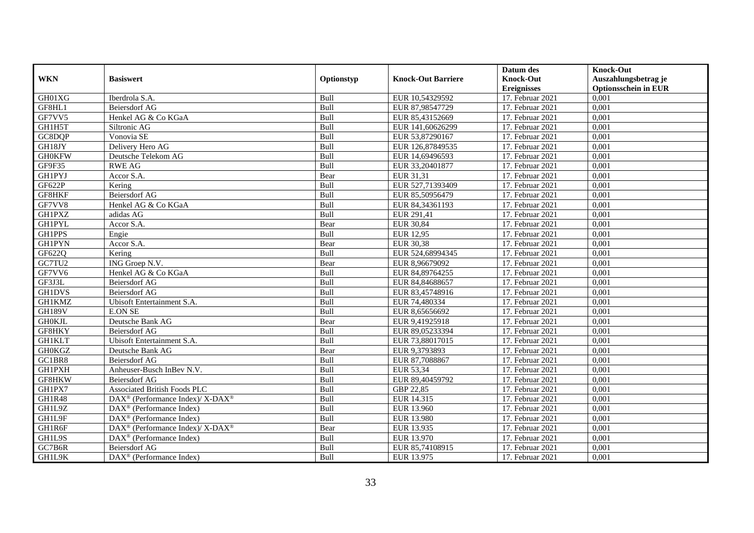|               |                                                             |             |                           | Datum des          | <b>Knock-Out</b>            |
|---------------|-------------------------------------------------------------|-------------|---------------------------|--------------------|-----------------------------|
| <b>WKN</b>    | <b>Basiswert</b>                                            | Optionstyp  | <b>Knock-Out Barriere</b> | <b>Knock-Out</b>   | Auszahlungsbetrag je        |
|               |                                                             |             |                           | <b>Ereignisses</b> | <b>Optionsschein in EUR</b> |
| GH01XG        | Iberdrola S.A.                                              | Bull        | EUR 10,54329592           | 17. Februar 2021   | 0,001                       |
| GF8HL1        | Beiersdorf AG                                               | Bull        | EUR 87,98547729           | 17. Februar 2021   | 0,001                       |
| GF7VV5        | Henkel AG & Co KGaA                                         | Bull        | EUR 85,43152669           | 17. Februar 2021   | 0,001                       |
| GH1H5T        | Siltronic AG                                                | Bull        | EUR 141,60626299          | 17. Februar 2021   | 0,001                       |
| GC8DQP        | Vonovia SE                                                  | Bull        | EUR 53,87290167           | 17. Februar 2021   | 0,001                       |
| GH18JY        | Delivery Hero AG                                            | Bull        | EUR 126,87849535          | 17. Februar 2021   | 0,001                       |
| <b>GH0KFW</b> | Deutsche Telekom AG                                         | Bull        | EUR 14,69496593           | 17. Februar 2021   | 0,001                       |
| GF9F35        | <b>RWE AG</b>                                               | Bull        | EUR 33,20401877           | 17. Februar 2021   | 0,001                       |
| <b>GH1PYJ</b> | Accor S.A.                                                  | Bear        | EUR 31,31                 | 17. Februar 2021   | 0,001                       |
| <b>GF622P</b> | Kering                                                      | Bull        | EUR 527,71393409          | 17. Februar 2021   | 0,001                       |
| GF8HKF        | <b>Beiersdorf AG</b>                                        | Bull        | EUR 85,50956479           | 17. Februar 2021   | 0,001                       |
| GF7VV8        | Henkel AG & Co KGaA                                         | Bull        | EUR 84,34361193           | 17. Februar 2021   | 0,001                       |
| <b>GH1PXZ</b> | adidas AG                                                   | Bull        | EUR 291,41                | 17. Februar 2021   | 0,001                       |
| <b>GH1PYL</b> | Accor S.A.                                                  | Bear        | <b>EUR 30,84</b>          | 17. Februar 2021   | 0,001                       |
| GH1PPS        | Engie                                                       | Bull        | EUR 12,95                 | 17. Februar 2021   | 0,001                       |
| <b>GH1PYN</b> | Accor S.A.                                                  | Bear        | <b>EUR 30,38</b>          | 17. Februar 2021   | 0,001                       |
| GF622Q        | Kering                                                      | Bull        | EUR 524,68994345          | 17. Februar 2021   | 0,001                       |
| GC7TU2        | ING Groep N.V.                                              | Bear        | EUR 8.96679092            | 17. Februar 2021   | 0,001                       |
| GF7VV6        | Henkel AG & Co KGaA                                         | Bull        | EUR 84,89764255           | 17. Februar 2021   | 0,001                       |
| GF3J3L        | Beiersdorf AG                                               | Bull        | EUR 84,84688657           | 17. Februar 2021   | 0,001                       |
| <b>GH1DVS</b> | Beiersdorf AG                                               | Bull        | EUR 83,45748916           | 17. Februar 2021   | 0,001                       |
| <b>GH1KMZ</b> | Ubisoft Entertainment S.A.                                  | Bull        | EUR 74,480334             | 17. Februar 2021   | 0,001                       |
| <b>GH189V</b> | <b>E.ON SE</b>                                              | Bull        | EUR 8,65656692            | 17. Februar 2021   | 0,001                       |
| <b>GHOKJL</b> | Deutsche Bank AG                                            | Bear        | EUR 9,41925918            | 17. Februar 2021   | 0,001                       |
| GF8HKY        | <b>Beiersdorf AG</b>                                        | <b>Bull</b> | EUR 89,05233394           | 17. Februar 2021   | 0.001                       |
| <b>GH1KLT</b> | Ubisoft Entertainment S.A.                                  | Bull        | EUR 73,88017015           | 17. Februar 2021   | 0,001                       |
| <b>GH0KGZ</b> | Deutsche Bank AG                                            | Bear        | EUR 9,3793893             | 17. Februar 2021   | 0,001                       |
| GC1BR8        | <b>Beiersdorf AG</b>                                        | Bull        | EUR 87,7088867            | 17. Februar 2021   | 0,001                       |
| <b>GH1PXH</b> | Anheuser-Busch InBev N.V.                                   | Bull        | EUR 53,34                 | 17. Februar 2021   | 0,001                       |
| GF8HKW        | Beiersdorf AG                                               | Bull        | EUR 89,40459792           | 17. Februar 2021   | 0,001                       |
| GH1PX7        | Associated British Foods PLC                                | Bull        | GBP 22,85                 | 17. Februar 2021   | 0,001                       |
| GH1R48        | $DAX^{\circledcirc}$ (Performance Index)/X-DAX <sup>®</sup> | Bull        | EUR 14.315                | 17. Februar 2021   | 0,001                       |
| GH1L9Z        | $\text{DAX}^{\textcircled{p}}$ (Performance Index)          | Bull        | <b>EUR 13.960</b>         | 17. Februar 2021   | 0,001                       |
| GH1L9F        | DAX <sup>®</sup> (Performance Index)                        | Bull        | <b>EUR 13.980</b>         | 17. Februar 2021   | 0,001                       |
| GH1R6F        | DAX <sup>®</sup> (Performance Index)/ X-DAX <sup>®</sup>    | Bear        | EUR 13.935                | 17. Februar 2021   | 0,001                       |
| GH1L9S        | $\text{DAX}^{\textcircled{p}}$ (Performance Index)          | Bull        | EUR 13.970                | 17. Februar 2021   | 0,001                       |
| GC7B6R        | Beiersdorf AG                                               | Bull        | EUR 85,74108915           | 17. Februar 2021   | 0,001                       |
| GH1L9K        | $\text{DAX}^{\circledast}$ (Performance Index)              | Bull        | EUR 13.975                | 17. Februar 2021   | 0,001                       |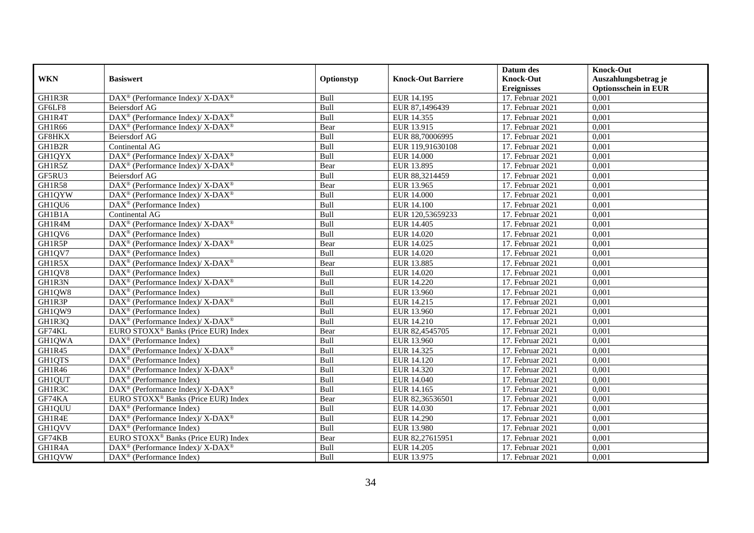|               |                                                                                         |             |                           | Datum des          | <b>Knock-Out</b>            |
|---------------|-----------------------------------------------------------------------------------------|-------------|---------------------------|--------------------|-----------------------------|
| <b>WKN</b>    | <b>Basiswert</b>                                                                        | Optionstyp  | <b>Knock-Out Barriere</b> | <b>Knock-Out</b>   | Auszahlungsbetrag je        |
|               |                                                                                         |             |                           | <b>Ereignisses</b> | <b>Optionsschein in EUR</b> |
| GH1R3R        | DAX <sup>®</sup> (Performance Index)/X-DAX <sup>®</sup>                                 | Bull        | EUR 14.195                | 17. Februar 2021   | 0,001                       |
| GF6LF8        | <b>Beiersdorf AG</b>                                                                    | Bull        | EUR 87,1496439            | 17. Februar 2021   | 0,001                       |
| GH1R4T        | $\text{DAX}^{\circledR}$ (Performance Index)/ X-DAX <sup>®</sup>                        | Bull        | EUR 14.355                | 17. Februar 2021   | 0,001                       |
| GH1R66        | $\overline{\text{DAX}^{\otimes}}$ (Performance Index)/X-DAX <sup>®</sup>                | Bear        | EUR 13.915                | 17. Februar 2021   | 0,001                       |
| GF8HKX        | <b>Beiersdorf AG</b>                                                                    | Bull        | EUR 88,70006995           | 17. Februar 2021   | 0,001                       |
| GH1B2R        | Continental AG                                                                          | Bull        | EUR 119,91630108          | 17. Februar 2021   | 0,001                       |
| <b>GH1QYX</b> | $DAX^{\circledast}$ (Performance Index)/ X-DAX <sup>®</sup>                             | Bull        | EUR 14.000                | 17. Februar 2021   | 0,001                       |
| GH1R5Z        | DAX <sup>®</sup> (Performance Index)/X-DAX <sup>®</sup>                                 | Bear        | EUR 13.895                | 17. Februar 2021   | 0,001                       |
| GF5RU3        | <b>Beiersdorf AG</b>                                                                    | Bull        | EUR 88,3214459            | 17. Februar 2021   | 0,001                       |
| GH1R58        | $\text{DAX}^{\circledR}$ (Performance Index)/ X-DAX <sup>®</sup>                        | Bear        | EUR 13.965                | 17. Februar 2021   | 0,001                       |
| <b>GH1QYW</b> | DAX <sup>®</sup> (Performance Index)/ X-DAX <sup>®</sup>                                | Bull        | <b>EUR 14.000</b>         | 17. Februar 2021   | 0,001                       |
| GH1QU6        | $\text{DAX}^{\textcircled{n}}$ (Performance Index)                                      | Bull        | <b>EUR 14.100</b>         | 17. Februar 2021   | 0,001                       |
| GH1B1A        | Continental AG                                                                          | Bull        | EUR 120,53659233          | 17. Februar 2021   | 0,001                       |
| GH1R4M        | $DAX^{\circledcirc}$ (Performance Index)/ X-DAX <sup>®</sup>                            | <b>Bull</b> | EUR 14.405                | 17. Februar 2021   | 0.001                       |
| GH1QV6        | $DAX^{\otimes}$ (Performance Index)                                                     | Bull        | EUR 14.020                | 17. Februar 2021   | 0,001                       |
| GH1R5P        | $\text{DAX}^{\circledR}$ (Performance Index)/ X-DAX <sup>®</sup>                        | Bear        | EUR 14.025                | 17. Februar 2021   | 0,001                       |
| GH1QV7        | $\text{DAX}^{\textcircled{p}}$ (Performance Index)                                      | Bull        | EUR 14.020                | 17. Februar 2021   | 0,001                       |
| GH1R5X        | $\text{DAX}^{\circledR}$ (Performance Index)/ X-DAX <sup>®</sup>                        | Bear        | EUR 13.885                | 17. Februar 2021   | 0,001                       |
| GH1QV8        | $\text{DAX}^{\circledast}$ (Performance Index)                                          | Bull        | EUR 14.020                | 17. Februar 2021   | 0,001                       |
| GH1R3N        | $\text{DAX}^{\circledast}$ (Performance Index)/X-DAX <sup>®</sup>                       | Bull        | <b>EUR 14.220</b>         | 17. Februar 2021   | 0,001                       |
| GH1QW8        | $\text{DAX}^{\textcircled{n}}$ (Performance Index)                                      | Bull        | EUR 13.960                | 17. Februar 2021   | 0,001                       |
| GH1R3P        | $\text{DAX}^{\circledast}$ (Performance Index)/ $\overline{\text{X-DAX}^{\circledast}}$ | Bull        | EUR 14.215                | 17. Februar 2021   | 0,001                       |
| GH1QW9        | $\text{DAX}^{\textcircled{p}}$ (Performance Index)                                      | Bull        | EUR 13.960                | 17. Februar 2021   | 0,001                       |
| GH1R3Q        | $\text{DAX}^{\circledast}$ (Performance Index)/ $\overline{\text{X-DAX}^{\circledast}}$ | Bull        | EUR 14.210                | 17. Februar 2021   | 0,001                       |
| GF74KL        | EURO STOXX <sup>®</sup> Banks (Price EUR) Index                                         | Bear        | EUR 82,4545705            | 17. Februar 2021   | 0,001                       |
| GH1QWA        | DAX <sup>®</sup> (Performance Index)                                                    | Bull        | EUR 13.960                | 17. Februar 2021   | 0,001                       |
| GH1R45        | $\text{DAX}^{\circledR}$ (Performance Index)/ X-DAX <sup>®</sup>                        | Bull        | EUR 14.325                | 17. Februar 2021   | 0,001                       |
| GH1QTS        | DAX <sup>®</sup> (Performance Index)                                                    | Bull        | EUR 14.120                | 17. Februar 2021   | 0,001                       |
| GH1R46        | $\text{DAX}^{\circledast}$ (Performance Index)/ X-DAX <sup>®</sup>                      | Bull        | EUR 14.320                | 17. Februar 2021   | 0,001                       |
| GH1QUT        | $\text{DAX}^{\circledast}$ (Performance Index)                                          | Bull        | EUR 14.040                | 17. Februar 2021   | 0,001                       |
| GH1R3C        | $DAX^{\circledcirc}$ (Performance Index)/ X-DAX <sup>®</sup>                            | Bull        | EUR 14.165                | 17. Februar 2021   | 0,001                       |
| GF74KA        | EURO STOXX <sup>®</sup> Banks (Price EUR) Index                                         | Bear        | EUR 82,36536501           | 17. Februar 2021   | 0,001                       |
| <b>GH1QUU</b> | $\text{DAX}^{\textcircled{p}}$ (Performance Index)                                      | Bull        | EUR 14.030                | 17. Februar 2021   | 0,001                       |
| GH1R4E        | $\text{DAX}^{\circledR}$ (Performance Index)/ X-DAX <sup>®</sup>                        | Bull        | <b>EUR 14.290</b>         | 17. Februar 2021   | 0,001                       |
| GH1QVV        | $\text{DAX}^{\circledast}$ (Performance Index)                                          | Bull        | <b>EUR 13.980</b>         | 17. Februar 2021   | 0,001                       |
| GF74KB        | EURO STOXX <sup>®</sup> Banks (Price EUR) Index                                         | Bear        | EUR 82,27615951           | 17. Februar 2021   | 0,001                       |
| GH1R4A        | $\text{DAX}^{\circledast}$ (Performance Index)/X-DAX <sup>®</sup>                       | Bull        | EUR 14.205                | 17. Februar 2021   | 0,001                       |
| GH1QVW        | $\text{DAX}^{\textcircled{n}}$ (Performance Index)                                      | Bull        | EUR 13.975                | 17. Februar 2021   | 0,001                       |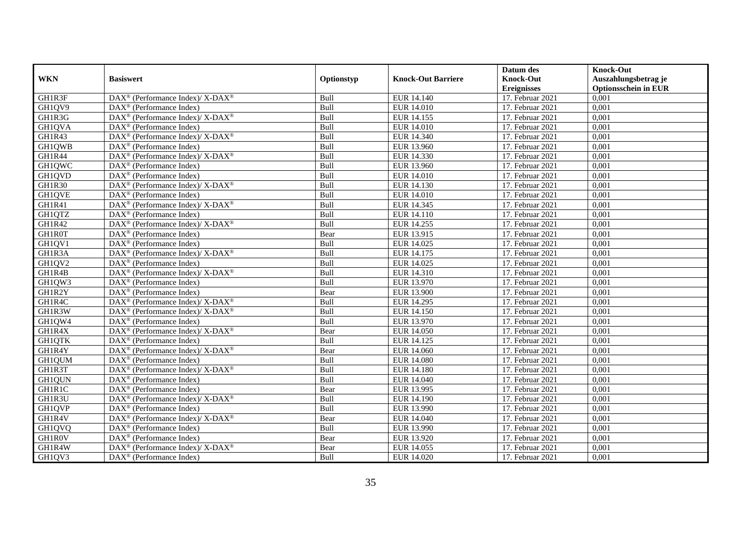|               |                                                                                                 |             |                           | Datum des          | <b>Knock-Out</b>            |
|---------------|-------------------------------------------------------------------------------------------------|-------------|---------------------------|--------------------|-----------------------------|
| <b>WKN</b>    | <b>Basiswert</b>                                                                                | Optionstyp  | <b>Knock-Out Barriere</b> | <b>Knock-Out</b>   | Auszahlungsbetrag je        |
|               |                                                                                                 |             |                           | <b>Ereignisses</b> | <b>Optionsschein in EUR</b> |
| GH1R3F        | DAX <sup>®</sup> (Performance Index)/X-DAX <sup>®</sup>                                         | Bull        | EUR 14.140                | 17. Februar 2021   | 0,001                       |
| GH1QV9        | $\text{DAX}^{\circledast}$ (Performance Index)                                                  | Bull        | <b>EUR 14.010</b>         | 17. Februar 2021   | 0,001                       |
| GH1R3G        | $\text{DAX}^{\circledast}$ (Performance Index)/ X-DAX <sup>®</sup>                              | Bull        | EUR 14.155                | 17. Februar 2021   | 0,001                       |
| GH1QVA        | $\text{DAX}^{\textcircled{n}}$ (Performance Index)                                              | Bull        | EUR 14.010                | 17. Februar 2021   | 0,001                       |
| GH1R43        | $\text{DAX}^{\circledast}$ (Performance Index)/ $\overline{\text{X-DAX}^{\circledast}}$         | Bull        | EUR 14.340                | 17. Februar 2021   | 0,001                       |
| GH1QWB        | $\text{DAX}^{\textcircled{p}}$ (Performance Index)                                              | Bull        | EUR 13.960                | 17. Februar 2021   | 0,001                       |
| GH1R44        | $DAX^{\circledcirc}$ (Performance Index)/X-DAX <sup>®</sup>                                     | Bull        | EUR 14.330                | 17. Februar 2021   | 0,001                       |
| GH1QWC        | DAX <sup>®</sup> (Performance Index)                                                            | Bull        | EUR 13.960                | 17. Februar 2021   | 0,001                       |
| GH1QVD        | $\text{DAX}^{\textcircled{n}}$ (Performance Index)                                              | Bull        | <b>EUR 14.010</b>         | 17. Februar 2021   | 0,001                       |
| <b>GH1R30</b> | DAX <sup>®</sup> (Performance Index)/ X-DAX <sup>®</sup>                                        | Bull        | EUR 14.130                | 17. Februar 2021   | 0,001                       |
| GH1QVE        | $\text{DAX}^{\circledast}$ (Performance Index)                                                  | Bull        | <b>EUR 14.010</b>         | 17. Februar 2021   | 0,001                       |
| GH1R41        | DAX <sup>®</sup> (Performance Index)/X-DAX <sup>®</sup>                                         | Bull        | EUR 14.345                | 17. Februar 2021   | 0,001                       |
| GH1QTZ        | DAX <sup>®</sup> (Performance Index)                                                            | Bull        | EUR 14.110                | 17. Februar 2021   | 0,001                       |
| GH1R42        | DAX <sup>®</sup> (Performance Index)/ X-DAX <sup>®</sup>                                        | Bull        | EUR 14.255                | 17. Februar 2021   | 0,001                       |
| GH1R0T        | $\text{DAX}^{\otimes}$ (Performance Index)                                                      | Bear        | EUR 13.915                | 17. Februar 2021   | 0,001                       |
| GH1QV1        | DAX <sup>®</sup> (Performance Index)                                                            | Bull        | EUR 14.025                | 17. Februar 2021   | 0,001                       |
| GH1R3A        | DAX <sup>®</sup> (Performance Index)/X-DAX <sup>®</sup>                                         | Bull        | EUR 14.175                | 17. Februar 2021   | 0,001                       |
| GH1QV2        | $DAX^{\circledR}$ (Performance Index)                                                           | <b>Bull</b> | EUR 14.025                | 17. Februar 2021   | 0,001                       |
| GH1R4B        | $\text{DAX}^{\circledR}$ (Performance Index)/ X-DAX <sup>®</sup>                                | Bull        | EUR 14.310                | 17. Februar 2021   | 0,001                       |
| GH1QW3        | DAX <sup>®</sup> (Performance Index)                                                            | Bull        | EUR 13.970                | 17. Februar 2021   | 0,001                       |
| GH1R2Y        | $\text{DAX}^{\textcircled{D}}$ (Performance Index)                                              | Bear        | <b>EUR 13.900</b>         | 17. Februar 2021   | 0,001                       |
| GH1R4C        | $\text{DAX}^{\circledR}$ (Performance Index)/ X-DAX <sup>®</sup>                                | Bull        | EUR 14.295                | 17. Februar 2021   | 0,001                       |
| GH1R3W        | $\overline{\text{DAX}^{\otimes}}$ (Performance Index)/X-DAX <sup>®</sup>                        | Bull        | EUR 14.150                | 17. Februar 2021   | 0,001                       |
| GH1QW4        | DAX <sup>®</sup> (Performance Index)                                                            | Bull        | EUR 13.970                | 17. Februar 2021   | 0,001                       |
| GH1R4X        | $DAX^{\circledcirc}$ (Performance Index)/X-DAX <sup>®</sup>                                     | Bear        | <b>EUR 14.050</b>         | 17. Februar 2021   | 0.001                       |
| GH1QTK        | DAX <sup>®</sup> (Performance Index)                                                            | Bull        | EUR 14.125                | 17. Februar 2021   | 0,001                       |
| GH1R4Y        | DAX <sup>®</sup> (Performance Index)/X-DAX <sup>®</sup>                                         | Bear        | <b>EUR 14.060</b>         | 17. Februar 2021   | 0,001                       |
| GH1QUM        | $\text{DAX}^{\textcircled{p}}$ (Performance Index)                                              | Bull        | <b>EUR 14.080</b>         | 17. Februar 2021   | 0,001                       |
| GH1R3T        | $\text{DAX}^{\circledR}$ (Performance Index)/ X-DAX <sup>®</sup>                                | Bull        | <b>EUR 14.180</b>         | 17. Februar 2021   | 0,001                       |
| GH1QUN        | $\text{DAX}^{\textcircled{n}}$ (Performance Index)                                              | Bull        | EUR 14.040                | 17. Februar 2021   | 0,001                       |
| GH1R1C        | $\text{DAX}^{\textcircled{n}}$ (Performance Index)                                              | Bear        | EUR 13.995                | 17. Februar 2021   | 0,001                       |
| GH1R3U        | $\text{DAX}^{\textcircled{p}}$ (Performance Index)/ $\overline{\text{X-DAX}^{\textcircled{p}}}$ | <b>Bull</b> | EUR 14.190                | 17. Februar 2021   | 0,001                       |
| GH1QVP        | $\text{DAX}^{\textcircled{D}}$ (Performance Index)                                              | Bull        | EUR 13.990                | 17. Februar 2021   | 0,001                       |
| GH1R4V        | DAX <sup>®</sup> (Performance Index)/X-DAX <sup>®</sup>                                         | Bear        | EUR 14.040                | 17. Februar 2021   | 0,001                       |
| GH1QVQ        | DAX <sup>®</sup> (Performance Index)                                                            | Bull        | EUR 13.990                | 17. Februar 2021   | 0,001                       |
| GH1R0V        | DAX <sup>®</sup> (Performance Index)                                                            | Bear        | EUR 13.920                | 17. Februar 2021   | 0,001                       |
| GH1R4W        | DAX <sup>®</sup> (Performance Index)/ X-DAX <sup>®</sup>                                        | Bear        | EUR 14.055                | 17. Februar 2021   | 0,001                       |
| GH1QV3        | DAX <sup>®</sup> (Performance Index)                                                            | Bull        | EUR 14.020                | 17. Februar 2021   | 0,001                       |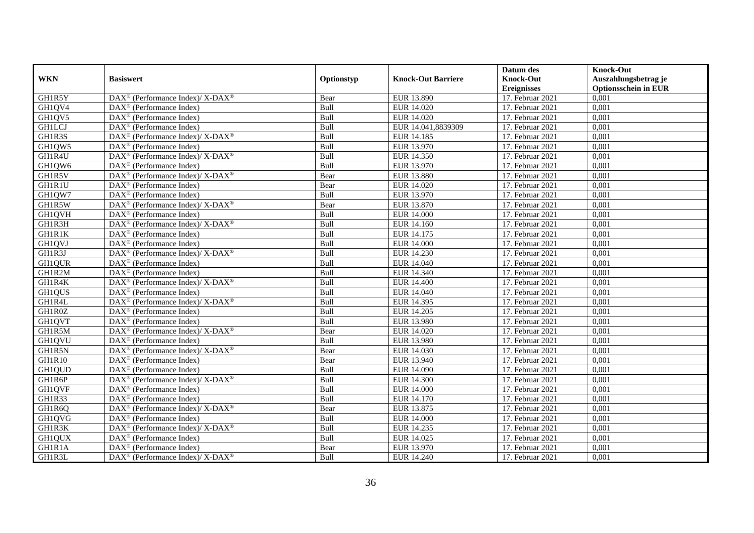|               |                                                                                         |             |                           | Datum des          | <b>Knock-Out</b>            |
|---------------|-----------------------------------------------------------------------------------------|-------------|---------------------------|--------------------|-----------------------------|
| <b>WKN</b>    | <b>Basiswert</b>                                                                        | Optionstyp  | <b>Knock-Out Barriere</b> | <b>Knock-Out</b>   | Auszahlungsbetrag je        |
|               |                                                                                         |             |                           | <b>Ereignisses</b> | <b>Optionsschein in EUR</b> |
| GH1R5Y        | DAX <sup>®</sup> (Performance Index)/X-DAX <sup>®</sup>                                 | Bear        | EUR 13.890                | 17. Februar 2021   | 0,001                       |
| GH1QV4        | $\text{DAX}^{\circledast}$ (Performance Index)                                          | Bull        | EUR 14.020                | 17. Februar 2021   | 0,001                       |
| GH1QV5        | DAX <sup>®</sup> (Performance Index)                                                    | Bull        | EUR 14.020                | 17. Februar 2021   | 0,001                       |
| <b>GH1LCJ</b> | $\text{DAX}^{\textcircled{n}}$ (Performance Index)                                      | Bull        | EUR 14.041,8839309        | 17. Februar 2021   | 0,001                       |
| GH1R3S        | $\text{DAX}^{\circledR}$ (Performance Index)/ X-DAX <sup>®</sup>                        | Bull        | EUR 14.185                | 17. Februar 2021   | 0,001                       |
| GH1QW5        | $\text{DAX}^{\textcircled{p}}$ (Performance Index)                                      | Bull        | EUR 13.970                | 17. Februar 2021   | 0,001                       |
| GH1R4U        | $DAX^{\circledcirc}$ (Performance Index)/X-DAX <sup>®</sup>                             | Bull        | EUR 14.350                | 17. Februar 2021   | 0,001                       |
| GH1QW6        | $\text{DAX}^{\textcircled{n}}$ (Performance Index)                                      | Bull        | EUR 13.970                | 17. Februar 2021   | 0,001                       |
| GH1R5V        | $\text{DAX}^{\circledast}$ (Performance Index)/X-DAX <sup>®</sup>                       | Bear        | EUR 13.880                | 17. Februar 2021   | 0,001                       |
| GH1R1U        | $\text{DAX}^{\otimes}$ (Performance Index)                                              | Bear        | EUR 14.020                | 17. Februar 2021   | 0,001                       |
| GH1QW7        | $\text{DAX}^{\circledast}$ (Performance Index)                                          | Bull        | EUR 13.970                | 17. Februar 2021   | 0,001                       |
| GH1R5W        | $\text{DAX}^{\circledR}$ (Performance Index)/ X-DAX <sup>®</sup>                        | Bear        | EUR 13.870                | 17. Februar 2021   | 0,001                       |
| <b>GH1QVH</b> | DAX <sup>®</sup> (Performance Index)                                                    | Bull        | <b>EUR 14.000</b>         | 17. Februar 2021   | 0,001                       |
| GH1R3H        | DAX <sup>®</sup> (Performance Index)/ X-DAX <sup>®</sup>                                | Bull        | EUR 14.160                | 17. Februar 2021   | 0,001                       |
| GH1R1K        | $\text{DAX}^{\otimes}$ (Performance Index)                                              | Bull        | EUR 14.175                | 17. Februar 2021   | 0,001                       |
| GH1QVJ        | DAX <sup>®</sup> (Performance Index)                                                    | Bull        | <b>EUR 14.000</b>         | 17. Februar 2021   | 0,001                       |
| GH1R3J        | DAX <sup>®</sup> (Performance Index)/X-DAX <sup>®</sup>                                 | Bull        | EUR 14.230                | 17. Februar 2021   | 0,001                       |
| GH1QUR        | $DAX^{\circledR}$ (Performance Index)                                                   | Bull        | EUR 14.040                | 17. Februar 2021   | 0,001                       |
| GH1R2M        | DAX <sup>®</sup> (Performance Index)                                                    | Bull        | EUR 14.340                | 17. Februar 2021   | 0,001                       |
| GH1R4K        | $\text{DAX}^{\circledR}$ (Performance Index)/ X-DAX <sup>®</sup>                        | Bull        | <b>EUR 14.400</b>         | 17. Februar 2021   | 0,001                       |
| GH1QUS        | $\overline{\text{DAX}^{\otimes}}$ (Performance Index)                                   | Bull        | EUR 14.040                | 17. Februar 2021   | 0,001                       |
| GH1R4L        | DAX <sup>®</sup> (Performance Index)/ X-DAX <sup>®</sup>                                | Bull        | EUR 14.395                | 17. Februar 2021   | 0,001                       |
| GH1R0Z        | DAX <sup>®</sup> (Performance Index)                                                    | Bull        | EUR 14.205                | 17. Februar 2021   | 0,001                       |
| GH1QVT        | DAX <sup>®</sup> (Performance Index)                                                    | Bull        | <b>EUR 13.980</b>         | 17. Februar 2021   | 0,001                       |
| GH1R5M        | $DAX^{\circledcirc}$ (Performance Index)/X-DAX <sup>®</sup>                             | Bear        | EUR 14.020                | 17. Februar 2021   | 0.001                       |
| GH1QVU        | DAX <sup>®</sup> (Performance Index)                                                    | Bull        | EUR 13.980                | 17. Februar 2021   | 0,001                       |
| GH1R5N        | $\text{DAX}^{\circledR}$ (Performance Index)/ X-DAX <sup>®</sup>                        | Bear        | <b>EUR 14.030</b>         | 17. Februar 2021   | 0,001                       |
| GH1R10        | $\text{DAX}^{\textcircled{p}}$ (Performance Index)                                      | Bear        | EUR 13.940                | 17. Februar 2021   | 0,001                       |
| GH1QUD        | $\overline{\text{DAX}^{\otimes}}$ (Performance Index)                                   | Bull        | EUR 14.090                | 17. Februar 2021   | 0,001                       |
| GH1R6P        | $\text{DAX}^{\circledast}$ (Performance Index)/ X-DAX <sup>®</sup>                      | Bull        | EUR 14.300                | 17. Februar 2021   | 0,001                       |
| GH1QVF        | $\text{DAX}^{\textcircled{n}}$ (Performance Index)                                      | Bull        | <b>EUR 14.000</b>         | 17. Februar 2021   | 0,001                       |
| GH1R33        | $DAX^{\circledR}$ (Performance Index)                                                   | <b>Bull</b> | EUR 14.170                | 17. Februar 2021   | 0,001                       |
| GH1R6Q        | $\text{DAX}^{\circledast}$ (Performance Index)/ $\overline{\text{X-DAX}^{\circledast}}$ | Bear        | EUR 13.875                | 17. Februar 2021   | 0,001                       |
| GH1QVG        | DAX <sup>®</sup> (Performance Index)                                                    | Bull        | <b>EUR 14.000</b>         | 17. Februar 2021   | 0,001                       |
| GH1R3K        | $\text{DAX}^{\circledR}$ (Performance Index)/ X-DAX <sup>®</sup>                        | Bull        | EUR 14.235                | 17. Februar 2021   | 0,001                       |
| GH1QUX        | $\text{DAX}^{\textcircled{n}}$ (Performance Index)                                      | Bull        | EUR 14.025                | 17. Februar 2021   | 0,001                       |
| GH1R1A        | $\text{DAX}^{\circledast}$ (Performance Index)                                          | Bear        | EUR 13.970                | 17. Februar 2021   | 0,001                       |
| GH1R3L        | $\text{DAX}^{\circledR}$ (Performance Index)/ X-DAX <sup>®</sup>                        | Bull        | EUR 14.240                | 17. Februar 2021   | 0,001                       |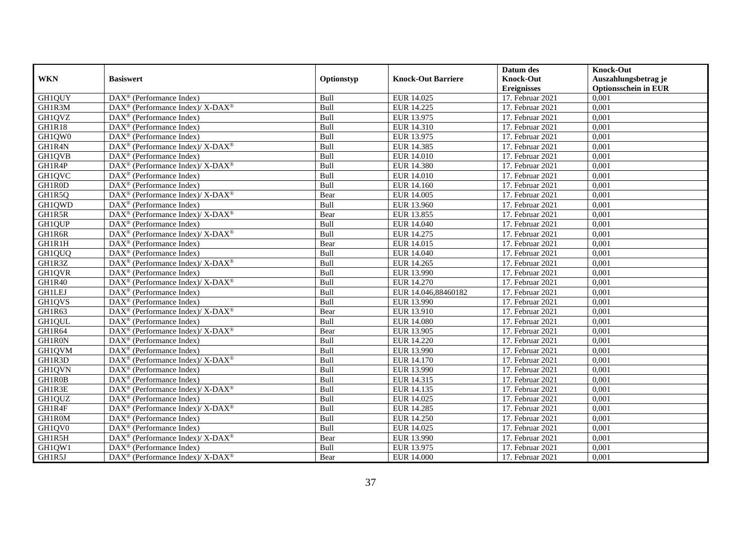|               |                                                                                         |             |                           | Datum des          | <b>Knock-Out</b>            |
|---------------|-----------------------------------------------------------------------------------------|-------------|---------------------------|--------------------|-----------------------------|
| <b>WKN</b>    | <b>Basiswert</b>                                                                        | Optionstyp  | <b>Knock-Out Barriere</b> | <b>Knock-Out</b>   | Auszahlungsbetrag je        |
|               |                                                                                         |             |                           | <b>Ereignisses</b> | <b>Optionsschein in EUR</b> |
| GH1QUY        | DAX <sup>®</sup> (Performance Index)                                                    | Bull        | EUR 14.025                | 17. Februar 2021   | 0,001                       |
| GH1R3M        | $\text{DAX}^{\circledR}$ (Performance Index)/ X-DAX <sup>®</sup>                        | Bull        | EUR 14.225                | 17. Februar 2021   | 0,001                       |
| GH1QVZ        | DAX <sup>®</sup> (Performance Index)                                                    | Bull        | EUR 13.975                | 17. Februar 2021   | 0,001                       |
| GH1R18        | $\text{DAX}^{\otimes}$ (Performance Index)                                              | Bull        | EUR 14.310                | 17. Februar 2021   | 0,001                       |
| GH1QW0        | DAX <sup>®</sup> (Performance Index)                                                    | Bull        | EUR 13.975                | 17. Februar 2021   | 0,001                       |
| GH1R4N        | DAX <sup>®</sup> (Performance Index)/X-DAX <sup>®</sup>                                 | Bull        | EUR 14.385                | 17. Februar 2021   | 0,001                       |
| <b>GH1QVB</b> | $\text{DAX}^{\textcircled{p}}$ (Performance Index)                                      | Bull        | EUR 14.010                | 17. Februar 2021   | 0,001                       |
| GH1R4P        | $\text{DAX}^{\circledast}$ (Performance Index)/ X-DAX <sup>®</sup>                      | Bull        | EUR 14.380                | 17. Februar 2021   | 0,001                       |
| GH1QVC        | $\text{DAX}^{\textcircled{n}}$ (Performance Index)                                      | Bull        | <b>EUR 14.010</b>         | 17. Februar 2021   | 0,001                       |
| GH1R0D        | DAX <sup>®</sup> (Performance Index)                                                    | Bull        | EUR 14.160                | 17. Februar 2021   | 0,001                       |
| GH1R5Q        | DAX <sup>®</sup> (Performance Index)/ X-DAX <sup>®</sup>                                | Bear        | EUR 14.005                | 17. Februar 2021   | 0,001                       |
| GH1QWD        | $\overline{\text{DAX}^{\otimes}}$ (Performance Index)                                   | Bull        | <b>EUR 13.960</b>         | 17. Februar 2021   | 0,001                       |
| GH1R5R        | $\text{DAX}^{\circledR}$ (Performance Index)/ X-DAX <sup>®</sup>                        | Bear        | EUR 13.855                | 17. Februar 2021   | 0,001                       |
| GH1QUP        | $DAX^{\circledR}$ (Performance Index)                                                   | Bull        | EUR 14.040                | 17. Februar 2021   | 0,001                       |
| GH1R6R        | DAX <sup>®</sup> (Performance Index)/X-DAX <sup>®</sup>                                 | Bull        | EUR 14.275                | 17. Februar 2021   | 0,001                       |
| GH1R1H        | $\overline{\text{DAX}^{\otimes}}$ (Performance Index)                                   | Bear        | EUR 14.015                | 17. Februar 2021   | 0,001                       |
| GH1QUQ        | DAX <sup>®</sup> (Performance Index)                                                    | Bull        | EUR 14.040                | 17. Februar 2021   | 0,001                       |
| GH1R3Z        | $\text{DAX}^{\textcircled{D}}$ (Performance Index)/X-DAX <sup>®</sup>                   | Bull        | EUR 14.265                | 17. Februar 2021   | 0,001                       |
| GH1QVR        | DAX <sup>®</sup> (Performance Index)                                                    | Bull        | EUR 13.990                | 17. Februar 2021   | 0,001                       |
| GH1R40        | $\text{DAX}^{\circledR}$ (Performance Index)/ X-DAX <sup>®</sup>                        | Bull        | <b>EUR 14.270</b>         | 17. Februar 2021   | 0,001                       |
| <b>GH1LEJ</b> | DAX <sup>®</sup> (Performance Index)                                                    | Bull        | EUR 14.046,88460182       | 17. Februar 2021   | 0,001                       |
| GH1QVS        | $\overline{\text{DAX}^{\otimes}}$ (Performance Index)                                   | Bull        | EUR 13.990                | 17. Februar 2021   | 0,001                       |
| GH1R63        | $\overline{\text{DAX}^{\otimes}}$ (Performance Index)/X-DAX <sup>®</sup>                | Bear        | EUR 13.910                | 17. Februar 2021   | 0,001                       |
| GH1QUL        | DAX <sup>®</sup> (Performance Index)                                                    | Bull        | <b>EUR 14.080</b>         | 17. Februar 2021   | 0,001                       |
| GH1R64        | $DAX^{\circledcirc}$ (Performance Index)/X-DAX <sup>®</sup>                             | Bear        | EUR 13.905                | 17. Februar 2021   | 0.001                       |
| GH1R0N        | DAX <sup>®</sup> (Performance Index)                                                    | Bull        | EUR 14.220                | 17. Februar 2021   | 0,001                       |
| <b>GH1QVM</b> | $\overline{\text{DAX}^{\otimes}}$ (Performance Index)                                   | Bull        | <b>EUR 13.990</b>         | 17. Februar 2021   | 0,001                       |
| GH1R3D        | DAX <sup>®</sup> (Performance Index)/X-DAX <sup>®</sup>                                 | Bull        | EUR 14.170                | 17. Februar 2021   | 0,001                       |
| GH1QVN        | DAX <sup>®</sup> (Performance Index)                                                    | Bull        | EUR 13.990                | 17. Februar 2021   | 0,001                       |
| GH1R0B        | DAX <sup>®</sup> (Performance Index)                                                    | Bull        | EUR 14.315                | 17. Februar 2021   | 0,001                       |
| GH1R3E        | $\text{DAX}^{\circledast}$ (Performance Index)/X-DAX <sup>®</sup>                       | Bull        | EUR 14.135                | 17. Februar 2021   | 0,001                       |
| GH1QUZ        | $DAX^{\circledR}$ (Performance Index)                                                   | <b>Bull</b> | EUR 14.025                | 17. Februar 2021   | 0,001                       |
| GH1R4F        | $\text{DAX}^{\textcircled{\tiny{\textcircled{\tiny \dag}}}}$ (Performance Index)/X-DAX® | Bull        | EUR 14.285                | 17. Februar 2021   | 0,001                       |
| GH1R0M        | DAX <sup>®</sup> (Performance Index)                                                    | Bull        | <b>EUR 14.250</b>         | 17. Februar 2021   | 0,001                       |
| GH1QV0        | DAX <sup>®</sup> (Performance Index)                                                    | Bull        | EUR 14.025                | 17. Februar 2021   | 0,001                       |
| GH1R5H        | $\text{DAX}^{\otimes}$ (Performance Index)/X-DAX <sup>®</sup>                           | Bear        | EUR 13.990                | 17. Februar 2021   | 0,001                       |
| GH1QW1        | $\text{DAX}^{\circledast}$ (Performance Index)                                          | Bull        | EUR 13.975                | 17. Februar 2021   | 0,001                       |
| GH1R5J        | $\text{DAX}^{\circledR}$ (Performance Index)/ X-DAX <sup>®</sup>                        | Bear        | <b>EUR 14.000</b>         | 17. Februar 2021   | 0,001                       |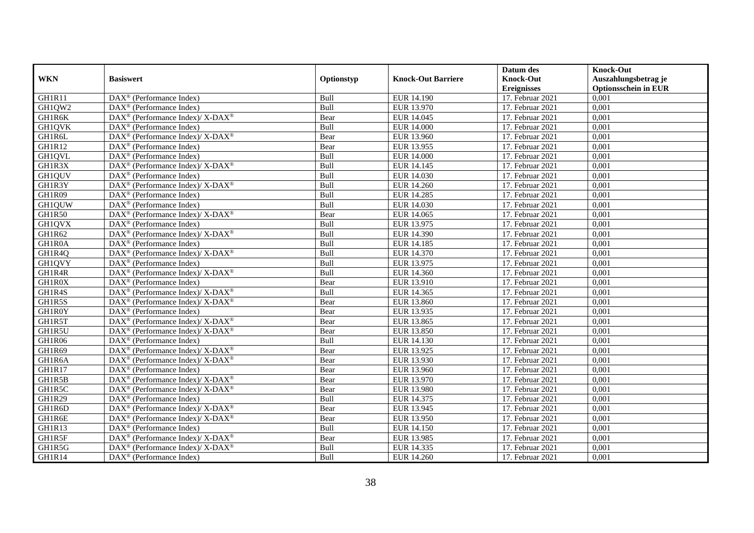|               |                                                                               |            |                           | Datum des          | <b>Knock-Out</b>            |
|---------------|-------------------------------------------------------------------------------|------------|---------------------------|--------------------|-----------------------------|
| <b>WKN</b>    | <b>Basiswert</b>                                                              | Optionstyp | <b>Knock-Out Barriere</b> | <b>Knock-Out</b>   | Auszahlungsbetrag je        |
|               |                                                                               |            |                           | <b>Ereignisses</b> | <b>Optionsschein in EUR</b> |
| GH1R11        | DAX <sup>®</sup> (Performance Index)                                          | Bull       | EUR 14.190                | 17. Februar 2021   | 0,001                       |
| GH1QW2        | $\text{DAX}^{\textcircled{D}}$ (Performance Index)                            | Bull       | EUR 13.970                | 17. Februar 2021   | 0,001                       |
| GH1R6K        | $\text{DAX}^{\circledast}$ (Performance Index)/ X-DAX <sup>®</sup>            | Bear       | EUR 14.045                | 17. Februar 2021   | 0,001                       |
| GH1QVK        | $\text{DAX}^{\circledast}$ (Performance Index)                                | Bull       | <b>EUR 14.000</b>         | 17. Februar 2021   | 0,001                       |
| GH1R6L        | $\text{DAX}^{\circledR}$ (Performance Index)/ X-DAX <sup>®</sup>              | Bear       | EUR 13.960                | 17. Februar 2021   | 0,001                       |
| <b>GH1R12</b> | $\text{DAX}^{\textcircled{n}}$ (Performance Index)                            | Bear       | EUR 13.955                | 17. Februar 2021   | 0,001                       |
| GH1QVL        | $\text{DAX}^{\textcircled{n}}$ (Performance Index)                            | Bull       | <b>EUR 14.000</b>         | 17. Februar 2021   | 0,001                       |
| GH1R3X        | $DAX^{\circledcirc}$ (Performance Index)/ X-DAX <sup>®</sup>                  | Bull       | EUR 14.145                | 17. Februar 2021   | 0,001                       |
| <b>GH1QUV</b> | $DAX^{\circledR}$ (Performance Index)                                         | Bull       | EUR 14.030                | 17. Februar 2021   | 0,001                       |
| GH1R3Y        | $DAX^{\circledast}$ (Performance Index)/X-DAX <sup>®</sup>                    | Bull       | EUR 14.260                | 17. Februar 2021   | 0,001                       |
| GH1R09        | $\overline{\text{DAX}}^{\textcirc}$ (Performance Index)                       | Bull       | <b>EUR 14.285</b>         | 17. Februar 2021   | 0,001                       |
| <b>GH1QUW</b> | $\overline{\text{DAX}^{\otimes}}$ (Performance Index)                         | Bull       | EUR 14.030                | 17. Februar 2021   | 0,001                       |
| <b>GH1R50</b> | DAX <sup>®</sup> (Performance Index)/ X-DAX <sup>®</sup>                      | Bear       | EUR 14.065                | 17. Februar 2021   | 0,001                       |
| GH1QVX        | $\text{DAX}^{\circledast}$ (Performance Index)                                | Bull       | EUR 13.975                | 17. Februar 2021   | 0,001                       |
| GH1R62        | DAX <sup>®</sup> (Performance Index)/ X-DAX <sup>®</sup>                      | Bull       | EUR 14.390                | 17. Februar 2021   | 0,001                       |
| GH1R0A        | DAX <sup>®</sup> (Performance Index)                                          | Bull       | EUR 14.185                | 17. Februar 2021   | 0,001                       |
| GH1R4Q        | DAX <sup>®</sup> (Performance Index)/X-DAX <sup>®</sup>                       | Bull       | EUR 14.370                | 17. Februar 2021   | 0,001                       |
| GH1QVY        | $DAX^{\circledR}$ (Performance Index)                                         | Bull       | EUR 13.975                | 17. Februar 2021   | 0,001                       |
| GH1R4R        | $\text{DAX}^{\circledR}$ (Performance Index)/ X-DAX <sup>®</sup>              | Bull       | EUR 14.360                | 17. Februar 2021   | 0,001                       |
| GH1R0X        | $\overline{\text{DAX}^{\otimes}}$ (Performance Index)                         | Bear       | EUR 13.910                | 17. Februar 2021   | 0,001                       |
| GH1R4S        | $\text{DAX}^{\circledR}$ (Performance Index)/ X-DAX <sup>®</sup>              | Bull       | EUR 14.365                | 17. Februar 2021   | 0,001                       |
| GH1R5S        | $\text{DAX}^{\circledR}$ (Performance Index)/ X-DAX <sup>®</sup>              | Bear       | EUR 13.860                | 17. Februar 2021   | 0,001                       |
| GH1R0Y        | $\text{DAX}^{\circledast}$ (Performance Index)                                | Bear       | EUR 13.935                | 17. Februar 2021   | 0,001                       |
| GH1R5T        | $\text{DAX}^{\circledR}$ (Performance Index)/ X-DAX <sup>®</sup>              | Bear       | EUR 13.865                | 17. Februar 2021   | 0,001                       |
| GH1R5U        | $\text{DAX}^{\circledast}$ (Performance Index)/ X-DAX <sup>®</sup>            | Bear       | EUR 13.850                | 17. Februar 2021   | 0,001                       |
| GH1R06        | $\text{DAX}^{\otimes}$ (Performance Index)                                    | Bull       | EUR 14.130                | 17. Februar 2021   | 0,001                       |
| GH1R69        | DAX <sup>®</sup> (Performance Index)/ X-DAX <sup>®</sup>                      | Bear       | EUR 13.925                | 17. Februar 2021   | 0,001                       |
| GH1R6A        | DAX <sup>®</sup> (Performance Index)/ X-DAX <sup>®</sup>                      | Bear       | EUR 13.930                | 17. Februar 2021   | 0,001                       |
| GH1R17        | $\text{DAX}^{\textcircled{D}}$ (Performance Index)                            | Bear       | EUR 13.960                | 17. Februar 2021   | 0,001                       |
| GH1R5B        | $DAX^{\circledast}$ (Performance Index)/ $X$ - $\overline{DAX^{\circledast}}$ | Bear       | EUR 13.970                | 17. Februar 2021   | 0,001                       |
| GH1R5C        | $\text{DAX}^{\circledast}$ (Performance Index)/X-DAX <sup>®</sup>             | Bear       | EUR 13.980                | 17. Februar 2021   | 0,001                       |
| GH1R29        | $\text{DAX}^{\textcircled{n}}$ (Performance Index)                            | Bull       | EUR 14.375                | 17. Februar 2021   | 0,001                       |
| GH1R6D        | $\text{DAX}^{\circledR}$ (Performance Index)/ X-DAX <sup>®</sup>              | Bear       | EUR 13.945                | 17. Februar 2021   | 0,001                       |
| GH1R6E        | $\text{DAX}^{\circledR}$ (Performance Index)/ X-DAX <sup>®</sup>              | Bear       | EUR 13.950                | 17. Februar 2021   | 0,001                       |
| GH1R13        | $\text{DAX}^{\circledast}$ (Performance Index)                                | Bull       | EUR 14.150                | 17. Februar 2021   | 0,001                       |
| GH1R5F        | $\text{DAX}^{\otimes}$ (Performance Index)/X-DAX <sup>®</sup>                 | Bear       | EUR 13.985                | 17. Februar 2021   | 0,001                       |
| GH1R5G        | $DAX^{\circledast}$ (Performance Index)/X-DAX <sup>®</sup>                    | Bull       | EUR 14.335                | 17. Februar 2021   | 0,001                       |
| GH1R14        | $\text{DAX}^{\textcircled{n}}$ (Performance Index)                            | Bull       | EUR 14.260                | 17. Februar 2021   | 0,001                       |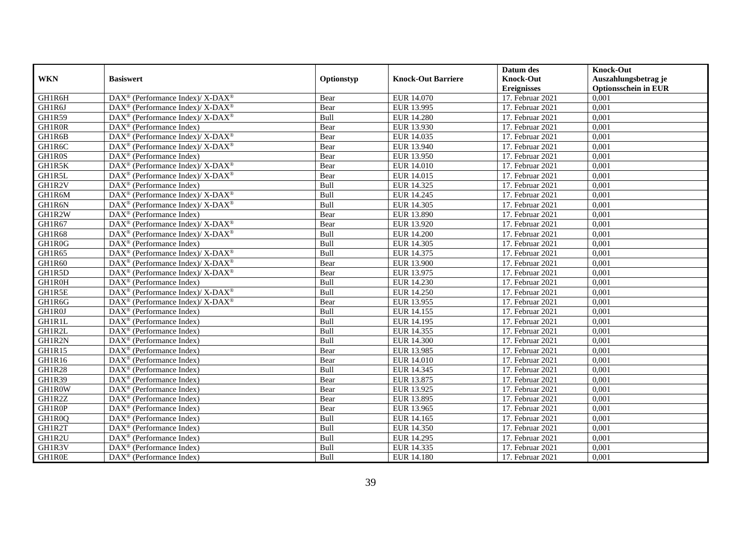|               |                                                                               |            |                           | Datum des          | <b>Knock-Out</b>            |
|---------------|-------------------------------------------------------------------------------|------------|---------------------------|--------------------|-----------------------------|
| <b>WKN</b>    | <b>Basiswert</b>                                                              | Optionstyp | <b>Knock-Out Barriere</b> | <b>Knock-Out</b>   | Auszahlungsbetrag je        |
|               |                                                                               |            |                           | <b>Ereignisses</b> | <b>Optionsschein in EUR</b> |
| GH1R6H        | $\text{DAX}^{\circledR}$ (Performance Index)/ X-DAX <sup>®</sup>              | Bear       | EUR 14.070                | 17. Februar 2021   | 0,001                       |
| GH1R6J        | $\text{DAX}^{\circledR}$ (Performance Index)/ X-DAX <sup>®</sup>              | Bear       | EUR 13.995                | 17. Februar 2021   | 0,001                       |
| GH1R59        | $\text{DAX}^{\circledast}$ (Performance Index)/ X-DAX <sup>®</sup>            | Bull       | <b>EUR 14.280</b>         | 17. Februar 2021   | 0,001                       |
| GH1R0R        | $\text{DAX}^{\circledast}$ (Performance Index)                                | Bear       | EUR 13.930                | 17. Februar 2021   | 0,001                       |
| GH1R6B        | $\text{DAX}^{\circledR}$ (Performance Index)/ X-DAX <sup>®</sup>              | Bear       | EUR 14.035                | 17. Februar 2021   | 0,001                       |
| GH1R6C        | DAX <sup>®</sup> (Performance Index)/ X-DAX <sup>®</sup>                      | Bear       | EUR 13.940                | 17. Februar 2021   | 0,001                       |
| GH1R0S        | $\text{DAX}^{\textcircled{n}}$ (Performance Index)                            | Bear       | EUR 13.950                | 17. Februar 2021   | 0,001                       |
| GH1R5K        | DAX <sup>®</sup> (Performance Index)/ X-DAX <sup>®</sup>                      | Bear       | <b>EUR 14.010</b>         | 17. Februar 2021   | 0,001                       |
| GH1R5L        | $DAX^{\circledast}$ (Performance Index)/ $X$ - $\overline{DAX^{\circledast}}$ | Bear       | EUR 14.015                | 17. Februar 2021   | 0,001                       |
| GH1R2V        | $DAX^{\otimes}$ (Performance Index)                                           | Bull       | EUR 14.325                | 17. Februar 2021   | 0,001                       |
| GH1R6M        | $\text{DAX}^{\circledR}$ (Performance Index)/ X-DAX <sup>®</sup>              | Bull       | EUR 14.245                | 17. Februar 2021   | 0,001                       |
| GH1R6N        | $\text{DAX}^{\circledR}$ (Performance Index)/ X-DAX <sup>®</sup>              | Bull       | <b>EUR 14.305</b>         | 17. Februar 2021   | 0,001                       |
| GH1R2W        | $\text{DAX}^{\circledast}$ (Performance Index)                                | Bear       | <b>EUR 13.890</b>         | 17. Februar 2021   | 0,001                       |
| GH1R67        | $\text{DAX}^{\circledast}$ (Performance Index)/ X-DAX <sup>®</sup>            | Bear       | EUR 13.920                | 17. Februar 2021   | 0,001                       |
| GH1R68        | DAX <sup>®</sup> (Performance Index)/ X-DAX <sup>®</sup>                      | Bull       | <b>EUR 14.200</b>         | 17. Februar 2021   | 0,001                       |
| GH1R0G        | DAX <sup>®</sup> (Performance Index)                                          | Bull       | EUR 14.305                | 17. Februar 2021   | 0,001                       |
| GH1R65        | DAX <sup>®</sup> (Performance Index)/X-DAX <sup>®</sup>                       | Bull       | EUR 14.375                | 17. Februar 2021   | 0,001                       |
| GH1R60        | $DAX^{\circledcirc}$ (Performance Index)/X-DAX <sup>®</sup>                   | Bear       | EUR 13.900                | 17. Februar 2021   | 0,001                       |
| GH1R5D        | $\text{DAX}^{\circledast}$ (Performance Index)/ X-DAX <sup>®</sup>            | Bear       | EUR 13.975                | 17. Februar 2021   | 0,001                       |
| GH1R0H        | $\overline{\text{DAX}^{\otimes}}$ (Performance Index)                         | Bull       | EUR 14.230                | 17. Februar 2021   | 0,001                       |
| GH1R5E        | $\text{DAX}^{\circledR}$ (Performance Index)/ X-DAX <sup>®</sup>              | Bull       | <b>EUR 14.250</b>         | 17. Februar 2021   | 0,001                       |
| GH1R6G        | $\text{DAX}^{\circledR}$ (Performance Index)/ X-DAX <sup>®</sup>              | Bear       | EUR 13.955                | 17. Februar 2021   | 0,001                       |
| GH1R0J        | $\text{DAX}^{\circledast}$ (Performance Index)                                | Bull       | EUR 14.155                | 17. Februar 2021   | 0,001                       |
| <b>GH1R1L</b> | DAX <sup>®</sup> (Performance Index)                                          | Bull       | EUR 14.195                | 17. Februar 2021   | 0,001                       |
| GH1R2L        | DAX <sup>®</sup> (Performance Index)                                          | Bull       | EUR 14.355                | 17. Februar 2021   | 0,001                       |
| GH1R2N        | $\text{DAX}^{\otimes}$ (Performance Index)                                    | Bull       | <b>EUR 14.300</b>         | 17. Februar 2021   | 0,001                       |
| GH1R15        | $\text{DAX}^{\circledast}$ (Performance Index)                                | Bear       | EUR 13.985                | 17. Februar 2021   | 0,001                       |
| GH1R16        | $\text{DAX}^{\textcircled{D}}$ (Performance Index)                            | Bear       | <b>EUR 14.010</b>         | 17. Februar 2021   | 0,001                       |
| GH1R28        | $\text{DAX}^{\textcircled{D}}$ (Performance Index)                            | Bull       | EUR 14.345                | 17. Februar 2021   | 0,001                       |
| <b>GH1R39</b> | $\text{DAX}^{\textcircled{D}}$ (Performance Index)                            | Bear       | EUR 13.875                | 17. Februar 2021   | 0,001                       |
| GH1R0W        | DAX <sup>®</sup> (Performance Index)                                          | Bear       | EUR 13.925                | 17. Februar 2021   | 0,001                       |
| GH1R2Z        | $\text{DAX}^{\textcircled{n}}$ (Performance Index)                            | Bear       | EUR 13.895                | 17. Februar 2021   | 0,001                       |
| GH1R0P        | $\overline{\text{DAX}^{\otimes}}$ (Performance Index)                         | Bear       | EUR 13.965                | 17. Februar 2021   | 0,001                       |
| GH1R0Q        | DAX <sup>®</sup> (Performance Index)                                          | Bull       | EUR 14.165                | 17. Februar 2021   | 0,001                       |
| GH1R2T        | $\text{DAX}^{\textcircled{n}}$ (Performance Index)                            | Bull       | EUR 14.350                | 17. Februar 2021   | 0,001                       |
| GH1R2U        | $\text{DAX}^{\textcircled{n}}$ (Performance Index)                            | Bull       | EUR 14.295                | 17. Februar 2021   | 0,001                       |
| GH1R3V        | $\text{DAX}^{\otimes}$ (Performance Index)                                    | Bull       | EUR 14.335                | 17. Februar 2021   | 0,001                       |
| GH1R0E        | $\overline{\text{DAX}}^{\textcircled{}}$ (Performance Index)                  | Bull       | <b>EUR 14.180</b>         | 17. Februar 2021   | 0,001                       |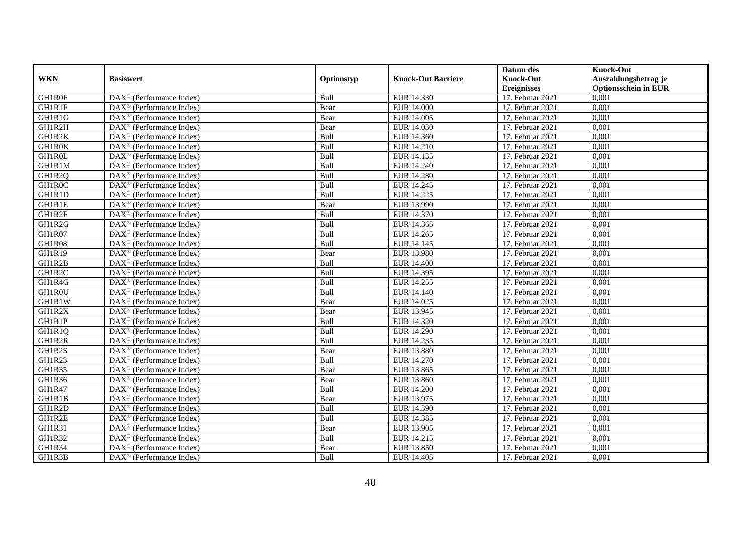|               |                                                         |             |                           | Datum des          | <b>Knock-Out</b>            |
|---------------|---------------------------------------------------------|-------------|---------------------------|--------------------|-----------------------------|
| <b>WKN</b>    | <b>Basiswert</b>                                        | Optionstyp  | <b>Knock-Out Barriere</b> | <b>Knock-Out</b>   | Auszahlungsbetrag je        |
|               |                                                         |             |                           | <b>Ereignisses</b> | <b>Optionsschein in EUR</b> |
| GH1R0F        | DAX <sup>®</sup> (Performance Index)                    | Bull        | EUR 14.330                | 17. Februar 2021   | 0,001                       |
| <b>GH1R1F</b> | $\text{DAX}^{\circledast}$ (Performance Index)          | Bear        | <b>EUR 14.000</b>         | 17. Februar 2021   | 0,001                       |
| GH1R1G        | $DAX^{\circledR}$ (Performance Index)                   | Bear        | EUR 14.005                | 17. Februar 2021   | 0,001                       |
| GH1R2H        | DAX <sup>®</sup> (Performance Index)                    | Bear        | EUR 14.030                | 17. Februar 2021   | 0,001                       |
| GH1R2K        | DAX <sup>®</sup> (Performance Index)                    | Bull        | EUR 14.360                | 17. Februar 2021   | 0,001                       |
| <b>GH1R0K</b> | $\text{DAX}^{\textcircled{D}}$ (Performance Index)      | Bull        | EUR 14.210                | 17. Februar 2021   | 0,001                       |
| GH1R0L        | $\overline{\text{DAX}}^{\textcirc}$ (Performance Index) | Bull        | EUR 14.135                | 17. Februar 2021   | 0,001                       |
| GH1R1M        | $\overline{\text{DAX}}^{\textcirc}$ (Performance Index) | Bull        | <b>EUR 14.240</b>         | 17. Februar 2021   | 0,001                       |
| GH1R2Q        | $\text{DAX}^{\circledast}$ (Performance Index)          | Bull        | <b>EUR 14.280</b>         | 17. Februar 2021   | 0,001                       |
| GH1R0C        | DAX <sup>®</sup> (Performance Index)                    | Bull        | EUR 14.245                | 17. Februar 2021   | 0,001                       |
| GH1R1D        | $\overline{\text{DAX}^{\otimes}}$ (Performance Index)   | Bull        | EUR 14.225                | 17. Februar 2021   | 0,001                       |
| <b>GH1R1E</b> | DAX <sup>®</sup> (Performance Index)                    | Bear        | EUR 13.990                | 17. Februar 2021   | 0,001                       |
| GH1R2F        | $\text{DAX}^{\textcircled{n}}$ (Performance Index)      | Bull        | EUR 14.370                | 17. Februar 2021   | 0,001                       |
| GH1R2G        | DAX <sup>®</sup> (Performance Index)                    | <b>Bull</b> | EUR 14.365                | 17. Februar 2021   | 0,001                       |
| GH1R07        | $\overline{\text{DAX}^{\otimes}}$ (Performance Index)   | Bull        | EUR 14.265                | 17. Februar 2021   | 0,001                       |
| GH1R08        | DAX <sup>®</sup> (Performance Index)                    | Bull        | EUR 14.145                | 17. Februar 2021   | 0,001                       |
| GH1R19        | DAX <sup>®</sup> (Performance Index)                    | Bear        | EUR 13.980                | 17. Februar 2021   | 0,001                       |
| GH1R2B        | DAX <sup>®</sup> (Performance Index)                    | Bull        | <b>EUR 14.400</b>         | 17. Februar 2021   | 0,001                       |
| GH1R2C        | $\text{DAX}^{\circledast}$ (Performance Index)          | Bull        | EUR 14.395                | 17. Februar 2021   | 0,001                       |
| GH1R4G        | $\text{DAX}^{\circledast}$ (Performance Index)          | Bull        | EUR 14.255                | 17. Februar 2021   | 0,001                       |
| GH1R0U        | DAX <sup>®</sup> (Performance Index)                    | Bull        | EUR 14.140                | 17. Februar 2021   | 0,001                       |
| GH1R1W        | $DAX^{\circledR}$ (Performance Index)                   | Bear        | EUR 14.025                | 17. Februar 2021   | 0,001                       |
| GH1R2X        | $\text{DAX}^{\textcircled{D}}$ (Performance Index)      | Bear        | EUR 13.945                | 17. Februar 2021   | 0,001                       |
| GH1R1P        | $\text{DAX}^{\textcircled{p}}$ (Performance Index)      | Bull        | EUR 14.320                | 17. Februar 2021   | 0,001                       |
| GH1R1Q        | $DAX^{\circledR}$ (Performance Index)                   | Bull        | EUR 14.290                | 17. Februar 2021   | 0,001                       |
| GH1R2R        | DAX <sup>®</sup> (Performance Index)                    | Bull        | EUR 14.235                | 17. Februar 2021   | 0,001                       |
| GH1R2S        | DAX <sup>®</sup> (Performance Index)                    | Bear        | <b>EUR 13.880</b>         | 17. Februar 2021   | 0,001                       |
| GH1R23        | DAX <sup>®</sup> (Performance Index)                    | Bull        | EUR 14.270                | 17. Februar 2021   | 0,001                       |
| GH1R35        | $\text{DAX}^{\otimes}$ (Performance Index)              | Bear        | EUR 13.865                | 17. Februar 2021   | 0,001                       |
| GH1R36        | $\text{DAX}^{\textcircled{n}}$ (Performance Index)      | Bear        | EUR 13.860                | 17. Februar 2021   | 0,001                       |
| GH1R47        | DAX <sup>®</sup> (Performance Index)                    | Bull        | <b>EUR 14.200</b>         | 17. Februar 2021   | 0,001                       |
| GH1R1B        | DAX <sup>®</sup> (Performance Index)                    | Bear        | EUR 13.975                | 17. Februar 2021   | 0,001                       |
| GH1R2D        | $\overline{\text{DAX}^{\otimes}}$ (Performance Index)   | Bull        | EUR 14.390                | 17. Februar 2021   | 0,001                       |
| GH1R2E        | $\overline{\text{DAX}^{\otimes}}$ (Performance Index)   | Bull        | EUR 14.385                | $17.$ Februar 2021 | 0,001                       |
| <b>GH1R31</b> | $\text{DAX}^{\textcircled{n}}$ (Performance Index)      | Bear        | EUR 13.905                | 17. Februar 2021   | 0,001                       |
| GH1R32        | $\text{DAX}^{\circledast}$ (Performance Index)          | Bull        | EUR 14.215                | 17. Februar 2021   | 0,001                       |
| GH1R34        | $\text{DAX}^{\otimes}$ (Performance Index)              | Bear        | EUR 13.850                | 17. Februar 2021   | 0,001                       |
| GH1R3B        | $\overline{\text{DAX}}^{\textcirc}$ (Performance Index) | Bull        | EUR 14.405                | 17. Februar 2021   | 0,001                       |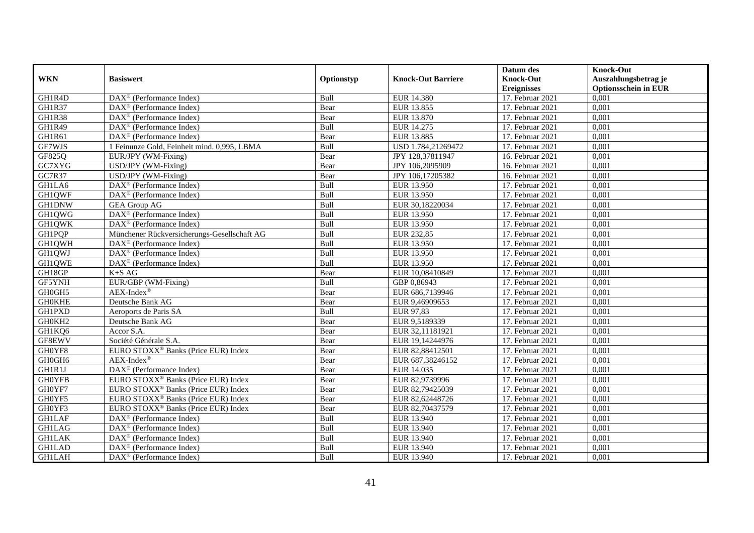|               |                                                           |            |                           | Datum des          | <b>Knock-Out</b>            |
|---------------|-----------------------------------------------------------|------------|---------------------------|--------------------|-----------------------------|
| <b>WKN</b>    | <b>Basiswert</b>                                          | Optionstyp | <b>Knock-Out Barriere</b> | <b>Knock-Out</b>   | Auszahlungsbetrag je        |
|               |                                                           |            |                           | <b>Ereignisses</b> | <b>Optionsschein in EUR</b> |
| GH1R4D        | $\overline{\text{DAX}^{\otimes}}$ (Performance Index)     | Bull       | <b>EUR 14.380</b>         | 17. Februar 2021   | 0,001                       |
| GH1R37        | $\text{DAX}^{\textcircled{D}}$ (Performance Index)        | Bear       | EUR 13.855                | 17. Februar 2021   | 0,001                       |
| GH1R38        | DAX <sup>®</sup> (Performance Index)                      | Bear       | EUR 13.870                | 17. Februar 2021   | 0,001                       |
| GH1R49        | $\text{DAX}^{\textcircled{n}}$ (Performance Index)        | Bull       | EUR 14.275                | 17. Februar 2021   | 0,001                       |
| GH1R61        | DAX <sup>®</sup> (Performance Index)                      | Bear       | EUR 13.885                | 17. Februar 2021   | 0,001                       |
| GF7WJS        | 1 Feinunze Gold, Feinheit mind. 0,995, LBMA               | Bull       | USD 1.784,21269472        | 17. Februar 2021   | 0,001                       |
| GF825Q        | EUR/JPY (WM-Fixing)                                       | Bear       | JPY 128,37811947          | 16. Februar 2021   | 0,001                       |
| GC7XYG        | USD/JPY (WM-Fixing)                                       | Bear       | JPY 106,2095909           | 16. Februar 2021   | 0,001                       |
| GC7R37        | USD/JPY (WM-Fixing)                                       | Bear       | JPY 106,17205382          | 16. Februar 2021   | 0,001                       |
| GH1LA6        | DAX <sup>®</sup> (Performance Index)                      | Bull       | EUR 13.950                | 17. Februar 2021   | 0,001                       |
| GH1QWF        | DAX <sup>®</sup> (Performance Index)                      | Bull       | EUR 13.950                | 17. Februar 2021   | 0,001                       |
| <b>GH1DNW</b> | <b>GEA</b> Group AG                                       | Bull       | EUR 30,18220034           | 17. Februar 2021   | 0,001                       |
| GH1QWG        | DAX <sup>®</sup> (Performance Index)                      | Bull       | EUR 13.950                | 17. Februar 2021   | 0,001                       |
| GH1QWK        | $DAX^{\circledR}$ (Performance Index)                     | Bull       | EUR 13.950                | 17. Februar 2021   | 0,001                       |
| GH1PQP        | Münchener Rückversicherungs-Gesellschaft AG               | Bull       | EUR 232,85                | 17. Februar 2021   | 0,001                       |
| GH1QWH        | DAX <sup>®</sup> (Performance Index)                      | Bull       | EUR 13.950                | 17. Februar 2021   | 0,001                       |
| GH1QWJ        | $\overline{\text{DA}}X^{\circledast}$ (Performance Index) | Bull       | EUR 13.950                | 17. Februar 2021   | 0,001                       |
| GH1QWE        | DAX <sup>®</sup> (Performance Index)                      | Bull       | EUR 13.950                | $17.$ Februar 2021 | 0,001                       |
| GH18GP        | $K+SAG$                                                   | Bear       | EUR 10,08410849           | 17. Februar 2021   | 0,001                       |
| GF5YNH        | EUR/GBP (WM-Fixing)                                       | Bull       | GBP 0,86943               | 17. Februar 2021   | 0,001                       |
| GH0GH5        | $AEX-Index^{\circledR}$                                   | Bear       | EUR 686,7139946           | 17. Februar 2021   | 0,001                       |
| <b>GH0KHE</b> | Deutsche Bank AG                                          | Bear       | EUR 9,46909653            | 17. Februar 2021   | 0,001                       |
| <b>GH1PXD</b> | Aeroports de Paris SA                                     | Bull       | EUR 97,83                 | 17. Februar 2021   | 0,001                       |
| GH0KH2        | Deutsche Bank AG                                          | Bear       | EUR 9,5189339             | 17. Februar 2021   | 0,001                       |
| GH1KQ6        | Accor S.A.                                                | Bear       | EUR 32,11181921           | 17. Februar 2021   | 0,001                       |
| GF8EWV        | Société Générale S.A.                                     | Bear       | EUR 19,14244976           | 17. Februar 2021   | 0,001                       |
| GH0YF8        | EURO STOXX <sup>®</sup> Banks (Price EUR) Index           | Bear       | EUR 82,88412501           | 17. Februar 2021   | 0,001                       |
| GH0GH6        | $AEX-Index^{\circledR}$                                   | Bear       | EUR 687,38246152          | 17. Februar 2021   | 0,001                       |
| GH1R1J        | DAX <sup>®</sup> (Performance Index)                      | Bear       | EUR 14.035                | $17.$ Februar 2021 | 0,001                       |
| <b>GH0YFB</b> | EURO STOXX <sup>®</sup> Banks (Price EUR) Index           | Bear       | EUR 82,9739996            | 17. Februar 2021   | 0.001                       |
| GH0YF7        | EURO STOXX <sup>®</sup> Banks (Price EUR) Index           | Bear       | EUR 82,79425039           | 17. Februar 2021   | 0,001                       |
| GH0YF5        | EURO STOXX <sup>®</sup> Banks (Price EUR) Index           | Bear       | EUR 82,62448726           | 17. Februar 2021   | 0,001                       |
| GH0YF3        | EURO STOXX <sup>®</sup> Banks (Price EUR) Index           | Bear       | EUR 82,70437579           | 17. Februar 2021   | 0,001                       |
| <b>GH1LAF</b> | DAX <sup>®</sup> (Performance Index)                      | Bull       | EUR 13.940                | 17. Februar 2021   | 0,001                       |
| <b>GH1LAG</b> | DAX <sup>®</sup> (Performance Index)                      | Bull       | EUR 13.940                | 17. Februar 2021   | 0,001                       |
| <b>GH1LAK</b> | $\text{DAX}^{\textcircled{n}}$ (Performance Index)        | Bull       | EUR 13.940                | 17. Februar 2021   | 0,001                       |
| <b>GH1LAD</b> | $\text{DAX}^{\otimes}$ (Performance Index)                | Bull       | EUR 13.940                | 17. Februar 2021   | 0,001                       |
| <b>GH1LAH</b> | DAX <sup>®</sup> (Performance Index)                      | Bull       | EUR 13.940                | 17. Februar 2021   | 0,001                       |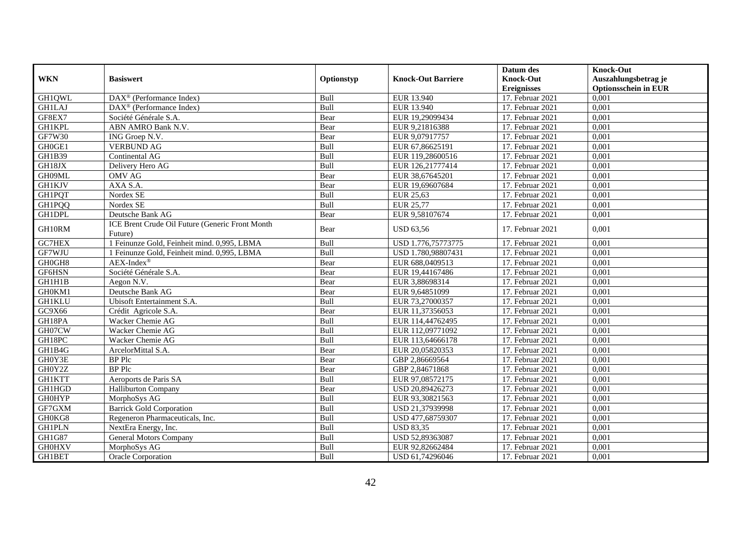|               |                                                            |            |                           | Datum des          | <b>Knock-Out</b>            |
|---------------|------------------------------------------------------------|------------|---------------------------|--------------------|-----------------------------|
| <b>WKN</b>    | <b>Basiswert</b>                                           | Optionstyp | <b>Knock-Out Barriere</b> | <b>Knock-Out</b>   | Auszahlungsbetrag je        |
|               |                                                            |            |                           | <b>Ereignisses</b> | <b>Optionsschein in EUR</b> |
| GH1QWL        | $\overline{\text{DAX}^{\otimes}}$ (Performance Index)      | Bull       | EUR 13.940                | 17. Februar 2021   | 0,001                       |
| <b>GH1LAJ</b> | $DAX^{\circledast}$ (Performance Index)                    | Bull       | EUR 13.940                | 17. Februar 2021   | 0,001                       |
| GF8EX7        | Société Générale S.A.                                      | Bear       | EUR 19.29099434           | 17. Februar 2021   | 0,001                       |
| <b>GH1KPL</b> | ABN AMRO Bank N.V.                                         | Bear       | EUR 9,21816388            | 17. Februar 2021   | 0,001                       |
| GF7W30        | ING Groep N.V.                                             | Bear       | EUR 9,07917757            | 17. Februar 2021   | 0,001                       |
| GH0GE1        | <b>VERBUND AG</b>                                          | Bull       | EUR 67,86625191           | 17. Februar 2021   | 0,001                       |
| GH1B39        | <b>Continental AG</b>                                      | Bull       | EUR 119,28600516          | 17. Februar 2021   | 0,001                       |
| GH18JX        | Delivery Hero AG                                           | Bull       | EUR 126,21777414          | 17. Februar 2021   | 0,001                       |
| GH09ML        | <b>OMV AG</b>                                              | Bear       | EUR 38,67645201           | 17. Februar 2021   | 0,001                       |
| <b>GH1KJV</b> | AXA S.A.                                                   | Bear       | EUR 19,69607684           | 17. Februar 2021   | 0,001                       |
| <b>GH1PQT</b> | Nordex SE                                                  | Bull       | EUR 25,63                 | 17. Februar 2021   | 0,001                       |
| <b>GH1PQQ</b> | Nordex SE                                                  | Bull       | <b>EUR 25,77</b>          | 17. Februar 2021   | 0,001                       |
| GH1DPL        | Deutsche Bank AG                                           | Bear       | EUR 9,58107674            | 17. Februar 2021   | 0,001                       |
| GH10RM        | ICE Brent Crude Oil Future (Generic Front Month<br>Future) | Bear       | <b>USD 63,56</b>          | 17. Februar 2021   | 0,001                       |
| GC7HEX        | 1 Feinunze Gold, Feinheit mind. 0,995, LBMA                | Bull       | USD 1.776,75773775        | 17. Februar 2021   | 0,001                       |
| GF7WJU        | 1 Feinunze Gold, Feinheit mind. 0,995, LBMA                | Bull       | USD 1.780,98807431        | 17. Februar 2021   | 0,001                       |
| GH0GH8        | $AEX-Index^{\circledR}$                                    | Bear       | EUR 688,0409513           | 17. Februar 2021   | 0,001                       |
| GF6HSN        | Société Générale S.A.                                      | Bear       | EUR 19,44167486           | 17. Februar 2021   | 0,001                       |
| GH1H1B        | Aegon N.V.                                                 | Bear       | EUR 3,88698314            | 17. Februar 2021   | 0,001                       |
| GH0KM1        | Deutsche Bank AG                                           | Bear       | EUR 9,64851099            | 17. Februar 2021   | 0,001                       |
| <b>GH1KLU</b> | Ubisoft Entertainment S.A.                                 | Bull       | EUR 73,27000357           | 17. Februar 2021   | 0,001                       |
| GC9X66        | Crédit Agricole S.A.                                       | Bear       | EUR 11,37356053           | 17. Februar 2021   | 0,001                       |
| GH18PA        | Wacker Chemie AG                                           | Bull       | EUR 114,44762495          | 17. Februar 2021   | 0,001                       |
| GH07CW        | Wacker Chemie AG                                           | Bull       | EUR 112,09771092          | 17. Februar 2021   | 0,001                       |
| GH18PC        | Wacker Chemie AG                                           | Bull       | EUR 113,64666178          | 17. Februar 2021   | 0,001                       |
| GH1B4G        | ArcelorMittal S.A.                                         | Bear       | EUR 20,05820353           | 17. Februar 2021   | 0,001                       |
| GH0Y3E        | <b>BP</b> Plc                                              | Bear       | GBP 2,86669564            | 17. Februar 2021   | 0,001                       |
| GH0Y2Z        | <b>BP</b> Plc                                              | Bear       | GBP 2,84671868            | 17. Februar 2021   | 0,001                       |
| <b>GH1KTT</b> | Aeroports de Paris SA                                      | Bull       | EUR 97,08572175           | 17. Februar 2021   | 0,001                       |
| GH1HGD        | <b>Halliburton Company</b>                                 | Bear       | USD 20,89426273           | 17. Februar 2021   | 0,001                       |
| <b>GH0HYP</b> | MorphoSys AG                                               | Bull       | EUR 93,30821563           | 17. Februar 2021   | 0,001                       |
| GF7GXM        | <b>Barrick Gold Corporation</b>                            | Bull       | USD 21,37939998           | 17. Februar 2021   | 0,001                       |
| GH0KG8        | Regeneron Pharmaceuticals, Inc.                            | Bull       | USD 477,68759307          | 17. Februar 2021   | 0,001                       |
| <b>GH1PLN</b> | NextEra Energy, Inc.                                       | Bull       | <b>USD 83,35</b>          | 17. Februar 2021   | 0,001                       |
| GH1G87        | <b>General Motors Company</b>                              | Bull       | USD 52,89363087           | 17. Februar 2021   | 0,001                       |
| <b>GH0HXV</b> | MorphoSys AG                                               | Bull       | EUR 92,82662484           | 17. Februar 2021   | 0,001                       |
| GH1BET        | Oracle Corporation                                         | Bull       | USD 61,74296046           | 17. Februar 2021   | 0,001                       |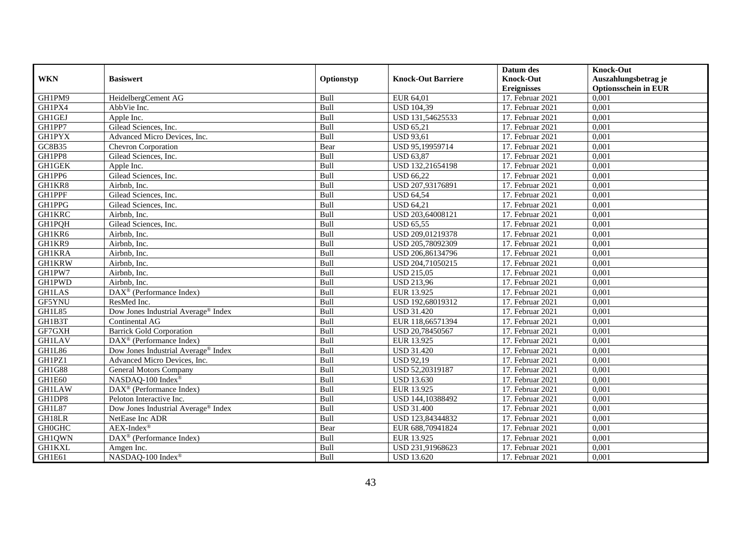|               |                                      |             |                           | Datum des          | <b>Knock-Out</b>            |
|---------------|--------------------------------------|-------------|---------------------------|--------------------|-----------------------------|
| <b>WKN</b>    | <b>Basiswert</b>                     | Optionstyp  | <b>Knock-Out Barriere</b> | <b>Knock-Out</b>   | Auszahlungsbetrag je        |
|               |                                      |             |                           | <b>Ereignisses</b> | <b>Optionsschein in EUR</b> |
| GH1PM9        | HeidelbergCement AG                  | Bull        | EUR 64,01                 | 17. Februar 2021   | 0,001                       |
| GH1PX4        | AbbVie Inc.                          | Bull        | <b>USD 104,39</b>         | 17. Februar 2021   | 0,001                       |
| <b>GH1GEJ</b> | Apple Inc.                           | Bull        | USD 131,54625533          | 17. Februar 2021   | 0,001                       |
| GH1PP7        | Gilead Sciences, Inc.                | Bull        | <b>USD 65,21</b>          | 17. Februar 2021   | 0,001                       |
| <b>GH1PYX</b> | Advanced Micro Devices, Inc.         | Bull        | <b>USD 93,61</b>          | 17. Februar 2021   | 0,001                       |
| GC8B35        | <b>Chevron Corporation</b>           | Bear        | USD 95,19959714           | 17. Februar 2021   | 0,001                       |
| GH1PP8        | Gilead Sciences, Inc.                | Bull        | <b>USD 63,87</b>          | 17. Februar 2021   | 0,001                       |
| <b>GH1GEK</b> | Apple Inc.                           | Bull        | USD 132,21654198          | 17. Februar 2021   | 0,001                       |
| GH1PP6        | Gilead Sciences, Inc.                | Bull        | <b>USD 66,22</b>          | 17. Februar 2021   | 0,001                       |
| GH1KR8        | Airbnb, Inc.                         | Bull        | USD 207,93176891          | 17. Februar 2021   | 0,001                       |
| <b>GH1PPF</b> | Gilead Sciences, Inc.                | Bull        | <b>USD 64,54</b>          | 17. Februar 2021   | 0,001                       |
| GH1PPG        | Gilead Sciences, Inc.                | Bull        | <b>USD 64,21</b>          | 17. Februar 2021   | 0,001                       |
| <b>GH1KRC</b> | Airbnb, Inc.                         | Bull        | USD 203,64008121          | 17. Februar 2021   | 0,001                       |
| GH1PQH        | Gilead Sciences, Inc.                | <b>Bull</b> | <b>USD 65,55</b>          | 17. Februar 2021   | 0,001                       |
| GH1KR6        | Airbnb, Inc.                         | Bull        | USD 209,01219378          | 17. Februar 2021   | 0,001                       |
| GH1KR9        | Airbnb, Inc.                         | Bull        | USD 205,78092309          | 17. Februar 2021   | 0,001                       |
| <b>GH1KRA</b> | Airbnb, Inc.                         | Bull        | USD 206,86134796          | 17. Februar 2021   | 0,001                       |
| <b>GH1KRW</b> | Airbnb, Inc.                         | Bull        | USD 204,71050215          | 17. Februar 2021   | 0,001                       |
| GH1PW7        | Airbnb, Inc.                         | Bull        | <b>USD 215,05</b>         | 17. Februar 2021   | 0,001                       |
| GH1PWD        | Airbnb, Inc.                         | Bull        | <b>USD 213,96</b>         | 17. Februar 2021   | 0,001                       |
| <b>GH1LAS</b> | DAX <sup>®</sup> (Performance Index) | Bull        | EUR 13.925                | 17. Februar 2021   | 0,001                       |
| GF5YNU        | ResMed Inc.                          | Bull        | USD 192,68019312          | 17. Februar 2021   | 0,001                       |
| GH1L85        | Dow Jones Industrial Average® Index  | Bull        | <b>USD 31.420</b>         | 17. Februar 2021   | 0,001                       |
| GH1B3T        | Continental AG                       | Bull        | EUR 118,66571394          | 17. Februar 2021   | 0,001                       |
| GF7GXH        | <b>Barrick Gold Corporation</b>      | Bull        | USD 20,78450567           | 17. Februar 2021   | 0,001                       |
| <b>GH1LAV</b> | $DAX^{\otimes}$ (Performance Index)  | Bull        | EUR 13.925                | 17. Februar 2021   | 0,001                       |
| GH1L86        | Dow Jones Industrial Average® Index  | Bull        | <b>USD 31.420</b>         | 17. Februar 2021   | 0,001                       |
| GH1PZ1        | Advanced Micro Devices, Inc.         | Bull        | <b>USD 92,19</b>          | 17. Februar 2021   | 0,001                       |
| <b>GH1G88</b> | General Motors Company               | Bull        | USD 52,20319187           | 17. Februar 2021   | 0,001                       |
| GH1E60        | NASDAQ-100 Index®                    | Bull        | <b>USD 13.630</b>         | 17. Februar 2021   | 0,001                       |
| <b>GH1LAW</b> | DAX <sup>®</sup> (Performance Index) | Bull        | EUR 13.925                | 17. Februar 2021   | 0,001                       |
| GH1DP8        | Peloton Interactive Inc.             | Bull        | USD 144,10388492          | 17. Februar 2021   | 0,001                       |
| GH1L87        | Dow Jones Industrial Average® Index  | Bull        | <b>USD 31.400</b>         | 17. Februar 2021   | 0,001                       |
| GH18LR        | NetEase Inc ADR                      | Bull        | USD 123,84344832          | $17.$ Februar 2021 | 0,001                       |
| <b>GH0GHC</b> | $AEX-Index^{\circledR}$              | Bear        | EUR 688,70941824          | 17. Februar 2021   | 0,001                       |
| GH1QWN        | DAX <sup>®</sup> (Performance Index) | Bull        | EUR 13.925                | 17. Februar 2021   | 0,001                       |
| <b>GH1KXL</b> | Amgen Inc.                           | Bull        | USD 231,91968623          | 17. Februar 2021   | 0,001                       |
| GH1E61        | NASDAQ-100 Index®                    | Bull        | <b>USD 13.620</b>         | 17. Februar 2021   | 0,001                       |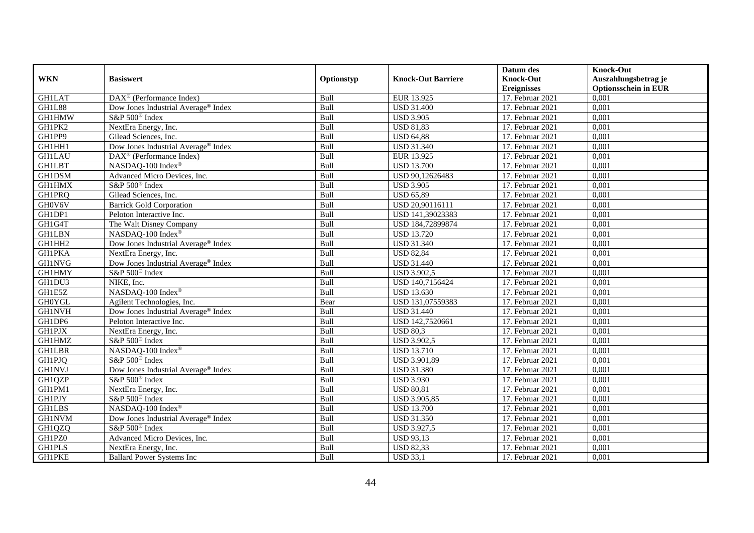|               |                                                 |             |                           | Datum des          | <b>Knock-Out</b>            |
|---------------|-------------------------------------------------|-------------|---------------------------|--------------------|-----------------------------|
| <b>WKN</b>    | <b>Basiswert</b>                                | Optionstyp  | <b>Knock-Out Barriere</b> | <b>Knock-Out</b>   | Auszahlungsbetrag je        |
|               |                                                 |             |                           | <b>Ereignisses</b> | <b>Optionsschein in EUR</b> |
| <b>GH1LAT</b> | DAX <sup>®</sup> (Performance Index)            | Bull        | EUR 13.925                | 17. Februar 2021   | 0,001                       |
| GH1L88        | Dow Jones Industrial Average® Index             | Bull        | <b>USD 31.400</b>         | 17. Februar 2021   | 0,001                       |
| <b>GH1HMW</b> | S&P 500 <sup>®</sup> Index                      | Bull        | <b>USD 3.905</b>          | 17. Februar 2021   | 0,001                       |
| GH1PK2        | NextEra Energy, Inc.                            | Bull        | <b>USD 81,83</b>          | 17. Februar 2021   | 0,001                       |
| GH1PP9        | Gilead Sciences, Inc.                           | Bull        | <b>USD 64,88</b>          | 17. Februar 2021   | 0,001                       |
| GH1HH1        | Dow Jones Industrial Average® Index             | Bull        | <b>USD 31.340</b>         | 17. Februar 2021   | 0,001                       |
| <b>GH1LAU</b> | $\text{DAX}^{\otimes}$ (Performance Index)      | Bull        | EUR 13.925                | 17. Februar 2021   | 0,001                       |
| <b>GH1LBT</b> | NASDAQ-100 Index®                               | Bull        | <b>USD 13.700</b>         | 17. Februar 2021   | 0,001                       |
| GH1DSM        | Advanced Micro Devices, Inc.                    | Bull        | USD 90,12626483           | 17. Februar 2021   | 0,001                       |
| <b>GH1HMX</b> | S&P 500 <sup>®</sup> Index                      | Bull        | <b>USD 3.905</b>          | 17. Februar 2021   | 0,001                       |
| GH1PRQ        | Gilead Sciences, Inc.                           | Bull        | <b>USD 65,89</b>          | 17. Februar 2021   | 0,001                       |
| GH0V6V        | <b>Barrick Gold Corporation</b>                 | Bull        | USD 20,90116111           | 17. Februar 2021   | 0,001                       |
| GH1DP1        | Peloton Interactive Inc.                        | Bull        | USD 141,39023383          | 17. Februar 2021   | 0,001                       |
| GH1G4T        | The Walt Disney Company                         | <b>Bull</b> | USD 184,72899874          | 17. Februar 2021   | 0,001                       |
| <b>GH1LBN</b> | NASDAQ-100 Index®                               | Bull        | <b>USD 13.720</b>         | 17. Februar 2021   | 0,001                       |
| GH1HH2        | Dow Jones Industrial Average <sup>®</sup> Index | Bull        | <b>USD 31.340</b>         | 17. Februar 2021   | 0,001                       |
| <b>GH1PKA</b> | NextEra Energy, Inc.                            | Bull        | <b>USD 82,84</b>          | 17. Februar 2021   | 0,001                       |
| <b>GH1NVG</b> | Dow Jones Industrial Average <sup>®</sup> Index | Bull        | <b>USD 31.440</b>         | 17. Februar 2021   | 0,001                       |
| GH1HMY        | $S\&P 500^{\circ}$ Index                        | Bull        | <b>USD 3.902,5</b>        | 17. Februar 2021   | 0,001                       |
| GH1DU3        | NIKE, Inc.                                      | Bull        | USD 140,7156424           | 17. Februar 2021   | 0,001                       |
| GH1E5Z        | NASDAQ-100 Index®                               | Bull        | <b>USD 13.630</b>         | 17. Februar 2021   | 0,001                       |
| <b>GH0YGL</b> | Agilent Technologies, Inc.                      | Bear        | USD 131,07559383          | 17. Februar 2021   | 0,001                       |
| <b>GH1NVH</b> | Dow Jones Industrial Average® Index             | Bull        | <b>USD 31.440</b>         | 17. Februar 2021   | 0,001                       |
| GH1DP6        | Peloton Interactive Inc.                        | Bull        | USD 142,7520661           | 17. Februar 2021   | 0,001                       |
| <b>GH1PJX</b> | NextEra Energy, Inc.                            | Bull        | <b>USD 80,3</b>           | 17. Februar 2021   | 0,001                       |
| GH1HMZ        | S&P 500 <sup>®</sup> Index                      | Bull        | <b>USD 3.902,5</b>        | 17. Februar 2021   | 0,001                       |
| <b>GH1LBR</b> | NASDAQ-100 Index®                               | Bull        | <b>USD 13.710</b>         | 17. Februar 2021   | 0,001                       |
| GH1PJQ        | S&P 500 <sup>®</sup> Index                      | Bull        | USD 3.901,89              | 17. Februar 2021   | 0,001                       |
| <b>GH1NVJ</b> | Dow Jones Industrial Average® Index             | Bull        | <b>USD 31.380</b>         | 17. Februar 2021   | 0,001                       |
| GH1QZP        | S&P 500 <sup>®</sup> Index                      | Bull        | <b>USD 3.930</b>          | 17. Februar 2021   | 0,001                       |
| GH1PM1        | NextEra Energy, Inc.                            | Bull        | <b>USD 80,81</b>          | 17. Februar 2021   | 0,001                       |
| <b>GH1PJY</b> | S&P 500 <sup>®</sup> Index                      | Bull        | USD 3.905,85              | 17. Februar 2021   | 0,001                       |
| <b>GH1LBS</b> | NASDAQ-100 Index®                               | Bull        | <b>USD 13.700</b>         | 17. Februar 2021   | 0,001                       |
| <b>GH1NVM</b> | Dow Jones Industrial Average® Index             | Bull        | <b>USD 31.350</b>         | $17.$ Februar 2021 | 0,001                       |
| GH1QZQ        | S&P 500 <sup>®</sup> Index                      | Bull        | <b>USD 3.927,5</b>        | 17. Februar 2021   | 0,001                       |
| GH1PZ0        | Advanced Micro Devices, Inc.                    | Bull        | <b>USD 93,13</b>          | 17. Februar 2021   | 0,001                       |
| <b>GH1PLS</b> | NextEra Energy, Inc.                            | Bull        | <b>USD 82,33</b>          | 17. Februar 2021   | 0,001                       |
| <b>GH1PKE</b> | <b>Ballard Power Systems Inc</b>                | Bull        | <b>USD 33,1</b>           | 17. Februar 2021   | 0,001                       |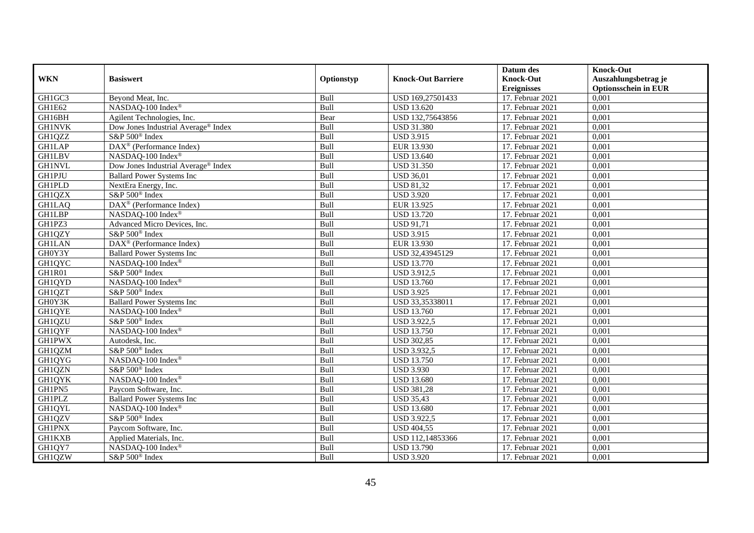|               |                                                 |            |                           | Datum des          | <b>Knock-Out</b>            |
|---------------|-------------------------------------------------|------------|---------------------------|--------------------|-----------------------------|
| <b>WKN</b>    | <b>Basiswert</b>                                | Optionstyp | <b>Knock-Out Barriere</b> | <b>Knock-Out</b>   | Auszahlungsbetrag je        |
|               |                                                 |            |                           | <b>Ereignisses</b> | <b>Optionsschein in EUR</b> |
| GH1GC3        | Beyond Meat, Inc.                               | Bull       | USD 169,27501433          | 17. Februar 2021   | 0,001                       |
| GH1E62        | NASDAQ-100 Index®                               | Bull       | <b>USD 13.620</b>         | 17. Februar 2021   | 0,001                       |
| GH16BH        | Agilent Technologies, Inc.                      | Bear       | USD 132,75643856          | 17. Februar 2021   | 0,001                       |
| <b>GH1NVK</b> | Dow Jones Industrial Average <sup>®</sup> Index | Bull       | <b>USD 31.380</b>         | 17. Februar 2021   | 0,001                       |
| GH1QZZ        | S&P 500 <sup>®</sup> Index                      | Bull       | <b>USD 3.915</b>          | 17. Februar 2021   | 0,001                       |
| <b>GH1LAP</b> | DAX <sup>®</sup> (Performance Index)            | Bull       | EUR 13.930                | 17. Februar 2021   | 0,001                       |
| <b>GH1LBV</b> | NASDAQ-100 Index®                               | Bull       | <b>USD 13.640</b>         | 17. Februar 2021   | 0,001                       |
| <b>GH1NVL</b> | Dow Jones Industrial Average® Index             | Bull       | <b>USD 31.350</b>         | 17. Februar 2021   | 0,001                       |
| <b>GH1PJU</b> | <b>Ballard Power Systems Inc</b>                | Bull       | <b>USD 36,01</b>          | 17. Februar 2021   | 0,001                       |
| <b>GH1PLD</b> | NextEra Energy, Inc.                            | Bull       | <b>USD 81,32</b>          | 17. Februar 2021   | 0,001                       |
| GH1QZX        | S&P 500 <sup>®</sup> Index                      | Bull       | <b>USD 3.920</b>          | 17. Februar 2021   | 0,001                       |
| <b>GH1LAQ</b> | DAX <sup>®</sup> (Performance Index)            | Bull       | EUR 13.925                | 17. Februar 2021   | 0,001                       |
| <b>GH1LBP</b> | NASDAQ-100 Index®                               | Bull       | <b>USD 13.720</b>         | 17. Februar 2021   | 0,001                       |
| GH1PZ3        | Advanced Micro Devices, Inc.                    | Bull       | <b>USD 91,71</b>          | 17. Februar 2021   | 0,001                       |
| GH1QZY        | S&P 500 <sup>®</sup> Index                      | Bull       | <b>USD 3.915</b>          | 17. Februar 2021   | 0,001                       |
| <b>GH1LAN</b> | DAX <sup>®</sup> (Performance Index)            | Bull       | EUR 13.930                | 17. Februar 2021   | 0,001                       |
| GH0Y3Y        | <b>Ballard Power Systems Inc</b>                | Bull       | USD 32,43945129           | 17. Februar 2021   | 0,001                       |
| GH1QYC        | NASDAO-100 Index®                               | Bull       | <b>USD 13.770</b>         | 17. Februar 2021   | 0,001                       |
| GH1R01        | S&P 500 <sup>®</sup> Index                      | Bull       | <b>USD 3.912,5</b>        | 17. Februar 2021   | 0,001                       |
| GH1QYD        | NASDAQ-100 Index®                               | Bull       | <b>USD 13.760</b>         | 17. Februar 2021   | 0,001                       |
| GH1QZT        | S&P 500 <sup>®</sup> Index                      | Bull       | <b>USD 3.925</b>          | 17. Februar 2021   | 0,001                       |
| GH0Y3K        | <b>Ballard Power Systems Inc</b>                | Bull       | USD 33,35338011           | 17. Februar 2021   | 0,001                       |
| <b>GH1QYE</b> | NASDAQ-100 Index®                               | Bull       | <b>USD 13.760</b>         | 17. Februar 2021   | 0,001                       |
| GH1QZU        | S&P 500 <sup>®</sup> Index                      | Bull       | <b>USD 3.922,5</b>        | 17. Februar 2021   | 0,001                       |
| GH1QYF        | NASDAQ-100 Index®                               | Bull       | <b>USD 13.750</b>         | 17. Februar 2021   | 0,001                       |
| <b>GH1PWX</b> | Autodesk, Inc.                                  | Bull       | <b>USD 302,85</b>         | 17. Februar 2021   | 0,001                       |
| GH1QZM        | S&P 500 <sup>®</sup> Index                      | Bull       | <b>USD 3.932,5</b>        | 17. Februar 2021   | 0,001                       |
| GH1QYG        | NASDAQ-100 Index®                               | Bull       | <b>USD 13.750</b>         | 17. Februar 2021   | 0,001                       |
| GH1QZN        | S&P 500 <sup>®</sup> Index                      | Bull       | <b>USD 3.930</b>          | 17. Februar 2021   | 0,001                       |
| <b>GH1QYK</b> | NASDAQ-100 Index®                               | Bull       | <b>USD 13.680</b>         | 17. Februar 2021   | 0,001                       |
| GH1PN5        | Paycom Software, Inc.                           | Bull       | <b>USD 381,28</b>         | 17. Februar 2021   | 0,001                       |
| <b>GH1PLZ</b> | <b>Ballard Power Systems Inc</b>                | Bull       | <b>USD 35,43</b>          | 17. Februar 2021   | 0,001                       |
| <b>GH1QYL</b> | NASDAQ-100 Index®                               | Bull       | <b>USD 13.680</b>         | 17. Februar 2021   | 0,001                       |
| GH1QZV        | S&P 500 <sup>®</sup> Index                      | Bull       | <b>USD 3.922,5</b>        | 17. Februar 2021   | 0,001                       |
| <b>GH1PNX</b> | Paycom Software, Inc.                           | Bull       | <b>USD 404,55</b>         | 17. Februar 2021   | 0,001                       |
| <b>GH1KXB</b> | Applied Materials, Inc.                         | Bull       | USD 112,14853366          | 17. Februar 2021   | 0,001                       |
| GH1QY7        | NASDAQ-100 Index®                               | Bull       | <b>USD 13.790</b>         | 17. Februar 2021   | 0,001                       |
| GH1QZW        | S&P 500 <sup>®</sup> Index                      | Bull       | <b>USD 3.920</b>          | 17. Februar 2021   | 0,001                       |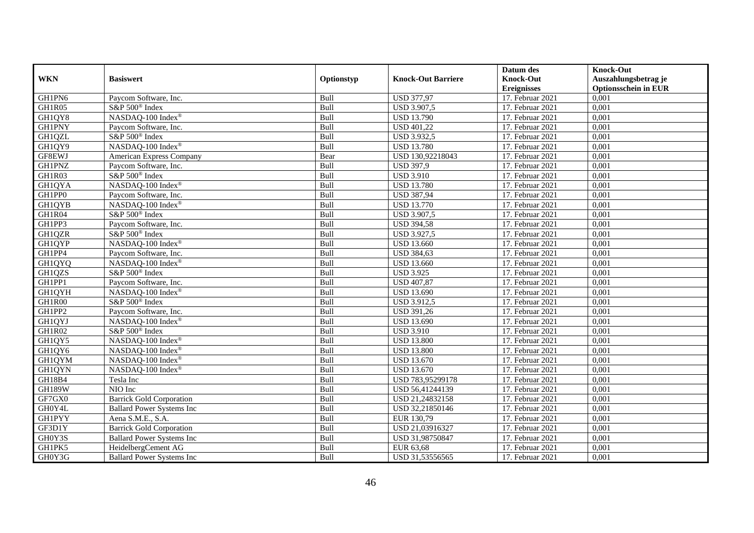|               |                                  |             |                           | Datum des          | <b>Knock-Out</b>            |
|---------------|----------------------------------|-------------|---------------------------|--------------------|-----------------------------|
| <b>WKN</b>    | <b>Basiswert</b>                 | Optionstyp  | <b>Knock-Out Barriere</b> | <b>Knock-Out</b>   | Auszahlungsbetrag je        |
|               |                                  |             |                           | <b>Ereignisses</b> | <b>Optionsschein in EUR</b> |
| GH1PN6        | Paycom Software, Inc.            | Bull        | <b>USD 377,97</b>         | 17. Februar 2021   | 0,001                       |
| GH1R05        | S&P 500 <sup>®</sup> Index       | Bull        | <b>USD 3.907,5</b>        | 17. Februar 2021   | 0,001                       |
| GH1QY8        | NASDAQ-100 Index®                | Bull        | <b>USD 13.790</b>         | 17. Februar 2021   | 0,001                       |
| <b>GH1PNY</b> | Paycom Software, Inc.            | Bull        | <b>USD 401,22</b>         | 17. Februar 2021   | 0,001                       |
| GH1QZL        | S&P 500 <sup>®</sup> Index       | Bull        | <b>USD 3.932,5</b>        | 17. Februar 2021   | 0,001                       |
| GH1QY9        | NASDAQ-100 Index®                | Bull        | <b>USD 13.780</b>         | 17. Februar 2021   | 0,001                       |
| GF8EWJ        | American Express Company         | Bear        | USD 130,92218043          | 17. Februar 2021   | 0,001                       |
| <b>GH1PNZ</b> | Paycom Software, Inc.            | Bull        | <b>USD 397,9</b>          | 17. Februar 2021   | 0,001                       |
| GH1R03        | S&P 500 <sup>®</sup> Index       | Bull        | <b>USD 3.910</b>          | 17. Februar 2021   | 0,001                       |
| GH1QYA        | NASDAQ-100 Index®                | Bull        | <b>USD 13.780</b>         | 17. Februar 2021   | 0,001                       |
| GH1PP0        | Paycom Software, Inc.            | Bull        | <b>USD 387,94</b>         | 17. Februar 2021   | 0,001                       |
| <b>GH1QYB</b> | NASDAQ-100 Index®                | Bull        | <b>USD 13.770</b>         | 17. Februar 2021   | 0,001                       |
| GH1R04        | S&P 500 <sup>®</sup> Index       | Bull        | <b>USD 3.907,5</b>        | 17. Februar 2021   | 0,001                       |
| GH1PP3        | Paycom Software, Inc.            | Bull        | <b>USD 394,58</b>         | 17. Februar 2021   | 0,001                       |
| GH1QZR        | S&P 500 <sup>®</sup> Index       | Bull        | <b>USD 3.927,5</b>        | 17. Februar 2021   | 0,001                       |
| GH1QYP        | NASDAQ-100 Index®                | Bull        | <b>USD 13.660</b>         | 17. Februar 2021   | 0,001                       |
| GH1PP4        | Paycom Software, Inc.            | Bull        | <b>USD 384,63</b>         | 17. Februar 2021   | 0,001                       |
| GH1QYQ        | NASDAO-100 Index®                | <b>Bull</b> | <b>USD 13.660</b>         | 17. Februar 2021   | 0,001                       |
| GH1QZS        | S&P 500 <sup>®</sup> Index       | Bull        | <b>USD 3.925</b>          | 17. Februar 2021   | 0,001                       |
| GH1PP1        | Paycom Software, Inc.            | Bull        | <b>USD 407,87</b>         | 17. Februar 2021   | 0,001                       |
| <b>GH1QYH</b> | NASDAQ-100 Index®                | Bull        | <b>USD 13.690</b>         | 17. Februar 2021   | 0,001                       |
| GH1R00        | S&P 500 <sup>®</sup> Index       | Bull        | <b>USD 3.912,5</b>        | 17. Februar 2021   | 0,001                       |
| GH1PP2        | Paycom Software, Inc.            | Bull        | <b>USD 391,26</b>         | 17. Februar 2021   | 0,001                       |
| GH1QYJ        | NASDAQ-100 Index®                | Bull        | <b>USD 13.690</b>         | 17. Februar 2021   | 0,001                       |
| GH1R02        | S&P 500 <sup>®</sup> Index       | Bull        | <b>USD 3.910</b>          | 17. Februar 2021   | 0,001                       |
| GH1QY5        | NASDAQ-100 Index®                | Bull        | <b>USD 13.800</b>         | 17. Februar 2021   | 0,001                       |
| GH1QY6        | NASDAQ-100 Index®                | Bull        | <b>USD 13.800</b>         | 17. Februar 2021   | 0,001                       |
| GH1QYM        | NASDAQ-100 Index®                | Bull        | <b>USD 13.670</b>         | 17. Februar 2021   | 0,001                       |
| <b>GH1QYN</b> | NASDAO-100 Index®                | Bull        | <b>USD 13.670</b>         | 17. Februar 2021   | 0,001                       |
| GH18B4        | Tesla Inc                        | Bull        | USD 783,95299178          | 17. Februar 2021   | 0,001                       |
| <b>GH189W</b> | NIO Inc                          | Bull        | USD 56,41244139           | 17. Februar 2021   | 0,001                       |
| GF7GX0        | <b>Barrick Gold Corporation</b>  | Bull        | USD 21,24832158           | 17. Februar 2021   | 0,001                       |
| GH0Y4L        | <b>Ballard Power Systems Inc</b> | Bull        | USD 32,21850146           | 17. Februar 2021   | 0,001                       |
| <b>GH1PYY</b> | Aena S.M.E., S.A.                | Bull        | EUR 130,79                | 17. Februar 2021   | 0,001                       |
| GF3D1Y        | <b>Barrick Gold Corporation</b>  | Bull        | USD 21,03916327           | 17. Februar 2021   | 0,001                       |
| GH0Y3S        | <b>Ballard Power Systems Inc</b> | Bull        | USD 31,98750847           | 17. Februar 2021   | 0,001                       |
| GH1PK5        | HeidelbergCement AG              | Bull        | EUR 63,68                 | 17. Februar 2021   | 0,001                       |
| GH0Y3G        | <b>Ballard Power Systems Inc</b> | Bull        | USD 31,53556565           | 17. Februar 2021   | 0,001                       |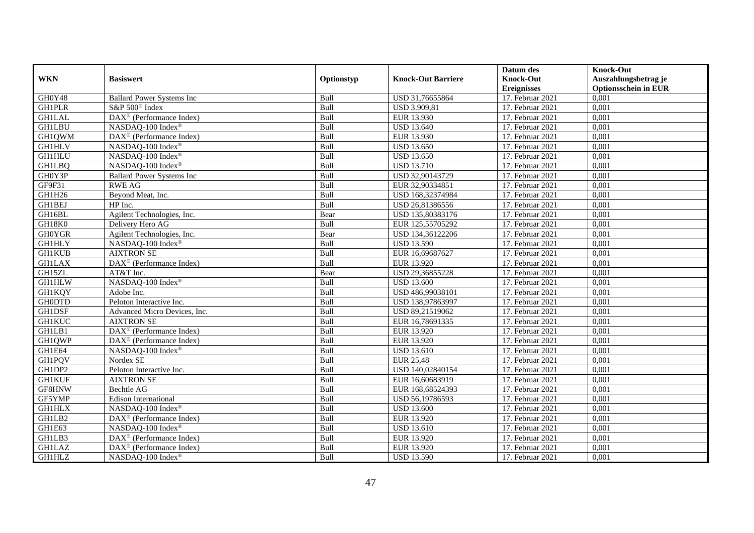|               |                                         |             |                           | Datum des          | <b>Knock-Out</b>            |
|---------------|-----------------------------------------|-------------|---------------------------|--------------------|-----------------------------|
| <b>WKN</b>    | <b>Basiswert</b>                        | Optionstyp  | <b>Knock-Out Barriere</b> | <b>Knock-Out</b>   | Auszahlungsbetrag je        |
|               |                                         |             |                           | <b>Ereignisses</b> | <b>Optionsschein in EUR</b> |
| GH0Y48        | <b>Ballard Power Systems Inc</b>        | Bull        | USD 31,76655864           | 17. Februar 2021   | 0,001                       |
| <b>GH1PLR</b> | S&P 500 <sup>®</sup> Index              | Bull        | <b>USD 3.909,81</b>       | 17. Februar 2021   | 0,001                       |
| <b>GH1LAL</b> | $DAX^{\circledR}$ (Performance Index)   | Bull        | EUR 13.930                | 17. Februar 2021   | 0,001                       |
| <b>GH1LBU</b> | NASDAQ-100 Index®                       | Bull        | <b>USD 13.640</b>         | 17. Februar 2021   | 0,001                       |
| GH1QWM        | DAX <sup>®</sup> (Performance Index)    | Bull        | EUR 13.930                | 17. Februar 2021   | 0,001                       |
| <b>GH1HLV</b> | NASDAQ-100 Index®                       | Bull        | <b>USD 13.650</b>         | 17. Februar 2021   | 0,001                       |
| <b>GH1HLU</b> | NASDAQ-100 Index®                       | Bull        | <b>USD 13.650</b>         | 17. Februar 2021   | 0,001                       |
| <b>GH1LBQ</b> | NASDAQ-100 Index®                       | Bull        | <b>USD 13.710</b>         | 17. Februar 2021   | 0,001                       |
| GH0Y3P        | <b>Ballard Power Systems Inc</b>        | Bull        | USD 32,90143729           | 17. Februar 2021   | 0,001                       |
| GF9F31        | <b>RWE AG</b>                           | Bull        | EUR 32,90334851           | 17. Februar 2021   | 0,001                       |
| GH1H26        | Beyond Meat, Inc.                       | Bull        | USD 168,32374984          | 17. Februar 2021   | 0,001                       |
| GH1BEJ        | HP Inc.                                 | Bull        | USD 26,81386556           | 17. Februar 2021   | 0,001                       |
| GH16BL        | Agilent Technologies, Inc.              | Bear        | USD 135,80383176          | 17. Februar 2021   | 0,001                       |
| GH18K0        | Delivery Hero AG                        | Bull        | EUR 125,55705292          | 17. Februar 2021   | 0.001                       |
| <b>GH0YGR</b> | Agilent Technologies, Inc.              | Bear        | USD 134,36122206          | 17. Februar 2021   | 0,001                       |
| <b>GH1HLY</b> | NASDAQ-100 Index®                       | Bull        | <b>USD 13.590</b>         | 17. Februar 2021   | 0,001                       |
| <b>GH1KUB</b> | <b>AIXTRON SE</b>                       | Bull        | EUR 16,69687627           | 17. Februar 2021   | 0,001                       |
| <b>GH1LAX</b> | DAX <sup>®</sup> (Performance Index)    | Bull        | EUR 13.920                | $17.$ Februar 2021 | 0,001                       |
| GH15ZL        | AT&T Inc.                               | Bear        | USD 29,36855228           | 17. Februar 2021   | 0,001                       |
| <b>GH1HLW</b> | NASDAQ-100 Index®                       | Bull        | <b>USD 13.600</b>         | 17. Februar 2021   | 0,001                       |
| GH1KQY        | Adobe Inc.                              | Bull        | USD 486,99038101          | 17. Februar 2021   | 0,001                       |
| <b>GH0DTD</b> | Peloton Interactive Inc.                | <b>Bull</b> | USD 138,97863997          | 17. Februar 2021   | 0,001                       |
| <b>GH1DSF</b> | Advanced Micro Devices, Inc.            | Bull        | USD 89,21519062           | 17. Februar 2021   | 0,001                       |
| <b>GH1KUC</b> | <b>AIXTRON SE</b>                       | Bull        | EUR 16,78691335           | 17. Februar 2021   | 0,001                       |
| GH1LB1        | $DAX^{\circledR}$ (Performance Index)   | Bull        | EUR 13.920                | 17. Februar 2021   | 0,001                       |
| GH1QWP        | DAX <sup>®</sup> (Performance Index)    | Bull        | EUR 13.920                | 17. Februar 2021   | 0,001                       |
| GH1E64        | NASDAQ-100 Index®                       | Bull        | <b>USD 13.610</b>         | 17. Februar 2021   | 0,001                       |
| GH1PQV        | Nordex SE                               | Bull        | <b>EUR 25,48</b>          | 17. Februar 2021   | 0,001                       |
| GH1DP2        | Peloton Interactive Inc.                | Bull        | USD 140,02840154          | 17. Februar 2021   | 0,001                       |
| <b>GH1KUF</b> | <b>AIXTRON SE</b>                       | Bull        | EUR 16,60683919           | 17. Februar 2021   | 0,001                       |
| GF8HNW        | Bechtle AG                              | Bull        | EUR 168,68524393          | 17. Februar 2021   | 0,001                       |
| GF5YMP        | Edison International                    | Bull        | USD 56,19786593           | 17. Februar 2021   | 0,001                       |
| <b>GH1HLX</b> | NASDAQ-100 Index®                       | Bull        | <b>USD 13.600</b>         | 17. Februar 2021   | 0,001                       |
| GH1LB2        | DAX <sup>®</sup> (Performance Index)    | Bull        | EUR 13.920                | 17. Februar 2021   | 0,001                       |
| GH1E63        | NASDAQ-100 Index®                       | Bull        | <b>USD 13.610</b>         | 17. Februar 2021   | 0,001                       |
| GH1LB3        | DAX <sup>®</sup> (Performance Index)    | Bull        | EUR 13.920                | 17. Februar 2021   | 0,001                       |
| <b>GH1LAZ</b> | $DAX^{\circledast}$ (Performance Index) | Bull        | EUR 13.920                | 17. Februar 2021   | 0,001                       |
| <b>GH1HLZ</b> | NASDAQ-100 Index®                       | Bull        | <b>USD 13.590</b>         | 17. Februar 2021   | 0,001                       |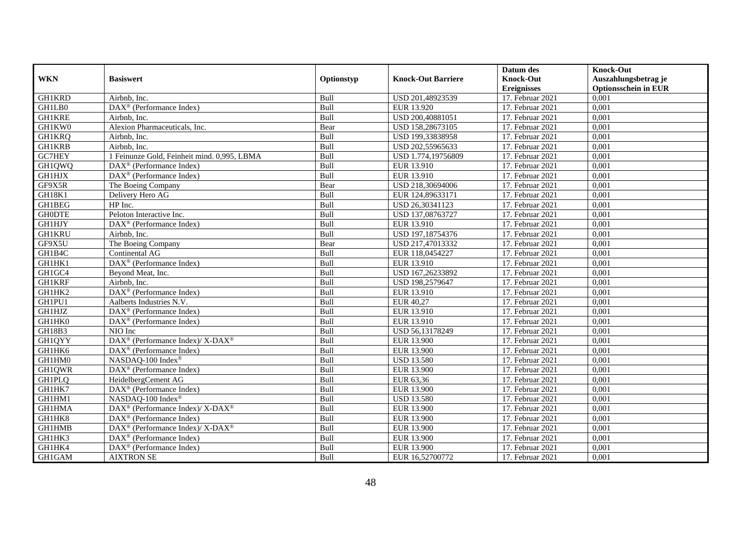|               |                                                                    |             |                           | Datum des          | <b>Knock-Out</b>            |
|---------------|--------------------------------------------------------------------|-------------|---------------------------|--------------------|-----------------------------|
| <b>WKN</b>    | <b>Basiswert</b>                                                   | Optionstyp  | <b>Knock-Out Barriere</b> | <b>Knock-Out</b>   | Auszahlungsbetrag je        |
|               |                                                                    |             |                           | <b>Ereignisses</b> | <b>Optionsschein in EUR</b> |
| <b>GH1KRD</b> | Airbnb, Inc.                                                       | Bull        | USD 201,48923539          | 17. Februar 2021   | 0,001                       |
| GH1LB0        | $\overline{\text{DAX}^{\otimes}}$ (Performance Index)              | Bull        | EUR 13.920                | 17. Februar 2021   | 0,001                       |
| <b>GH1KRE</b> | Airbnb, Inc.                                                       | Bull        | USD 200,40881051          | 17. Februar 2021   | 0,001                       |
| GH1KW0        | Alexion Pharmaceuticals, Inc.                                      | Bear        | USD 158,28673105          | 17. Februar 2021   | 0,001                       |
| <b>GH1KRQ</b> | Airbnb, Inc.                                                       | Bull        | USD 199,33838958          | 17. Februar 2021   | 0,001                       |
| <b>GH1KRB</b> | Airbnb, Inc.                                                       | Bull        | USD 202,55965633          | 17. Februar 2021   | 0,001                       |
| GC7HEY        | 1 Feinunze Gold, Feinheit mind. 0,995, LBMA                        | Bull        | USD 1.774,19756809        | 17. Februar 2021   | 0,001                       |
| GH1QWQ        | $\text{DAX}^{\textcircled{D}}$ (Performance Index)                 | Bull        | EUR 13.910                | 17. Februar 2021   | 0,001                       |
| GH1HJX        | $\text{DAX}^{\textcircled{D}}$ (Performance Index)                 | Bull        | EUR 13.910                | 17. Februar 2021   | 0,001                       |
| GF9X5R        | The Boeing Company                                                 | Bear        | USD 218,30694006          | 17. Februar 2021   | 0,001                       |
| GH18K1        | Delivery Hero AG                                                   | Bull        | EUR 124,89633171          | 17. Februar 2021   | 0,001                       |
| GH1BEG        | HP Inc.                                                            | Bull        | USD 26,30341123           | 17. Februar 2021   | 0,001                       |
| <b>GH0DTE</b> | Peloton Interactive Inc.                                           | Bull        | USD 137,08763727          | $17.$ Februar 2021 | 0,001                       |
| <b>GH1HJY</b> | DAX <sup>®</sup> (Performance Index)                               | Bull        | EUR 13.910                | 17. Februar 2021   | 0,001                       |
| <b>GH1KRU</b> | Airbnb, Inc.                                                       | Bull        | USD 197,18754376          | 17. Februar 2021   | 0,001                       |
| GF9X5U        | The Boeing Company                                                 | Bear        | USD 217,47013332          | 17. Februar 2021   | 0,001                       |
| GH1B4C        | Continental AG                                                     | Bull        | EUR 118,0454227           | 17. Februar 2021   | 0,001                       |
| GH1HK1        | $\text{DAX}^{\textcircled{}}$ (Performance Index)                  | <b>Bull</b> | EUR 13.910                | 17. Februar 2021   | 0,001                       |
| GH1GC4        | Beyond Meat, Inc.                                                  | Bull        | USD 167,26233892          | 17. Februar 2021   | 0,001                       |
| <b>GH1KRF</b> | Airbnb, Inc.                                                       | Bull        | USD 198,2579647           | 17. Februar 2021   | 0,001                       |
| GH1HK2        | DAX <sup>®</sup> (Performance Index)                               | Bull        | EUR 13.910                | 17. Februar 2021   | 0,001                       |
| GH1PU1        | Aalberts Industries N.V.                                           | Bull        | EUR 40,27                 | 17. Februar 2021   | 0,001                       |
| <b>GH1HJZ</b> | $\overline{\text{DAX}^{\otimes}}$ (Performance Index)              | Bull        | EUR 13.910                | 17. Februar 2021   | 0,001                       |
| GH1HK0        | DAX <sup>®</sup> (Performance Index)                               | Bull        | EUR 13.910                | 17. Februar 2021   | 0,001                       |
| GH18B3        | NIO Inc                                                            | Bull        | USD 56,13178249           | 17. Februar 2021   | 0,001                       |
| GH1QYY        | DAX <sup>®</sup> (Performance Index)/ X-DAX <sup>®</sup>           | Bull        | EUR 13.900                | 17. Februar 2021   | 0,001                       |
| GH1HK6        | DAX <sup>®</sup> (Performance Index)                               | Bull        | <b>EUR 13.900</b>         | 17. Februar 2021   | 0,001                       |
| GH1HM0        | NASDAQ-100 Index®                                                  | Bull        | <b>USD 13.580</b>         | 17. Februar 2021   | 0,001                       |
| <b>GH1QWR</b> | DAX <sup>®</sup> (Performance Index)                               | Bull        | EUR 13.900                | 17. Februar 2021   | 0,001                       |
| <b>GH1PLO</b> | HeidelbergCement AG                                                | Bull        | EUR 63,36                 | 17. Februar 2021   | 0,001                       |
| GH1HK7        | $\overline{\text{DAX}^{\otimes}}$ (Performance Index)              | Bull        | EUR 13.900                | 17. Februar 2021   | 0,001                       |
| GH1HM1        | NASDAQ-100 Index®                                                  | Bull        | <b>USD 13.580</b>         | 17. Februar 2021   | 0,001                       |
| <b>GH1HMA</b> | $\text{DAX}^{\circledR}$ (Performance Index)/ X-DAX <sup>®</sup>   | Bull        | EUR 13.900                | 17. Februar 2021   | 0,001                       |
| GH1HK8        | DAX <sup>®</sup> (Performance Index)                               | Bull        | <b>EUR 13.900</b>         | $17.$ Februar 2021 | 0,001                       |
| GH1HMB        | $\text{DAX}^{\circledast}$ (Performance Index)/ X-DAX <sup>®</sup> | Bull        | EUR 13.900                | 17. Februar 2021   | 0,001                       |
| GH1HK3        | DAX <sup>®</sup> (Performance Index)                               | Bull        | <b>EUR 13.900</b>         | 17. Februar 2021   | 0,001                       |
| GH1HK4        | DAX <sup>®</sup> (Performance Index)                               | Bull        | <b>EUR 13.900</b>         | 17. Februar 2021   | 0,001                       |
| GH1GAM        | <b>AIXTRON SE</b>                                                  | Bull        | EUR 16,52700772           | 17. Februar 2021   | 0,001                       |